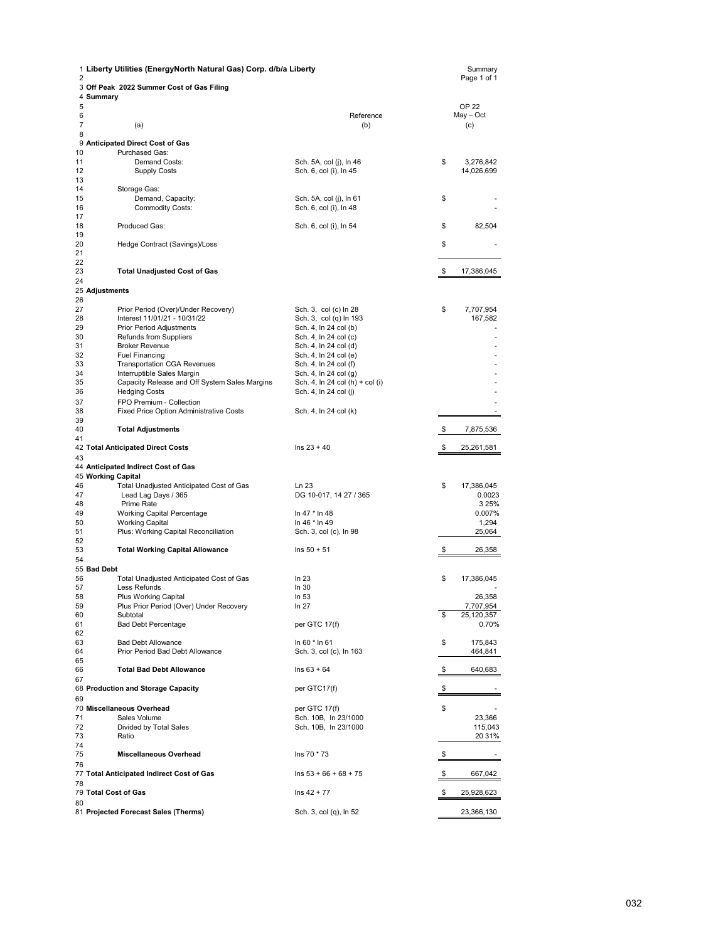| 2                   | 1 Liberty Utilities (EnergyNorth Natural Gas) Corp. d/b/a Liberty |                                                | Summary<br>Page 1 of 1 |
|---------------------|-------------------------------------------------------------------|------------------------------------------------|------------------------|
|                     | 3 Off Peak 2022 Summer Cost of Gas Filing<br>4 Summary            |                                                |                        |
| 5                   |                                                                   |                                                | OP 22                  |
| 6<br>$\overline{7}$ |                                                                   | Reference                                      | May - Oct              |
| 8                   | (a)                                                               | (b)                                            | (c)                    |
|                     | 9 Anticipated Direct Cost of Gas                                  |                                                |                        |
| 10                  | Purchased Gas:                                                    |                                                |                        |
| 11                  | Demand Costs:                                                     | Sch. 5A, col (j), In 46                        | \$<br>3,276,842        |
| 12<br>13            | <b>Supply Costs</b>                                               | Sch. 6, col (i), In 45                         | 14,026,699             |
| 14                  | Storage Gas:                                                      |                                                |                        |
| 15                  | Demand, Capacity:                                                 | Sch. 5A, col (j), In 61                        | \$                     |
| 16                  | <b>Commodity Costs:</b>                                           | Sch. 6, col (i), In 48                         |                        |
| 17<br>18            | Produced Gas:                                                     | Sch. 6, col (i), ln 54                         | \$<br>82,504           |
| 19                  |                                                                   |                                                |                        |
| 20                  | Hedge Contract (Savings)/Loss                                     |                                                | \$                     |
| 21                  |                                                                   |                                                |                        |
| 22                  |                                                                   |                                                |                        |
| 23<br>24            | <b>Total Unadjusted Cost of Gas</b>                               |                                                | \$<br>17,386,045       |
|                     | 25 Adjustments                                                    |                                                |                        |
| 26                  |                                                                   |                                                |                        |
| 27                  | Prior Period (Over)/Under Recovery)                               | Sch. 3, col (c) In 28                          | \$<br>7,707,954        |
| 28                  | Interest 11/01/21 - 10/31/22                                      | Sch. 3, col (q) In 193                         | 167,582                |
| 29<br>30            | <b>Prior Period Adjustments</b><br><b>Refunds from Suppliers</b>  | Sch. 4, In 24 col (b)<br>Sch. 4, In 24 col (c) |                        |
| 31                  | <b>Broker Revenue</b>                                             | Sch. 4, In 24 col (d)                          |                        |
| 32                  | <b>Fuel Financing</b>                                             | Sch. 4, In 24 col (e)                          |                        |
| 33                  | <b>Transportation CGA Revenues</b>                                | Sch. 4, In 24 col (f)                          |                        |
| 34                  | Interruptible Sales Margin                                        | Sch. 4, In 24 col (g)                          |                        |
| 35                  | Capacity Release and Off System Sales Margins                     | Sch. 4, In 24 col (h) + col (i)                |                        |
| 36<br>37            | <b>Hedging Costs</b><br>FPO Premium - Collection                  | Sch. 4, In 24 col (j)                          |                        |
| 38                  | <b>Fixed Price Option Administrative Costs</b>                    | Sch. 4, In 24 col (k)                          |                        |
| 39                  |                                                                   |                                                |                        |
| 40                  | <b>Total Adjustments</b>                                          |                                                | \$<br>7,875,536        |
| 41                  |                                                                   | $\ln s$ 23 + 40                                |                        |
| 43                  | 42 Total Anticipated Direct Costs                                 |                                                | \$<br>25,261,581       |
|                     | 44 Anticipated Indirect Cost of Gas                               |                                                |                        |
|                     | 45 Working Capital                                                |                                                |                        |
| 46                  | Total Unadjusted Anticipated Cost of Gas                          | Ln 23                                          | \$<br>17,386,045       |
| 47                  | Lead Lag Days / 365                                               | DG 10-017, 14 27 / 365                         | 0.0023                 |
| 48                  | Prime Rate                                                        |                                                | 3 2 5 %                |
| 49<br>50            | <b>Working Capital Percentage</b>                                 |                                                |                        |
|                     |                                                                   | In 47 * In 48                                  | 0.007%                 |
| 51                  | <b>Working Capital</b>                                            | In 46 * In 49                                  | 1,294<br>25,064        |
| 52                  | Plus: Working Capital Reconciliation                              | Sch. 3, col (c), In 98                         |                        |
| 53                  | <b>Total Working Capital Allowance</b>                            | $\ln s$ 50 + 51                                | \$<br>26,358           |
| 54                  |                                                                   |                                                |                        |
|                     | 55 Bad Debt                                                       |                                                |                        |
| 56<br>57            | Total Unadjusted Anticipated Cost of Gas<br>Less Refunds          | In $23$<br>In $30$                             | \$<br>17,386,045       |
| 58                  | Plus Working Capital                                              | In 53                                          | 26,358                 |
| 59                  | Plus Prior Period (Over) Under Recovery                           | In $27$                                        | 7,707,954              |
| 60                  | Subtotal                                                          |                                                | \$<br>25,120,357       |
| 61                  | <b>Bad Debt Percentage</b>                                        | per GTC 17(f)                                  | 0.70%                  |
| 62<br>63            | <b>Bad Debt Allowance</b>                                         | In 60 * In 61                                  | 175,843                |
| 64                  | Prior Period Bad Debt Allowance                                   | Sch. 3, col (c), In 163                        | \$<br>464,841          |
| 65                  |                                                                   |                                                |                        |
| 66                  | <b>Total Bad Debt Allowance</b>                                   | $\ln s$ 63 + 64                                | \$<br>640,683          |
| 67                  |                                                                   |                                                |                        |
| 69                  | 68 Production and Storage Capacity                                | per GTC17(f)                                   | \$                     |
|                     | 70 Miscellaneous Overhead                                         | per GTC 17(f)                                  | \$                     |
| 71                  | Sales Volume                                                      | Sch. 10B, In 23/1000                           | 23,366                 |
| 72                  | Divided by Total Sales                                            | Sch. 10B, In 23/1000                           | 115,043                |
| 73                  | Ratio                                                             |                                                | 20 31%                 |
| 74                  | <b>Miscellaneous Overhead</b>                                     |                                                |                        |
| 75<br>76            |                                                                   | Ins 70 * 73                                    | \$                     |
|                     | 77 Total Anticipated Indirect Cost of Gas                         | $\ln s$ 53 + 66 + 68 + 75                      | \$<br>667,042          |
| 78                  |                                                                   |                                                |                        |
|                     | 79 Total Cost of Gas                                              | $\ln s$ 42 + 77                                | \$<br>25,928,623       |
| 80                  | 81 Projected Forecast Sales (Therms)                              | Sch. 3, col (q), In 52                         | 23,366,130             |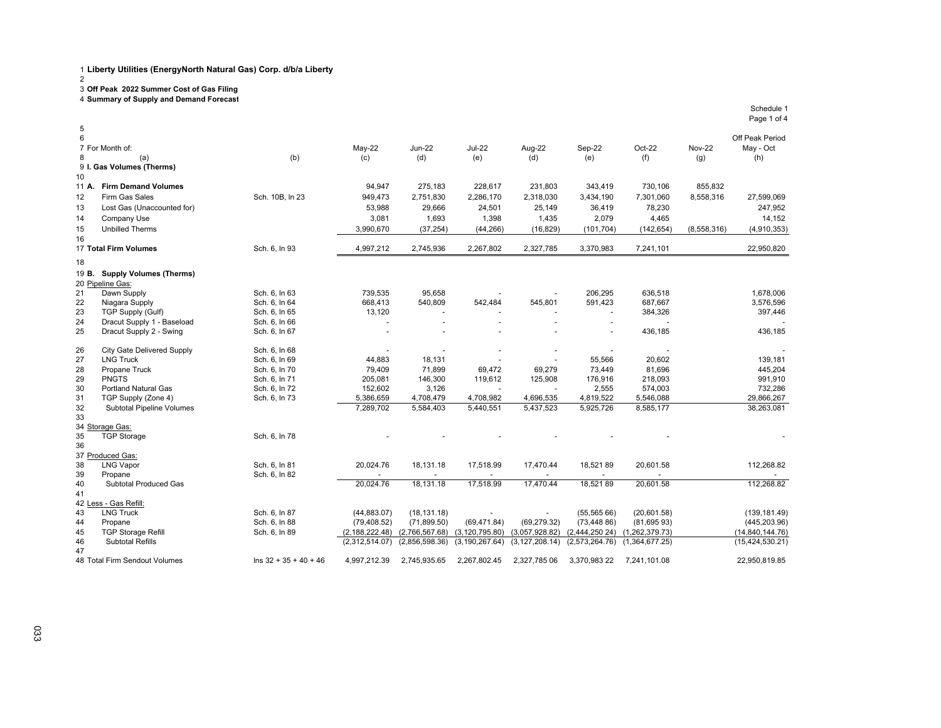3 **Off Peak 2022 Summer Cost of Gas Filing**

4 **Summary of Supply and Demand Forecast**

|          |                                                       |                                |                          |                          |                  |                  |                |                |               | Page 1 of 4       |
|----------|-------------------------------------------------------|--------------------------------|--------------------------|--------------------------|------------------|------------------|----------------|----------------|---------------|-------------------|
| 5<br>6   |                                                       |                                |                          |                          |                  |                  |                |                |               | Off Peak Period   |
|          | 7 For Month of:                                       |                                | May-22                   | <b>Jun-22</b>            | <b>Jul-22</b>    | Aug-22           | Sep-22         | Oct-22         | <b>Nov-22</b> | May - Oct         |
| 8        | (a)                                                   | (b)                            | (c)                      | (d)                      | (e)              | (d)              | (e)            | (f)            | (g)           | (h)               |
|          | 9 I. Gas Volumes (Therms)                             |                                |                          |                          |                  |                  |                |                |               |                   |
| 10       |                                                       |                                |                          |                          |                  |                  |                |                |               |                   |
|          | 11 A. Firm Demand Volumes                             |                                | 94,947                   | 275,183                  | 228,617          | 231,803          | 343,419        | 730,106        | 855,832       |                   |
| 12       | Firm Gas Sales                                        | Sch. 10B. In 23                | 949,473                  | 2,751,830                | 2,286,170        | 2,318,030        | 3,434,190      | 7,301,060      | 8,558,316     | 27,599,069        |
| 13       | Lost Gas (Unaccounted for)                            |                                | 53,988                   | 29,666                   | 24,501           | 25,149           | 36,419         | 78,230         |               | 247,952           |
| 14       | Company Use                                           |                                | 3,081                    | 1,693                    | 1,398            | 1,435            | 2,079          | 4,465          |               | 14,152            |
| 15       | <b>Unbilled Therms</b>                                |                                | 3,990,670                | (37, 254)                | (44, 266)        | (16, 829)        | (101, 704)     | (142, 654)     | (8,558,316)   | (4,910,353)       |
| 16       |                                                       |                                |                          |                          |                  |                  |                |                |               |                   |
|          | 17 Total Firm Volumes                                 | Sch. 6, In 93                  | 4,997,212                | 2,745,936                | 2,267,802        | 2,327,785        | 3,370,983      | 7,241,101      |               | 22,950,820        |
| 18       |                                                       |                                |                          |                          |                  |                  |                |                |               |                   |
|          | 19 B. Supply Volumes (Therms)                         |                                |                          |                          |                  |                  |                |                |               |                   |
|          | 20 Pipeline Gas:                                      |                                |                          |                          |                  |                  |                |                |               |                   |
| 21       | Dawn Supply                                           | Sch. 6. In 63                  | 739,535                  | 95,658                   |                  |                  | 206,295        | 636.518        |               | 1,678,006         |
| 22       | Niagara Supply                                        | Sch. 6, In 64                  | 668,413                  | 540,809                  | 542,484          | 545,801          | 591,423        | 687,667        |               | 3,576,596         |
| 23       | <b>TGP Supply (Gulf)</b>                              | Sch. 6, In 65<br>Sch. 6, In 66 | 13,120                   |                          |                  |                  |                | 384,326        |               | 397,446           |
| 24<br>25 | Dracut Supply 1 - Baseload<br>Dracut Supply 2 - Swing | Sch. 6, In 67                  | $\overline{\phantom{a}}$ | $\overline{\phantom{a}}$ |                  |                  |                | 436,185        |               | 436,185           |
|          |                                                       |                                |                          |                          |                  |                  |                |                |               |                   |
| 26       | City Gate Delivered Supply                            | Sch. 6, In 68                  |                          |                          |                  |                  |                |                |               |                   |
| 27       | <b>LNG Truck</b>                                      | Sch. 6, In 69                  | 44,883                   | 18,131                   |                  |                  | 55,566         | 20,602         |               | 139,181           |
| 28       | Propane Truck                                         | Sch. 6, In 70                  | 79,409                   | 71,899                   | 69,472           | 69,279           | 73,449         | 81,696         |               | 445,204           |
| 29       | <b>PNGTS</b>                                          | Sch. 6, In 71                  | 205,081                  | 146,300                  | 119,612          | 125,908          | 176,916        | 218,093        |               | 991,910           |
| 30       | <b>Portland Natural Gas</b>                           | Sch. 6, In 72                  | 152,602                  | 3,126                    |                  |                  | 2,555          | 574,003        |               | 732,286           |
| 31       | TGP Supply (Zone 4)                                   | Sch. 6, In 73                  | 5,386,659                | 4,708,479                | 4,708,982        | 4,696,535        | 4,819,522      | 5,546,088      |               | 29,866,267        |
| 32       | <b>Subtotal Pipeline Volumes</b>                      |                                | 7,289,702                | 5,584,403                | 5,440,551        | 5,437,523        | 5,925,726      | 8,585,177      |               | 38,263,081        |
| 33       |                                                       |                                |                          |                          |                  |                  |                |                |               |                   |
|          | 34 Storage Gas:<br><b>TGP Storage</b>                 | Sch. 6, In 78                  |                          |                          |                  |                  |                |                |               |                   |
| 35<br>36 |                                                       |                                |                          |                          |                  |                  |                |                |               |                   |
|          | 37 Produced Gas:                                      |                                |                          |                          |                  |                  |                |                |               |                   |
| 38       | <b>LNG Vapor</b>                                      | Sch. 6, In 81                  | 20,024.76                | 18,131.18                | 17,518.99        | 17,470.44        | 18,521 89      | 20,601.58      |               | 112,268.82        |
| 39       | Propane                                               | Sch. 6, In 82                  |                          |                          |                  |                  |                |                |               |                   |
| 40       | <b>Subtotal Produced Gas</b>                          |                                | 20.024.76                | 18,131.18                | 17,518.99        | 17,470.44        | 18,52189       | 20,601.58      |               | 112,268.82        |
| 41       |                                                       |                                |                          |                          |                  |                  |                |                |               |                   |
|          | 42 Less - Gas Refill:                                 |                                |                          |                          |                  |                  |                |                |               |                   |
| 43       | <b>LNG Truck</b>                                      | Sch. 6, In 87                  | (44,883.07)              | (18, 131.18)             |                  |                  | (55,56566)     | (20,601.58)    |               | (139, 181.49)     |
| 44       | Propane                                               | Sch. 6, In 88                  | (79, 408.52)             | (71, 899.50)             | (69, 471.84)     | (69, 279.32)     | (73, 448, 86)  | (81,69593)     |               | (445, 203.96)     |
| 45       | <b>TGP Storage Refill</b>                             | Sch. 6, In 89                  | (2, 188, 222.48)         | (2,766,567.68)           | (3, 120, 795.80) | (3,057,928.82)   | (2,444,250,24) | (1,262,379.73) |               | (14, 840, 144.76) |
| 46       | <b>Subtotal Refills</b>                               |                                | (2,312,514.07)           | (2,856,598.36)           | (3, 190, 267.64) | (3, 127, 208.14) | (2,573,264.76) | (1,364,677.25) |               | (15, 424, 530.21) |
| 47       |                                                       |                                |                          |                          |                  |                  |                |                |               |                   |
|          | 48 Total Firm Sendout Volumes                         | $\ln$ s 32 + 35 + 40 + 46      | 4,997,212.39             | 2.745.935.65             | 2.267.802.45     | 2,327,785 06     | 3.370.983 22   | 7.241.101.08   |               | 22.950.819.85     |

Schedule 1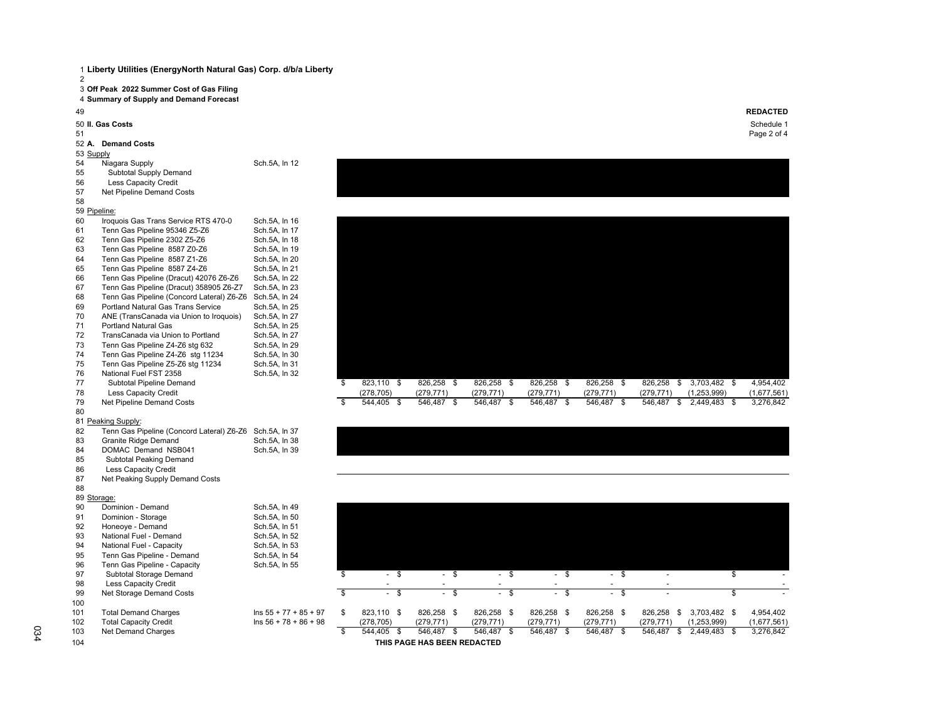| 2            | 1 Liberty Utilities (EnergyNorth Natural Gas) Corp. d/b/a Liberty    |                                |                         |                          |                             |        |            |        |                 |            |        |                |                       |                 |
|--------------|----------------------------------------------------------------------|--------------------------------|-------------------------|--------------------------|-----------------------------|--------|------------|--------|-----------------|------------|--------|----------------|-----------------------|-----------------|
|              | 3 Off Peak 2022 Summer Cost of Gas Filing                            |                                |                         |                          |                             |        |            |        |                 |            |        |                |                       |                 |
|              | 4 Summary of Supply and Demand Forecast                              |                                |                         |                          |                             |        |            |        |                 |            |        |                |                       |                 |
| 49           |                                                                      |                                |                         |                          |                             |        |            |        |                 |            |        |                |                       | <b>REDACTED</b> |
|              | 50 II. Gas Costs                                                     |                                |                         |                          |                             |        |            |        |                 |            |        |                |                       | Schedule 1      |
| 51           |                                                                      |                                |                         |                          |                             |        |            |        |                 |            |        |                |                       | Page 2 of 4     |
|              | 52 A. Demand Costs                                                   |                                |                         |                          |                             |        |            |        |                 |            |        |                |                       |                 |
| 53 Supply    |                                                                      |                                |                         |                          |                             |        |            |        |                 |            |        |                |                       |                 |
| 54           | Niagara Supply                                                       | Sch.5A, In 12                  |                         |                          |                             |        |            |        |                 |            |        |                |                       |                 |
| 55           | Subtotal Supply Demand                                               |                                |                         |                          |                             |        |            |        |                 |            |        |                |                       |                 |
| 56           | Less Capacity Credit                                                 |                                |                         |                          |                             |        |            |        |                 |            |        |                |                       |                 |
| 57           | Net Pipeline Demand Costs                                            |                                |                         |                          |                             |        |            |        |                 |            |        |                |                       |                 |
| 58           |                                                                      |                                |                         |                          |                             |        |            |        |                 |            |        |                |                       |                 |
| 59 Pipeline: |                                                                      |                                |                         |                          |                             |        |            |        |                 |            |        |                |                       |                 |
| 60           | Iroquois Gas Trans Service RTS 470-0                                 | Sch.5A, In 16                  |                         |                          |                             |        |            |        |                 |            |        |                |                       |                 |
| 61           | Tenn Gas Pipeline 95346 Z5-Z6                                        | Sch.5A, In 17                  |                         |                          |                             |        |            |        |                 |            |        |                |                       |                 |
| 62           | Tenn Gas Pipeline 2302 Z5-Z6                                         | Sch.5A, In 18                  |                         |                          |                             |        |            |        |                 |            |        |                |                       |                 |
| 63           | Tenn Gas Pipeline 8587 Z0-Z6                                         | Sch.5A, In 19                  |                         |                          |                             |        |            |        |                 |            |        |                |                       |                 |
| 64           | Tenn Gas Pipeline 8587 Z1-Z6                                         | Sch.5A, In 20                  |                         |                          |                             |        |            |        |                 |            |        |                |                       |                 |
| 65           | Tenn Gas Pipeline 8587 Z4-Z6                                         | Sch.5A, In 21                  |                         |                          |                             |        |            |        |                 |            |        |                |                       |                 |
| 66           | Tenn Gas Pipeline (Dracut) 42076 Z6-Z6                               | Sch.5A, In 22                  |                         |                          |                             |        |            |        |                 |            |        |                |                       |                 |
| 67           | Tenn Gas Pipeline (Dracut) 358905 Z6-Z7                              | Sch.5A, In 23                  |                         |                          |                             |        |            |        |                 |            |        |                |                       |                 |
| 68           | Tenn Gas Pipeline (Concord Lateral) Z6-Z6                            | Sch.5A, In 24                  |                         |                          |                             |        |            |        |                 |            |        |                |                       |                 |
| 69           | Portland Natural Gas Trans Service                                   | Sch.5A, In 25                  |                         |                          |                             |        |            |        |                 |            |        |                |                       |                 |
| 70           | ANE (TransCanada via Union to Iroquois)                              | Sch.5A, In 27                  |                         |                          |                             |        |            |        |                 |            |        |                |                       |                 |
| 71           | <b>Portland Natural Gas</b>                                          | Sch.5A, In 25                  |                         |                          |                             |        |            |        |                 |            |        |                |                       |                 |
| 72<br>73     | TransCanada via Union to Portland                                    | Sch.5A, In 27                  |                         |                          |                             |        |            |        |                 |            |        |                |                       |                 |
| 74           | Tenn Gas Pipeline Z4-Z6 stg 632<br>Tenn Gas Pipeline Z4-Z6 stg 11234 | Sch.5A, In 29<br>Sch.5A, In 30 |                         |                          |                             |        |            |        |                 |            |        |                |                       |                 |
| 75           | Tenn Gas Pipeline Z5-Z6 stg 11234                                    | Sch.5A, In 31                  |                         |                          |                             |        |            |        |                 |            |        |                |                       |                 |
| 76           | National Fuel FST 2358                                               | Sch.5A, In 32                  |                         |                          |                             |        |            |        |                 |            |        |                |                       |                 |
| 77           | Subtotal Pipeline Demand                                             |                                | \$                      | 823,110 \$               | 826,258 \$                  |        | 826,258 \$ |        | 826,258 \$      | 826,258 \$ |        | 826,258 \$     | 3,703,482 \$          | 4,954,402       |
| 78           | Less Capacity Credit                                                 |                                |                         | (278, 705)               | (279, 771)                  |        | (279, 771) |        | (279, 771)      | (279, 771) |        | (279, 771)     | (1,253,999)           | (1,677,561)     |
| 79           | Net Pipeline Demand Costs                                            |                                | \$                      | 544,405<br>\$            | 546,487                     | \$     | 546,487    | \$     | 546,487<br>- \$ | 546,487 \$ |        | 546,487        | \$<br>2,449,483<br>\$ | 3,276,842       |
| 80           |                                                                      |                                |                         |                          |                             |        |            |        |                 |            |        |                |                       |                 |
|              | 81 Peaking Supply:                                                   |                                |                         |                          |                             |        |            |        |                 |            |        |                |                       |                 |
| 82           | Tenn Gas Pipeline (Concord Lateral) Z6-Z6 Sch.5A, In 37              |                                |                         |                          |                             |        |            |        |                 |            |        |                |                       |                 |
| 83           | <b>Granite Ridge Demand</b>                                          | Sch.5A, In 38                  |                         |                          |                             |        |            |        |                 |            |        |                |                       |                 |
| 84           | DOMAC Demand NSB041                                                  | Sch.5A, In 39                  |                         |                          |                             |        |            |        |                 |            |        |                |                       |                 |
| 85           | <b>Subtotal Peaking Demand</b>                                       |                                |                         |                          |                             |        |            |        |                 |            |        |                |                       |                 |
| 86           | <b>Less Capacity Credit</b>                                          |                                |                         |                          |                             |        |            |        |                 |            |        |                |                       |                 |
| 87           | Net Peaking Supply Demand Costs                                      |                                |                         |                          |                             |        |            |        |                 |            |        |                |                       |                 |
| 88           |                                                                      |                                |                         |                          |                             |        |            |        |                 |            |        |                |                       |                 |
| 89 Storage:  |                                                                      |                                |                         |                          |                             |        |            |        |                 |            |        |                |                       |                 |
| 90<br>91     | Dominion - Demand                                                    | Sch.5A, In 49                  |                         |                          |                             |        |            |        |                 |            |        |                |                       |                 |
| 92           | Dominion - Storage<br>Honeoye - Demand                               | Sch.5A, In 50<br>Sch.5A, In 51 |                         |                          |                             |        |            |        |                 |            |        |                |                       |                 |
| 93           | National Fuel - Demand                                               | Sch.5A, In 52                  |                         |                          |                             |        |            |        |                 |            |        |                |                       |                 |
| 94           | National Fuel - Capacity                                             | Sch.5A, In 53                  |                         |                          |                             |        |            |        |                 |            |        |                |                       |                 |
| 95           | Tenn Gas Pipeline - Demand                                           | Sch.5A, In 54                  |                         |                          |                             |        |            |        |                 |            |        |                |                       |                 |
| 96           | Tenn Gas Pipeline - Capacity                                         | Sch.5A, In 55                  |                         |                          |                             |        |            |        |                 |            |        |                |                       |                 |
| 97           | Subtotal Storage Demand                                              |                                | \$                      | -<br>\$                  |                             | $-$ \$ |            | $-$ \$ | $-$ \$          |            | $-$ \$ | $\sim$         |                       | \$              |
| 98           | Less Capacity Credit                                                 |                                |                         |                          |                             |        |            |        |                 |            |        |                |                       |                 |
| 99           | Net Storage Demand Costs                                             |                                | \$                      | <b>S</b><br>$\mathbf{r}$ | $\mathcal{L}_{\mathcal{A}}$ | \$     | $\sim$     | \$     | $-$ \$          |            | $-$ \$ | $\overline{a}$ |                       | \$              |
| 100          |                                                                      |                                |                         |                          |                             |        |            |        |                 |            |        |                |                       |                 |
| 101          | <b>Total Demand Charges</b>                                          | $\ln s$ 55 + 77 + 85 + 97      | \$                      | 823,110 \$               | 826.258 \$                  |        | 826,258 \$ |        | 826,258 \$      | 826,258 \$ |        | 826,258 \$     | 3,703,482 \$          | 4,954,402       |
| 102          | <b>Total Capacity Credit</b>                                         | $\ln 56 + 78 + 86 + 98$        |                         | (278, 705)               | (279, 771)                  |        | (279, 771) |        | (279, 771)      | (279, 771) |        | (279, 771)     | (1,253,999)           | (1,677,561)     |
| 103          | Net Demand Charges                                                   |                                | $\overline{\mathbf{s}}$ | 544,405<br>- \$          | 546,487 \$                  |        | 546,487    | -\$    | 546,487 \$      | 546,487 \$ |        | 546,487        | \$<br>2.449.483       | \$<br>3,276,842 |

**THIS PAGE HAS BEEN REDACTED**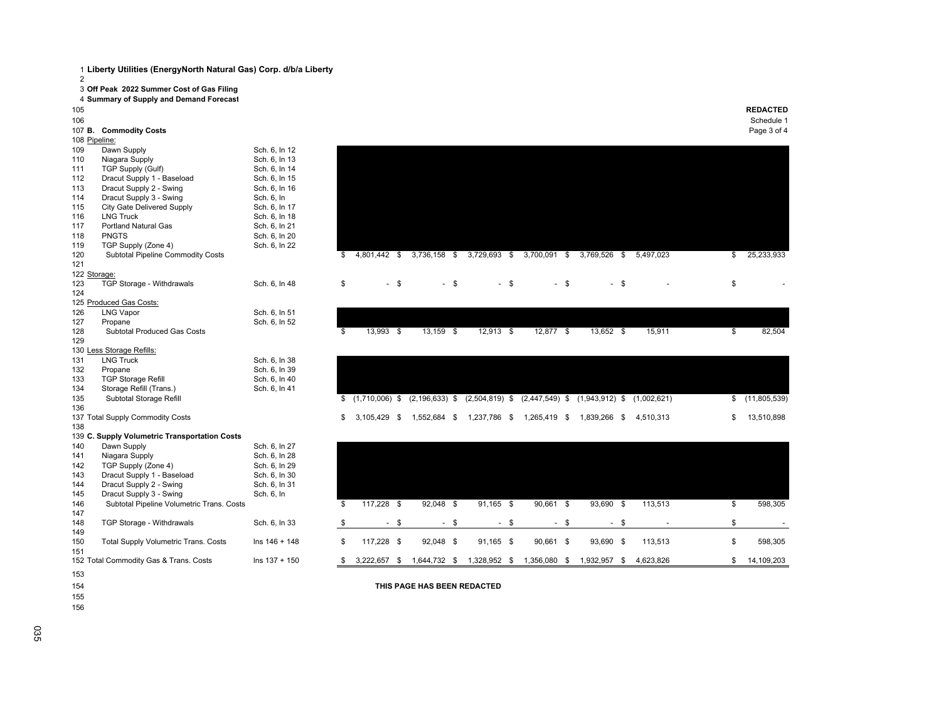| $\overline{2}$ |                                                      |                                |      |                |        |                             |        |              |        |                           |                                                                                           |           |    |                          |
|----------------|------------------------------------------------------|--------------------------------|------|----------------|--------|-----------------------------|--------|--------------|--------|---------------------------|-------------------------------------------------------------------------------------------|-----------|----|--------------------------|
|                | 3 Off Peak 2022 Summer Cost of Gas Filing            |                                |      |                |        |                             |        |              |        |                           |                                                                                           |           |    |                          |
|                | 4 Summary of Supply and Demand Forecast              |                                |      |                |        |                             |        |              |        |                           |                                                                                           |           |    |                          |
| 105            |                                                      |                                |      |                |        |                             |        |              |        |                           |                                                                                           |           |    | <b>REDACTED</b>          |
| 106            |                                                      |                                |      |                |        |                             |        |              |        |                           |                                                                                           |           |    | Schedule 1               |
|                | 107 B. Commodity Costs                               |                                |      |                |        |                             |        |              |        |                           |                                                                                           |           |    | Page 3 of 4              |
|                | 108 Pipeline:                                        |                                |      |                |        |                             |        |              |        |                           |                                                                                           |           |    |                          |
| 109            | Dawn Supply                                          | Sch. 6. In 12                  |      |                |        |                             |        |              |        |                           |                                                                                           |           |    |                          |
| 110            | Niagara Supply                                       | Sch. 6, In 13                  |      |                |        |                             |        |              |        |                           |                                                                                           |           |    |                          |
| 111            | TGP Supply (Gulf)                                    | Sch. 6, In 14                  |      |                |        |                             |        |              |        |                           |                                                                                           |           |    |                          |
| 112            | Dracut Supply 1 - Baseload                           | Sch. 6, In 15                  |      |                |        |                             |        |              |        |                           |                                                                                           |           |    |                          |
| 113            | Dracut Supply 2 - Swing                              | Sch. 6, In 16                  |      |                |        |                             |        |              |        |                           |                                                                                           |           |    |                          |
| 114            | Dracut Supply 3 - Swing                              | Sch. 6. In                     |      |                |        |                             |        |              |        |                           |                                                                                           |           |    |                          |
| 115            | <b>City Gate Delivered Supply</b>                    | Sch. 6, In 17                  |      |                |        |                             |        |              |        |                           |                                                                                           |           |    |                          |
| 116            | <b>LNG Truck</b>                                     | Sch. 6, In 18                  |      |                |        |                             |        |              |        |                           |                                                                                           |           |    |                          |
| 117            | <b>Portland Natural Gas</b>                          | Sch. 6, In 21                  |      |                |        |                             |        |              |        |                           |                                                                                           |           |    |                          |
| 118            | <b>PNGTS</b>                                         | Sch. 6, In 20                  |      |                |        |                             |        |              |        |                           |                                                                                           |           |    |                          |
| 119            | TGP Supply (Zone 4)                                  | Sch. 6, In 22                  |      |                |        |                             |        |              |        |                           |                                                                                           |           |    |                          |
| 120            | <b>Subtotal Pipeline Commodity Costs</b>             |                                |      |                |        | 4,801,442 \$ 3,736,158 \$   |        |              |        | 3,729,693 \$ 3,700,091 \$ | 3,769,526 \$                                                                              | 5,497,023 | \$ | 25,233,933               |
| 121            |                                                      |                                | \$   |                |        |                             |        |              |        |                           |                                                                                           |           |    |                          |
| 122 Storage:   |                                                      |                                |      |                |        |                             |        |              |        |                           |                                                                                           |           |    |                          |
| 123            |                                                      | Sch. 6, In 48                  | \$   |                | $-$ \$ |                             | $-$ \$ |              | $-$ \$ | $-$ \$                    | $-$ \$                                                                                    |           | \$ |                          |
| 124            | TGP Storage - Withdrawals                            |                                |      |                |        |                             |        |              |        |                           |                                                                                           |           |    |                          |
|                | 125 Produced Gas Costs:                              |                                |      |                |        |                             |        |              |        |                           |                                                                                           |           |    |                          |
|                | <b>LNG Vapor</b>                                     | Sch. 6, In 51                  |      |                |        |                             |        |              |        |                           |                                                                                           |           |    |                          |
| 126<br>127     |                                                      | Sch. 6, In 52                  |      |                |        |                             |        |              |        |                           |                                                                                           |           |    |                          |
| 128            | Propane<br><b>Subtotal Produced Gas Costs</b>        |                                | \$   | $13,993$ \$    |        | $13,159$ \$                 |        | $12,913$ \$  |        | $12,877$ \$               | $13,652$ \$                                                                               | 15,911    | \$ | 82,504                   |
| 129            |                                                      |                                |      |                |        |                             |        |              |        |                           |                                                                                           |           |    |                          |
|                |                                                      |                                |      |                |        |                             |        |              |        |                           |                                                                                           |           |    |                          |
| 131            | 130 Less Storage Refills:<br><b>LNG Truck</b>        | Sch. 6, In 38                  |      |                |        |                             |        |              |        |                           |                                                                                           |           |    |                          |
|                |                                                      | Sch. 6, In 39                  |      |                |        |                             |        |              |        |                           |                                                                                           |           |    |                          |
| 132            | Propane                                              | Sch. 6, In 40                  |      |                |        |                             |        |              |        |                           |                                                                                           |           |    |                          |
| 133<br>134     | <b>TGP Storage Refill</b><br>Storage Refill (Trans.) | Sch. 6, In 41                  |      |                |        |                             |        |              |        |                           |                                                                                           |           |    |                          |
| 135            |                                                      |                                |      |                |        |                             |        |              |        |                           |                                                                                           |           |    |                          |
| 136            | Subtotal Storage Refill                              |                                |      |                |        |                             |        |              |        |                           | $$(1,710,006)$ $$(2,196,633)$ $$(2,504,819)$ $$(2,447,549)$ $$(1,943,912)$ $$(1,002,621)$ |           | \$ | (11,805,539)             |
|                |                                                      |                                | \$.  |                |        |                             |        |              |        |                           |                                                                                           |           | \$ |                          |
| 138            | 137 Total Supply Commodity Costs                     |                                |      | $3,105,429$ \$ |        | 1,552,684 \$                |        | 1,237,786 \$ |        | 1,265,419 \$              | 1,839,266 \$                                                                              | 4,510,313 |    | 13,510,898               |
|                | 139 C. Supply Volumetric Transportation Costs        |                                |      |                |        |                             |        |              |        |                           |                                                                                           |           |    |                          |
|                |                                                      |                                |      |                |        |                             |        |              |        |                           |                                                                                           |           |    |                          |
| 140            | Dawn Supply                                          | Sch. 6, In 27<br>Sch. 6, In 28 |      |                |        |                             |        |              |        |                           |                                                                                           |           |    |                          |
| 141            | Niagara Supply                                       |                                |      |                |        |                             |        |              |        |                           |                                                                                           |           |    |                          |
| 142<br>143     | TGP Supply (Zone 4)<br>Dracut Supply 1 - Baseload    | Sch. 6, In 29<br>Sch. 6. In 30 |      |                |        |                             |        |              |        |                           |                                                                                           |           |    |                          |
| 144            |                                                      | Sch. 6, In 31                  |      |                |        |                             |        |              |        |                           |                                                                                           |           |    |                          |
| 145            | Dracut Supply 2 - Swing                              |                                |      |                |        |                             |        |              |        |                           |                                                                                           |           |    |                          |
|                | Dracut Supply 3 - Swing                              | Sch. 6, In                     |      | $117,228$ \$   |        | 92,048 \$                   |        | 91,165 \$    |        | 90,661 \$                 | 93,690 \$                                                                                 | 113,513   |    | 598,305                  |
| 146            | Subtotal Pipeline Volumetric Trans. Costs            |                                | - \$ |                |        |                             |        |              |        |                           |                                                                                           |           | \$ |                          |
| 147            |                                                      |                                |      |                |        |                             |        |              |        |                           |                                                                                           |           |    |                          |
| 148            | TGP Storage - Withdrawals                            | Sch. 6, In 33                  | \$   |                | $-$ \$ |                             | $-$ \$ |              | $-$ \$ | $-$ \$                    | $-$ \$                                                                                    |           | \$ | $\overline{\phantom{a}}$ |
| 149            |                                                      |                                |      |                |        |                             |        |              |        |                           |                                                                                           |           |    |                          |
| 150            | <b>Total Supply Volumetric Trans. Costs</b>          | $\ln s$ 146 + 148              | \$   | 117,228 \$     |        | 92,048 \$                   |        | 91,165 \$    |        | 90,661 \$                 | 93,690 \$                                                                                 | 113,513   | \$ | 598,305                  |
| 151            | 152 Total Commodity Gas & Trans. Costs               | $Ins 137 + 150$                |      | 3,222,657 \$   |        |                             |        |              |        |                           | 1,644,732 \$ 1,328,952 \$ 1,356,080 \$ 1,932,957 \$                                       | 4,623,826 | \$ | 14,109,203               |
|                |                                                      |                                | - \$ |                |        |                             |        |              |        |                           |                                                                                           |           |    |                          |
| 153            |                                                      |                                |      |                |        |                             |        |              |        |                           |                                                                                           |           |    |                          |
| 154            |                                                      |                                |      |                |        | THIS PAGE HAS BEEN REDACTED |        |              |        |                           |                                                                                           |           |    |                          |



Schedule 1

| 133 | TGP Storage Refill               | SCN, 6, IN 40 |                                |          |          |                                                          |           |           |  |                |
|-----|----------------------------------|---------------|--------------------------------|----------|----------|----------------------------------------------------------|-----------|-----------|--|----------------|
| 134 | Storage Refill (Trans.)          | Sch. 6, In 41 |                                |          |          |                                                          |           |           |  |                |
| 135 | Subtotal Storage Refill          |               | \$(1,710,006) \$(2,196,633) \$ |          |          | (2,504,819) \$ (2,447,549) \$ (1,943,912) \$ (1,002,621) |           |           |  | (11, 805, 539) |
| 136 |                                  |               |                                |          |          |                                                          |           |           |  |                |
|     | 137 Total Supply Commodity Costs |               | 3.105.429                      | .552.684 | .237.786 | .265.419 \$                                              | 1.839.266 | 4.510.313 |  | 13,510,898     |

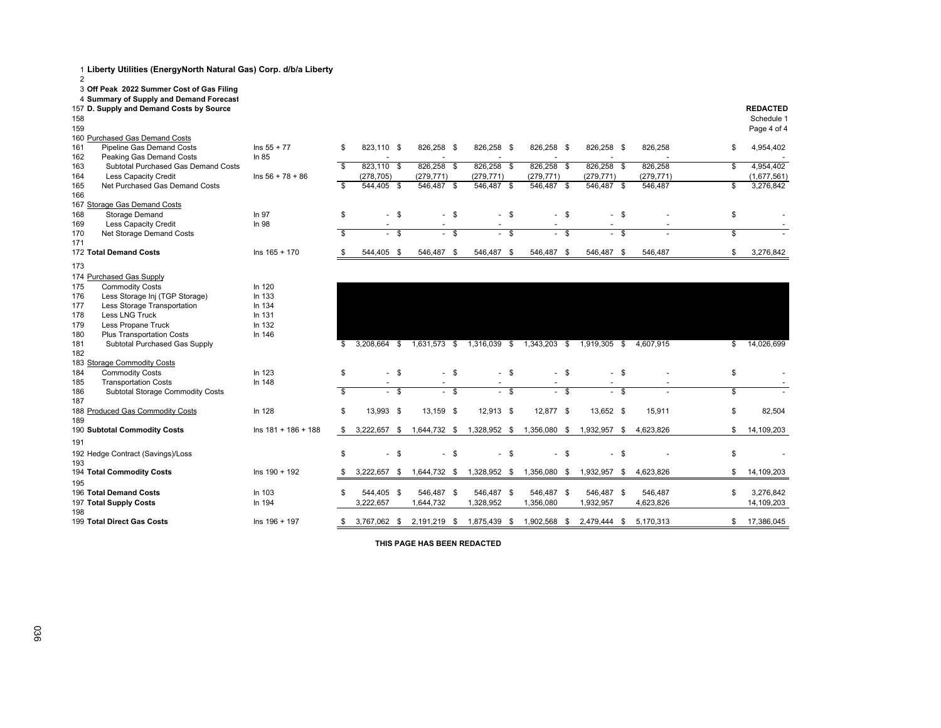| 1 Liberty Utilities (EnergyNorth Natural Gas) Corp. d/b/a Liberty |                         |                           |                             |        |                          |        |                                        |        |              |        |                          |        |                          |                          |
|-------------------------------------------------------------------|-------------------------|---------------------------|-----------------------------|--------|--------------------------|--------|----------------------------------------|--------|--------------|--------|--------------------------|--------|--------------------------|--------------------------|
| $\overline{2}$                                                    |                         |                           |                             |        |                          |        |                                        |        |              |        |                          |        |                          |                          |
| 3 Off Peak 2022 Summer Cost of Gas Filing                         |                         |                           |                             |        |                          |        |                                        |        |              |        |                          |        |                          |                          |
| 4 Summary of Supply and Demand Forecast                           |                         |                           |                             |        |                          |        |                                        |        |              |        |                          |        |                          |                          |
| 157 D. Supply and Demand Costs by Source                          |                         |                           |                             |        |                          |        |                                        |        |              |        |                          |        |                          | <b>REDACTED</b>          |
| 158                                                               |                         |                           |                             |        |                          |        |                                        |        |              |        |                          |        |                          | Schedule 1               |
| 159                                                               |                         |                           |                             |        |                          |        |                                        |        |              |        |                          |        |                          | Page 4 of 4              |
| 160 Purchased Gas Demand Costs                                    |                         |                           |                             |        |                          |        |                                        |        |              |        |                          |        |                          |                          |
| <b>Pipeline Gas Demand Costs</b><br>161                           | $Ins 55 + 77$           | \$                        | 823,110 \$                  |        | 826,258 \$               |        | 826,258 \$                             |        | 826,258 \$   |        | 826,258 \$               |        | 826,258                  | \$<br>4,954,402          |
| 162<br>Peaking Gas Demand Costs                                   | In $85$                 |                           |                             |        |                          |        |                                        |        |              |        |                          |        |                          |                          |
| Subtotal Purchased Gas Demand Costs<br>163                        |                         | \$                        | 823,110 \$                  |        | 826,258 \$               |        | 826,258 \$                             |        | 826,258 \$   |        | 826,258 \$               |        | 826,258                  | \$<br>4,954,402          |
| Less Capacity Credit<br>164                                       | $\ln s$ 56 + 78 + 86    |                           | (278, 705)                  |        | (279, 771)               |        | (279, 771)                             |        | (279, 771)   |        | (279, 771)               |        | (279, 771)               | (1,677,561)              |
| 165<br>Net Purchased Gas Demand Costs                             |                         | s,                        | 544,405 \$                  |        | 546,487 \$               |        | 546,487 \$                             |        | 546,487 \$   |        | 546,487 \$               |        | 546,487                  | \$<br>3,276,842          |
| 166                                                               |                         |                           |                             |        |                          |        |                                        |        |              |        |                          |        |                          |                          |
| 167 Storage Gas Demand Costs                                      |                         |                           |                             |        |                          |        |                                        |        |              |        |                          |        |                          |                          |
| Storage Demand<br>168                                             | In 97                   | \$                        | $\sim$                      | \$     |                          | $-$ \$ |                                        | $-$ \$ |              | $-$ \$ |                          | $-$ \$ |                          | \$                       |
| Less Capacity Credit<br>169                                       | In 98                   |                           | $\overline{\phantom{a}}$    |        | $\overline{\phantom{a}}$ |        | $\sim$                                 |        | $\sim$       |        | $\overline{\phantom{a}}$ |        | $\overline{\phantom{a}}$ | $\overline{\phantom{a}}$ |
| Net Storage Demand Costs<br>170                                   |                         | $\overline{\mathfrak{s}}$ |                             | .<br>S |                          | - s    |                                        | $-$ \$ |              | $-$ \$ |                          | .<br>S |                          | \$                       |
| 171                                                               |                         |                           |                             |        |                          |        |                                        |        |              |        |                          |        |                          |                          |
| 172 Total Demand Costs                                            | $\ln s$ 165 + 170       | \$                        | 544,405 \$                  |        | 546,487 \$               |        | 546,487 \$                             |        | 546,487 \$   |        | 546,487 \$               |        | 546,487                  | \$<br>3,276,842          |
| 173                                                               |                         |                           |                             |        |                          |        |                                        |        |              |        |                          |        |                          |                          |
|                                                                   |                         |                           |                             |        |                          |        |                                        |        |              |        |                          |        |                          |                          |
| 174 Purchased Gas Supply                                          |                         |                           |                             |        |                          |        |                                        |        |              |        |                          |        |                          |                          |
| <b>Commodity Costs</b><br>175                                     | In 120                  |                           |                             |        |                          |        |                                        |        |              |        |                          |        |                          |                          |
| Less Storage Inj (TGP Storage)<br>176                             | In 133                  |                           |                             |        |                          |        |                                        |        |              |        |                          |        |                          |                          |
| Less Storage Transportation<br>177                                | In 134                  |                           |                             |        |                          |        |                                        |        |              |        |                          |        |                          |                          |
| <b>Less LNG Truck</b><br>178                                      | In 131                  |                           |                             |        |                          |        |                                        |        |              |        |                          |        |                          |                          |
| Less Propane Truck<br>179                                         | In 132                  |                           |                             |        |                          |        |                                        |        |              |        |                          |        |                          |                          |
| 180<br><b>Plus Transportation Costs</b>                           | In 146                  |                           |                             |        |                          |        |                                        |        |              |        |                          |        |                          |                          |
| 181<br>Subtotal Purchased Gas Supply                              |                         | S                         | 3,208,664 \$                |        |                          |        | 1,631,573 \$ 1,316,039 \$ 1,343,203 \$ |        |              |        | 1,919,305 \$             |        | 4.607.915                | \$<br>14,026,699         |
| 182                                                               |                         |                           |                             |        |                          |        |                                        |        |              |        |                          |        |                          |                          |
| 183 Storage Commodity Costs                                       |                         |                           |                             |        |                          |        |                                        |        |              |        |                          |        |                          |                          |
| <b>Commodity Costs</b><br>184                                     | In 123                  | \$                        |                             | - \$   |                          | - \$   |                                        | $-$ \$ |              | $-$ \$ |                          | - \$   |                          | \$                       |
| <b>Transportation Costs</b><br>185                                | In 148                  |                           |                             |        |                          |        |                                        |        |              |        |                          |        |                          |                          |
| 186<br><b>Subtotal Storage Commodity Costs</b>                    |                         | s,                        |                             | \$     |                          |        |                                        | \$     |              |        |                          | Ŝ.     |                          | \$                       |
| 187                                                               |                         |                           |                             |        |                          |        |                                        |        |              |        |                          |        |                          |                          |
| 188 Produced Gas Commodity Costs                                  | In 128                  | \$                        | 13,993 \$                   |        | 13,159 \$                |        | 12,913 \$                              |        | 12,877 \$    |        | 13,652 \$                |        | 15,911                   | \$<br>82,504             |
| 189                                                               |                         |                           |                             |        |                          |        |                                        |        |              |        |                          |        |                          |                          |
| 190 Subtotal Commodity Costs                                      | $\ln s$ 181 + 186 + 188 | \$                        | 3,222,657                   | -\$    | 1,644,732 \$             |        | 1,328,952 \$                           |        | 1,356,080 \$ |        | 1,932,957                | \$     | 4,623,826                | \$<br>14,109,203         |
| 191                                                               |                         |                           |                             |        |                          |        |                                        |        |              |        |                          |        |                          |                          |
| 192 Hedge Contract (Savings)/Loss                                 |                         | \$                        | $\mathcal{L}_{\mathcal{A}}$ | \$     | - \$                     |        |                                        | $-$ \$ |              | - \$   |                          | $-$ \$ |                          | \$                       |
| 193                                                               |                         |                           |                             |        |                          |        |                                        |        |              |        |                          |        |                          |                          |
| 194 Total Commodity Costs                                         | $Ins 190 + 192$         | \$.                       | 3,222,657 \$                |        | 1,644,732 \$             |        | 1,328,952 \$                           |        | 1,356,080 \$ |        | 1,932,957 \$             |        | 4,623,826                | \$<br>14,109,203         |
| 195                                                               |                         |                           |                             |        |                          |        |                                        |        |              |        |                          |        |                          |                          |
| 196 Total Demand Costs                                            | In 103                  | \$                        | 544,405 \$                  |        | 546,487 \$               |        | 546,487 \$                             |        | 546,487 \$   |        | 546,487 \$               |        | 546,487                  | \$<br>3,276,842          |
| 197 Total Supply Costs                                            | In 194                  |                           | 3,222,657                   |        | 1,644,732                |        | 1,328,952                              |        | 1,356,080    |        | 1,932,957                |        | 4,623,826                | 14,109,203               |
| 198                                                               |                         |                           |                             |        |                          |        |                                        |        |              |        |                          |        |                          |                          |
| 199 Total Direct Gas Costs                                        | $Ins 196 + 197$         | \$                        | 3,767,062 \$                |        | 2,191,219 \$             |        | 1,875,439 \$                           |        | 1,902,568 \$ |        | 2,479,444 \$             |        | 5.170.313                | \$<br>17,386,045         |
|                                                                   |                         |                           |                             |        |                          |        |                                        |        |              |        |                          |        |                          |                          |

**THIS PAGE HAS BEEN REDACTED**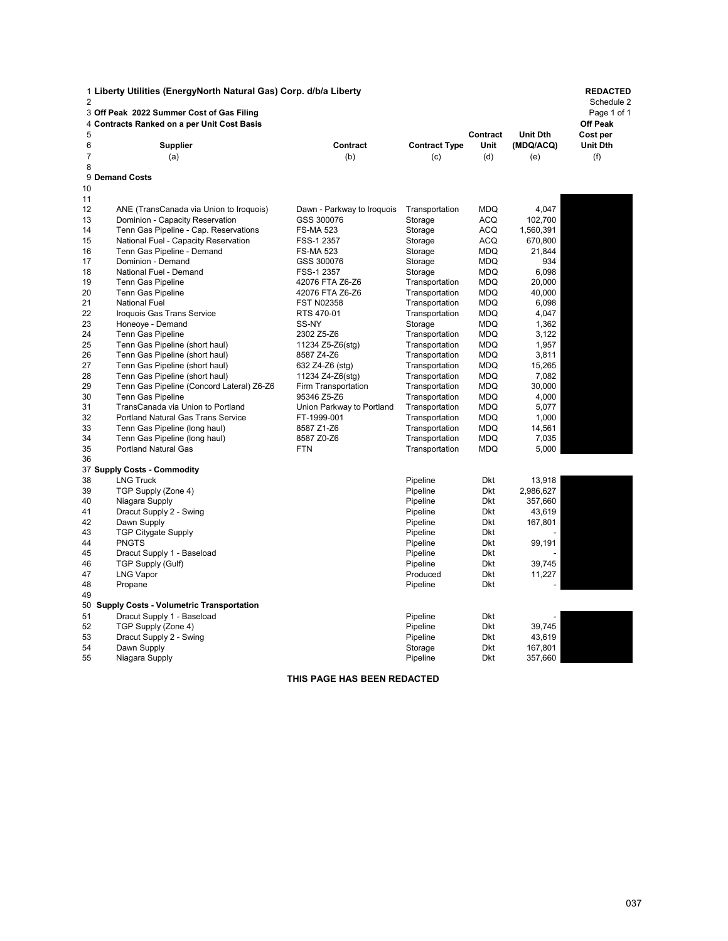|                | 1 Liberty Utilities (EnergyNorth Natural Gas) Corp. d/b/a Liberty |                            |                      |            |           | <b>REDACTED</b> |
|----------------|-------------------------------------------------------------------|----------------------------|----------------------|------------|-----------|-----------------|
| 2              |                                                                   |                            |                      |            |           | Schedule 2      |
|                | 3 Off Peak 2022 Summer Cost of Gas Filing                         |                            |                      |            |           | Page 1 of 1     |
|                | 4 Contracts Ranked on a per Unit Cost Basis                       |                            |                      |            |           | <b>Off Peak</b> |
| 5              |                                                                   |                            |                      | Contract   | Unit Dth  | Cost per        |
| 6              | <b>Supplier</b>                                                   | Contract                   | <b>Contract Type</b> | Unit       | (MDQ/ACQ) | <b>Unit Dth</b> |
| $\overline{7}$ | (a)                                                               | (b)                        | (c)                  | (d)        | (e)       | (f)             |
| 8              |                                                                   |                            |                      |            |           |                 |
|                | 9 Demand Costs                                                    |                            |                      |            |           |                 |
| 10             |                                                                   |                            |                      |            |           |                 |
| 11             |                                                                   |                            |                      |            |           |                 |
| 12             | ANE (TransCanada via Union to Iroquois)                           | Dawn - Parkway to Iroquois | Transportation       | <b>MDQ</b> | 4,047     |                 |
| 13             | Dominion - Capacity Reservation                                   | GSS 300076                 | Storage              | <b>ACQ</b> | 102,700   |                 |
| 14             | Tenn Gas Pipeline - Cap. Reservations                             | <b>FS-MA 523</b>           | Storage              | <b>ACQ</b> | 1,560,391 |                 |
| 15             | National Fuel - Capacity Reservation                              | FSS-1 2357                 | Storage              | <b>ACQ</b> | 670,800   |                 |
| 16             | Tenn Gas Pipeline - Demand                                        | <b>FS-MA 523</b>           | Storage              | <b>MDQ</b> | 21,844    |                 |
| 17             | Dominion - Demand                                                 | GSS 300076                 | Storage              | <b>MDQ</b> | 934       |                 |
| 18             | National Fuel - Demand                                            | FSS-1 2357                 | Storage              | <b>MDQ</b> | 6,098     |                 |
| 19             | Tenn Gas Pipeline                                                 | 42076 FTA Z6-Z6            | Transportation       | <b>MDQ</b> | 20,000    |                 |
| 20             | Tenn Gas Pipeline                                                 | 42076 FTA Z6-Z6            | Transportation       | <b>MDQ</b> | 40,000    |                 |
| 21             | <b>National Fuel</b>                                              | <b>FST N02358</b>          | Transportation       | <b>MDQ</b> | 6,098     |                 |
| 22             | Iroquois Gas Trans Service                                        | RTS 470-01                 | Transportation       | <b>MDQ</b> | 4,047     |                 |
| 23             | Honeoye - Demand                                                  | SS-NY                      | Storage              | <b>MDQ</b> | 1,362     |                 |
| 24             | Tenn Gas Pipeline                                                 | 2302 Z5-Z6                 | Transportation       | <b>MDQ</b> | 3,122     |                 |
| 25             | Tenn Gas Pipeline (short haul)                                    | 11234 Z5-Z6(stg)           | Transportation       | <b>MDQ</b> | 1,957     |                 |
| 26             | Tenn Gas Pipeline (short haul)                                    | 8587 Z4-Z6                 | Transportation       | <b>MDQ</b> | 3,811     |                 |
| 27             | Tenn Gas Pipeline (short haul)                                    | 632 Z4-Z6 (stg)            | Transportation       | <b>MDQ</b> | 15,265    |                 |
| 28             | Tenn Gas Pipeline (short haul)                                    | 11234 Z4-Z6(stg)           | Transportation       | <b>MDQ</b> | 7,082     |                 |
| 29             | Tenn Gas Pipeline (Concord Lateral) Z6-Z6                         | Firm Transportation        | Transportation       | <b>MDQ</b> | 30,000    |                 |
| 30             | Tenn Gas Pipeline                                                 | 95346 Z5-Z6                | Transportation       | <b>MDQ</b> | 4,000     |                 |
| 31             | TransCanada via Union to Portland                                 | Union Parkway to Portland  | Transportation       | <b>MDQ</b> | 5,077     |                 |
| 32             | <b>Portland Natural Gas Trans Service</b>                         | FT-1999-001                | Transportation       | <b>MDQ</b> | 1,000     |                 |
| 33             | Tenn Gas Pipeline (long haul)                                     | 8587 Z1-Z6                 | Transportation       | <b>MDQ</b> | 14,561    |                 |
| 34             | Tenn Gas Pipeline (long haul)                                     | 8587 Z0-Z6                 | Transportation       | <b>MDQ</b> | 7,035     |                 |
| 35             | <b>Portland Natural Gas</b>                                       | <b>FTN</b>                 | Transportation       | <b>MDQ</b> | 5,000     |                 |
| 36             |                                                                   |                            |                      |            |           |                 |
|                | 37 Supply Costs - Commodity                                       |                            |                      |            |           |                 |
| 38             | <b>LNG Truck</b>                                                  |                            | Pipeline             | Dkt        | 13,918    |                 |
| 39             | TGP Supply (Zone 4)                                               |                            | Pipeline             | Dkt        | 2,986,627 |                 |
| 40             | Niagara Supply                                                    |                            | Pipeline             | <b>Dkt</b> | 357,660   |                 |
| 41             | Dracut Supply 2 - Swing                                           |                            | Pipeline             | Dkt        | 43,619    |                 |
| 42             | Dawn Supply                                                       |                            | Pipeline             | Dkt        | 167,801   |                 |
| 43             | <b>TGP Citygate Supply</b>                                        |                            | Pipeline             | <b>Dkt</b> |           |                 |
| 44             | <b>PNGTS</b>                                                      |                            | Pipeline             | <b>Dkt</b> | 99,191    |                 |
| 45             | Dracut Supply 1 - Baseload                                        |                            | Pipeline             | Dkt        |           |                 |
| 46             | TGP Supply (Gulf)                                                 |                            | Pipeline             | Dkt        | 39,745    |                 |
| 47             | <b>LNG Vapor</b>                                                  |                            | Produced             | <b>Dkt</b> | 11,227    |                 |
| 48             | Propane                                                           |                            | Pipeline             | Dkt        |           |                 |
| 49             |                                                                   |                            |                      |            |           |                 |
| 50             | Supply Costs - Volumetric Transportation                          |                            |                      |            |           |                 |
| 51             | Dracut Supply 1 - Baseload                                        |                            | Pipeline             | <b>Dkt</b> |           |                 |
| 52             | TGP Supply (Zone 4)                                               |                            | Pipeline             | Dkt        | 39,745    |                 |
| 53             | Dracut Supply 2 - Swing                                           |                            | Pipeline             | <b>Dkt</b> | 43,619    |                 |
| 54             | Dawn Supply                                                       |                            | Storage              | <b>Dkt</b> | 167,801   |                 |
| 55             | Niagara Supply                                                    |                            | Pipeline             | Dkt        | 357,660   |                 |

**THIS PAGE HAS BEEN REDACTED**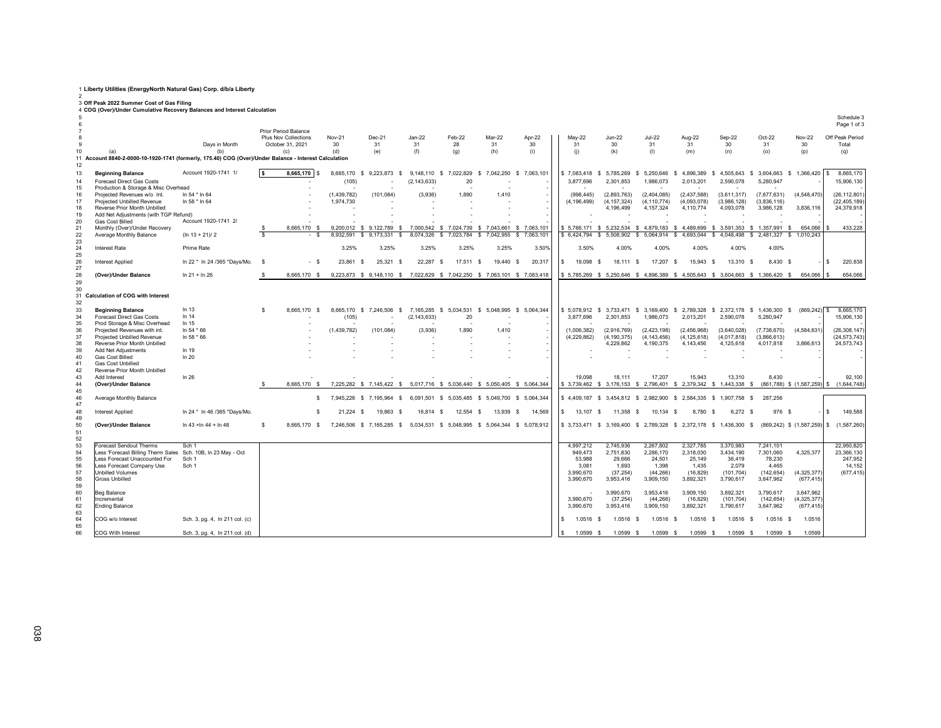| 2 |                                                                          |
|---|--------------------------------------------------------------------------|
|   | 3 Off Peak 2022 Summer Cost of Gas Filing                                |
|   | 4 COG (Over)/Under Cumulative Recovery Balances and Interest Calculation |
| 5 |                                                                          |

|                      | Schedule 3  |
|----------------------|-------------|
|                      | Page 1 of 3 |
| Prior Period Balance |             |

|          |                                                                                                     |                                |          |                                                 |              |                                                                       |               |                        |                                                  |              |                                                                                            |                     |                        |                                                                            |                           |                     |                                    | Page 1 of 3                             |
|----------|-----------------------------------------------------------------------------------------------------|--------------------------------|----------|-------------------------------------------------|--------------|-----------------------------------------------------------------------|---------------|------------------------|--------------------------------------------------|--------------|--------------------------------------------------------------------------------------------|---------------------|------------------------|----------------------------------------------------------------------------|---------------------------|---------------------|------------------------------------|-----------------------------------------|
|          |                                                                                                     |                                |          | <b>Prior Period Balance</b>                     |              |                                                                       |               |                        |                                                  |              |                                                                                            |                     |                        |                                                                            |                           |                     |                                    |                                         |
|          |                                                                                                     | Days in Month                  |          | <b>Plus Nov Collections</b><br>October 31, 2021 | Nov-21<br>30 | Dec-21<br>31                                                          | Jan-22<br>31  | Feb-22<br>28           | Mar-22<br>31                                     | Apr-22<br>30 | May-22<br>31                                                                               | <b>Jun-22</b><br>30 | Jul-22<br>31           | Aug-22<br>31                                                               | Sep-22<br>30              | $Oct-22$<br>31      | <b>Nov-22</b><br>30                | Off Peak Period<br>Total                |
|          | (a)                                                                                                 | (b)                            |          | (c)                                             | (d)          | (e)                                                                   | (f)           | (g)                    | (h)                                              | (i)          | (i)                                                                                        | (k)                 | (1)                    | (m)                                                                        | (n)                       | (o)                 | (p)                                | (q)                                     |
|          | Account 8840-2-0000-10-1920-1741 (formerly, 175.40) COG (Over)/Under Balance - Interest Calculation |                                |          |                                                 |              |                                                                       |               |                        |                                                  |              |                                                                                            |                     |                        |                                                                            |                           |                     |                                    |                                         |
| 12       |                                                                                                     |                                |          |                                                 |              |                                                                       |               |                        |                                                  |              |                                                                                            |                     |                        |                                                                            |                           |                     |                                    |                                         |
| 13       | <b>Beginning Balance</b>                                                                            | Account 1920-1741 1/           |          | 8,665,170                                       | 8,665,170    | 9,223,873<br>-S<br><b>S</b>                                           |               | 9,148,110 \$ 7,022,829 | 7,042,250 \$ 7,063,101<br>$\mathsf{S}$           |              | \$7,083,418<br>- \$                                                                        | 5,785,269           | 5,250,646<br>\$        | 4,896,389<br>- S                                                           | 4,505,643<br>$\mathbf{S}$ | 3,604,663 \$<br>s.  | 1,366,420                          | 8,665,170<br>l s                        |
|          | Forecast Direct Gas Costs                                                                           |                                |          |                                                 | (105)        |                                                                       | (2, 143, 633) | 20                     |                                                  |              | 3.877.696                                                                                  | 2.301.853           | 1,986,073              | 2,013,201                                                                  | 2.590.078                 | 5.280.947           |                                    | 15,906,130                              |
| 15       | Production & Storage & Misc Overhead                                                                |                                |          |                                                 |              |                                                                       |               |                        |                                                  |              |                                                                                            |                     |                        |                                                                            |                           |                     |                                    |                                         |
| 16       | Projected Revenues w/o Int.                                                                         | In 54 * In 64                  |          |                                                 | (1,439,782)  | (101, 084)                                                            | (3,936)       | 1.890                  | 1.410                                            |              | (998, 445)                                                                                 | (2,893,763)         | (2,404,085)            | (2, 437, 588)                                                              | (3,611,317)               | (7,677,631)         | (4,548,470)                        | (26, 112, 801)                          |
|          | Projected Unbilled Revenue                                                                          | In 58 * In 64                  |          |                                                 | 1,974,730    |                                                                       |               |                        |                                                  |              | (4, 196, 499)                                                                              | (4, 157, 324)       | (4, 110, 774)          | (4.093.078)                                                                | (3.986.128)               | (3.836.116)         |                                    | (22, 405, 189)                          |
|          | Reverse Prior Month Unbilled                                                                        |                                |          |                                                 |              |                                                                       |               |                        |                                                  |              |                                                                                            | 4,196,499           | 4, 157, 324            | 4,110,774                                                                  | 4,093,078                 | 3,986,128           | 3,836,116                          | 24,379,918                              |
| 19       | Add Net Adiustments (with TGP Refund)                                                               |                                |          |                                                 |              |                                                                       |               |                        |                                                  |              |                                                                                            |                     |                        |                                                                            |                           |                     |                                    |                                         |
| 20       | Gas Cost Billed                                                                                     | Account 1920-1741 2/           |          |                                                 |              |                                                                       |               |                        |                                                  |              |                                                                                            |                     |                        |                                                                            |                           |                     |                                    |                                         |
| 21       | Monthly (Over)/Under Recovery                                                                       |                                | -S       | 8,665,170<br>- S                                |              | 9,200,012 \$ 9,122,789<br>- S                                         |               |                        | 7,000,542 \$ 7,024,739 \$ 7,043,661 \$           | 7,063,101    | \$5,766,171 \$5,232,534 \$4,879,183                                                        |                     |                        | \$4,489,699                                                                | \$3,591,353               | 1,357,991<br>-S     | 654.066<br>- \$                    | 433,228                                 |
| 22       | Average Monthly Balance                                                                             | $(ln 13 + 21)/2$               | -S       | - S                                             | 8.932.591    | \$9.173.331<br>s.                                                     |               |                        | 8.074.326 \$ 7.023.784 \$ 7.042.955 \$ 7.063.101 |              | \$ 6,424,794 \$ 5,508,902 \$ 5,064,914 \$ 4,693,044 \$ 4,048,498 \$ 2,481,327 \$ 1,010,243 |                     |                        |                                                                            |                           |                     |                                    |                                         |
| 23       |                                                                                                     |                                |          |                                                 |              |                                                                       |               |                        |                                                  |              |                                                                                            |                     |                        |                                                                            |                           |                     |                                    |                                         |
| 24       | <b>Interest Rate</b>                                                                                | Prime Rate                     |          |                                                 | 3.25%        | 3.25%                                                                 | 3.25%         | 3.25%                  | 3.25%                                            | 3.50%        | 3.50%                                                                                      | 4.00%               | 4.00%                  | 4.00%                                                                      | 4.00%                     | 4.00%               |                                    |                                         |
| 25<br>26 | <b>Interest Applied</b>                                                                             | In 22 * In 24 /365 *Days/Mo.   | <b>S</b> | $-$ S                                           | 23.861       | 25.321 S<br>- \$                                                      | 22.287<br>- S | 17.511 \$              | 19,440<br>- S                                    | 20,317       | $\mathbb{S}$<br>19.098<br>$\mathbf{s}$                                                     | 18.111 \$           | 17.207                 | 15.943<br>- S<br>-S                                                        | 13.310 S                  | 8.430 \$            |                                    | 220,838<br>l s                          |
| 27       |                                                                                                     |                                |          |                                                 |              |                                                                       |               |                        |                                                  |              |                                                                                            |                     |                        |                                                                            |                           |                     |                                    |                                         |
| 28       | (Over)/Under Balance                                                                                | $ln 21 + ln 26$                | -S       | 8.665.170 S                                     |              | 9,223,873 \$ 9,148,110 \$                                             |               |                        | 7,022,829 \$7,042,250 \$7,063,101 \$7,083,418    |              |                                                                                            |                     |                        | \$5,785,269 \$5,250,646 \$4,896,389 \$4,505,643 \$3,604,663 \$1,366,420 \$ |                           |                     | 654,066                            | 654,066                                 |
| 29       |                                                                                                     |                                |          |                                                 |              |                                                                       |               |                        |                                                  |              |                                                                                            |                     |                        |                                                                            |                           |                     |                                    |                                         |
| 3ſ       |                                                                                                     |                                |          |                                                 |              |                                                                       |               |                        |                                                  |              |                                                                                            |                     |                        |                                                                            |                           |                     |                                    |                                         |
|          | <b>Calculation of COG with Interest</b>                                                             |                                |          |                                                 |              |                                                                       |               |                        |                                                  |              |                                                                                            |                     |                        |                                                                            |                           |                     |                                    |                                         |
| 32       |                                                                                                     |                                |          |                                                 |              |                                                                       |               |                        |                                                  |              |                                                                                            |                     |                        |                                                                            |                           |                     |                                    |                                         |
| 33       | <b>Beginning Balance</b>                                                                            | In 13                          | <b>S</b> | 8.665.170<br>- S                                | 8.665.170    | 7.246.506<br>- \$<br>- S                                              | 7.165.285     | \$ 5.034,531           | 5.048.995<br><b>S</b><br>$\mathbf{s}$            | 5.064.344    | 5.078.912 \$ 3.733.471<br>\$.                                                              |                     | \$3,169,400            | \$2.789.328                                                                | \$2.372.178               | 1.436.300 \$<br>- S | $(869.242)$ S                      | 8,665,170                               |
| 34       | Forecast Direct Gas Costs                                                                           | ln 14                          |          |                                                 | (105)        |                                                                       | (2, 143, 633) | 20                     |                                                  |              | 3.877.696                                                                                  | 2.301.853           | 1,986,073              | 2.013.201                                                                  | 2.590.078                 | 5.280.947           |                                    | 15.906.130                              |
| 35       | Prod Storage & Misc Overhead                                                                        | In 15                          |          |                                                 |              |                                                                       |               |                        |                                                  |              |                                                                                            |                     |                        |                                                                            |                           |                     |                                    |                                         |
| 36       | Projected Revenues with int.                                                                        | In 54 * 66                     |          |                                                 | (1,439,782)  | (101, 084)                                                            | (3.936)       | 1,890                  | 1,410                                            |              | (1,006,382)                                                                                | (2,916,769)         | (2, 423, 198)          | (2,456,968)                                                                | (3,640,028)               | (7,738,670)         | (4, 584, 631)                      | (26, 308, 147)                          |
|          | Projected Unbilled Revenue                                                                          | In 58 * 66                     |          |                                                 |              |                                                                       |               |                        |                                                  |              | (4, 229, 862)                                                                              | (4, 190, 375)       | (4, 143, 456)          | (4, 125, 618)                                                              | (4,017,818)               | (3,866,613)         |                                    | (24,573,743)                            |
|          | Reverse Prior Month Unbilled                                                                        | In 19                          |          |                                                 |              |                                                                       |               |                        |                                                  |              |                                                                                            | 4,229,862           | 4,190,375              | 4,143,456                                                                  | 4,125,618                 | 4,017,818           | 3,866,613                          | 24,573,743                              |
| 39<br>40 | Add Net Adjustments<br>Gas Cost Billed                                                              | ln 20                          |          |                                                 |              |                                                                       |               |                        |                                                  |              |                                                                                            |                     |                        |                                                                            |                           |                     |                                    |                                         |
|          | <b>Gas Cost Unbilled</b>                                                                            |                                |          |                                                 |              |                                                                       |               |                        |                                                  |              |                                                                                            |                     |                        |                                                                            |                           |                     |                                    |                                         |
| 42       | Reverse Prior Month Unbilled                                                                        |                                |          |                                                 |              |                                                                       |               |                        |                                                  |              |                                                                                            |                     |                        |                                                                            |                           |                     |                                    |                                         |
|          | Add Interest                                                                                        | In $26$                        |          |                                                 |              |                                                                       |               |                        |                                                  |              | 19.098                                                                                     | 18.111              | 17.207                 | 15.943                                                                     | 13.310                    | 8.430               |                                    | 92.100                                  |
| 44       | (Over)/Under Balance                                                                                |                                |          | 8,665,170 \$                                    |              | 7,225,282 \$7,145,422 \$5,017,716 \$5,036,440 \$5,050,405 \$5,064,344 |               |                        |                                                  |              |                                                                                            |                     |                        | \$ 3,739,462 \$ 3,176,153 \$ 2,796,401 \$ 2,379,342 \$ 1,443,338 \$        |                           |                     |                                    | (861,788) \$ (1,587,259) \$ (1,644,748) |
|          |                                                                                                     |                                |          |                                                 |              |                                                                       |               |                        |                                                  |              |                                                                                            |                     |                        |                                                                            |                           |                     |                                    |                                         |
|          | Average Monthly Balance                                                                             |                                |          | <b>s</b>                                        |              | 7,945,226 \$ 7,195,964<br>s                                           | 6,091,501     | \$5,035,485            | 5,049,700<br>\$<br>- S                           | 5,064,344    | \$4,409,187                                                                                | \$ 3,454,812        | \$<br>2.982.900        | 2,584,335<br>s                                                             | 1.907.758<br>s.           | 287,256<br>s.       |                                    |                                         |
|          |                                                                                                     |                                |          |                                                 |              |                                                                       |               |                        |                                                  |              |                                                                                            |                     |                        |                                                                            |                           |                     |                                    |                                         |
| 48       | <b>Interest Applied</b>                                                                             | In 24 * In 46 /365 *Days/Mo.   |          | <b>s</b>                                        | $21,224$ \$  | 19,863<br>- S                                                         | 16,814        | 12,554<br>- S          | 13,939<br>- \$<br>- S                            | 14,569       | s.<br>13,107<br>- S                                                                        | 11,358              | 10,134<br>-S           | 8,780<br>- S<br>-S                                                         | $6,272$ \$                | 976 \$              |                                    | 149,588<br>s                            |
| 49       |                                                                                                     |                                |          |                                                 |              |                                                                       |               |                        |                                                  |              |                                                                                            |                     |                        |                                                                            |                           |                     |                                    |                                         |
| 50       | (Over)/Under Balance                                                                                | In 43 +In 44 + In 48           | <b>s</b> | 8,665,170 \$                                    |              | 7,246,506 \$ 7,165,285<br>$\mathbb{S}$                                | 5,034,531     | \$ 5,048,995           | \$ 5,064,344 \$ 5,078,912                        |              |                                                                                            |                     |                        | \$3,733,471 \$3,169,400 \$2,789,328 \$2,372,178 \$1,436,300                |                           | s                   | $(869, 242)$ \$ $(1, 587, 259)$ \$ | (1,587,260)                             |
| 51       |                                                                                                     |                                |          |                                                 |              |                                                                       |               |                        |                                                  |              |                                                                                            |                     |                        |                                                                            |                           |                     |                                    |                                         |
| 52<br>53 | <b>Forecast Sendout Therms</b>                                                                      | Sch <sub>1</sub>               |          |                                                 |              |                                                                       |               |                        |                                                  |              | 4.997.212                                                                                  | 2.745.936           | 2.267.802              | 2.327.785                                                                  | 3.370.983                 | 7.241.101           |                                    | 22.950.820                              |
| 54       | Less 'Forecast Billing Therm Sales Sch. 10B, In 23 May - Oct                                        |                                |          |                                                 |              |                                                                       |               |                        |                                                  |              | 949.473                                                                                    | 2.751.830           | 2,286,170              | 2.318.030                                                                  | 3.434.190                 | 7.301.060           | 4.325.377                          | 23.366.130                              |
| 55       | Less Forecast Unaccounted For                                                                       | Sch 1                          |          |                                                 |              |                                                                       |               |                        |                                                  |              | 53,988                                                                                     | 29,666              | 24.501                 | 25.149                                                                     | 36.419                    | 78,230              |                                    | 247.952                                 |
| 56       | Less Forecast Company Use                                                                           | Sch 1                          |          |                                                 |              |                                                                       |               |                        |                                                  |              | 3,081                                                                                      | 1.693               | 1,398                  | 1.435                                                                      | 2,079                     | 4.465               |                                    | 14,152                                  |
| 57       | <b>Unbilled Volumes</b>                                                                             |                                |          |                                                 |              |                                                                       |               |                        |                                                  |              | 3.990.670                                                                                  | (37, 254)           | (44, 266)              | (16, 829)                                                                  | (101, 704)                | (142, 654)          | (4,325,377)                        | (677, 415)                              |
| 58       | <b>Gross Unbilled</b>                                                                               |                                |          |                                                 |              |                                                                       |               |                        |                                                  |              | 3,990,670                                                                                  | 3,953,416           | 3,909,150              | 3,892,321                                                                  | 3,790,617                 | 3,647,962           | (677, 415)                         |                                         |
| 59       |                                                                                                     |                                |          |                                                 |              |                                                                       |               |                        |                                                  |              |                                                                                            |                     |                        |                                                                            |                           |                     |                                    |                                         |
| 60       | <b>Beg Balance</b>                                                                                  |                                |          |                                                 |              |                                                                       |               |                        |                                                  |              |                                                                                            | 3,990,670           | 3,953,416              | 3,909,150                                                                  | 3,892,321                 | 3,790,617           | 3,647,962                          |                                         |
| 61       | Incremental                                                                                         |                                |          |                                                 |              |                                                                       |               |                        |                                                  |              | 3,990,670                                                                                  | (37, 254)           | (44, 266)              | (16, 829)                                                                  | (101, 704)                | (142, 654)          | (4, 325, 377)                      |                                         |
| 62       | <b>Ending Balance</b>                                                                               |                                |          |                                                 |              |                                                                       |               |                        |                                                  |              | 3,990,670                                                                                  | 3,953,416           | 3,909,150              | 3,892,321                                                                  | 3,790,617                 | 3,647,962           | (677, 415)                         |                                         |
| 63<br>64 | COG w/o Interest                                                                                    |                                |          |                                                 |              |                                                                       |               |                        |                                                  |              | - \$                                                                                       | 1.0516              | 1.0516                 | 1.0516<br>- \$<br>-S                                                       | 1.0516                    | 1.0516<br>- S       | 1.0516<br>$\mathbf{s}$             |                                         |
| 65       |                                                                                                     | Sch. 3, pg. 4, ln 211 col. (c) |          |                                                 |              |                                                                       |               |                        |                                                  |              | 1.0516                                                                                     |                     |                        |                                                                            |                           |                     |                                    |                                         |
| 66       | COG With Interest                                                                                   | Sch. 3. pg. 4. In 211 col. (d) |          |                                                 |              |                                                                       |               |                        |                                                  |              | \$.<br>1.0599<br>$\mathbf{s}$                                                              | 1.0599              | 1.0599<br>$\mathbf{s}$ | 1.0599<br>S.<br>-S.                                                        | 1.0599                    | 1.0599 \$<br>-S     | 1.0599                             |                                         |

COG With Interest Sch. 3, pg. 4, ln 211 col. (d) 3 1.0599 \$ 1.0599 \$ 1.0599 \$ 1.0599 \$ 1.0599 \$ 1.0599 \$ 1.0599 \$ 1.0599 \$ 1.0599 \$ 1.0599 \$ 1.0599 \$ 1.0599 \$ 1.0599 \$ 1.0599 \$ 1.0599 \$ 1.0599 \$ 1.0599 \$ 1.0599 \$ 1.0599 \$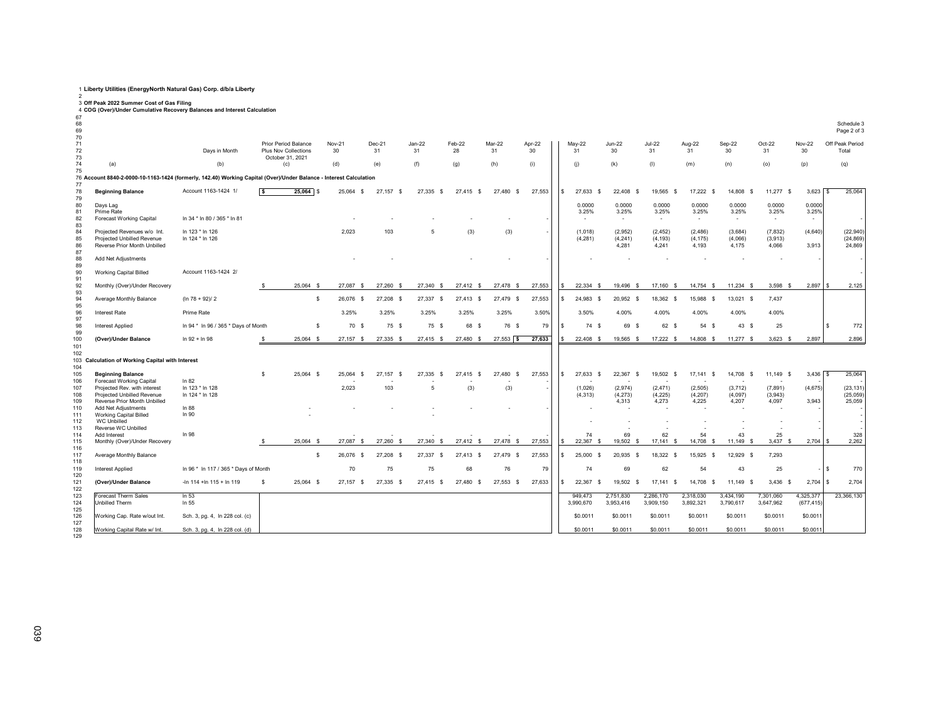3 **Off Peak 2022 Summer Cost of Gas Filing** 4 **COG (Over)/Under Cumulative Recovery Balances and Interest Calculation**

| 68<br>69<br>70 |                                                                                                                    |                                      |                                                                                |                     |              |                |                         |                |              |              |                      |                     |                     |                      |                     |                     |                     |         | Schedule 3<br>Page 2 of 3 |
|----------------|--------------------------------------------------------------------------------------------------------------------|--------------------------------------|--------------------------------------------------------------------------------|---------------------|--------------|----------------|-------------------------|----------------|--------------|--------------|----------------------|---------------------|---------------------|----------------------|---------------------|---------------------|---------------------|---------|---------------------------|
| 71<br>72<br>73 |                                                                                                                    | Days in Month                        | <b>Prior Period Balance</b><br><b>Plus Nov Collections</b><br>October 31, 2021 | Nov-21<br>30        | Dec-21<br>31 | $Jan-22$<br>31 | Feb-22<br>28            | Mar-22<br>31   | Apr-22<br>30 |              | May-22<br>31         | <b>Jun-22</b><br>30 | <b>Jul-22</b><br>31 | Aug-22<br>31         | Sep-22<br>30        | Oct-22<br>31        | <b>Nov-22</b><br>30 |         | Off Peak Period<br>Total  |
| 74<br>75       | (a)                                                                                                                | (b)                                  | (c)                                                                            | (d)                 | (e)          | (f)            | (g)                     | (h)            | (i)          |              | (j)                  | (k)                 | (1)                 | (m)                  | (n)                 | (0)                 | (p)                 |         | (q)                       |
|                | 76 Account 8840-2-0000-10-1163-1424 (formerly, 142.40) Working Capital (Over)/Under Balance - Interest Calculation |                                      |                                                                                |                     |              |                |                         |                |              |              |                      |                     |                     |                      |                     |                     |                     |         |                           |
| 77<br>78       | <b>Beginning Balance</b>                                                                                           | Account 1163-1424 1/                 | l s<br>25,064 S                                                                | 25,064 \$           | 27,157 \$    | 27,335<br>- S  | 27,415<br>-S            | 27,480<br>- S  | 27,553       | S.           | 27,633<br>- \$       | 22,408<br>- \$      | 19,565 \$           | 17,222<br>- \$       | 14,808<br>- S       | 11,277 \$           | $3,623$ \$          |         | 25,064                    |
| 79             |                                                                                                                    |                                      |                                                                                |                     |              |                |                         |                |              |              |                      |                     |                     |                      |                     |                     |                     |         |                           |
| 80<br>81       | Days Lag<br>Prime Rate                                                                                             |                                      |                                                                                |                     |              |                |                         |                |              |              | 0.0000<br>3.25%      | 0.0000<br>3.25%     | 0.0000<br>3.25%     | 0.0000<br>3.25%      | 0.0000<br>3.25%     | 0.0000<br>3.25%     | 0.0000<br>3.25%     |         |                           |
| 82<br>83       | <b>Forecast Working Capital</b>                                                                                    | In 34 * In 80 / 365 * In 81          |                                                                                |                     |              |                |                         |                |              |              | $\sim$               | $\sim$              | $\sim$              | $\sim$               | $\sim$              | $\sim$              | $\sim$              |         |                           |
| 84             | Projected Revenues w/o Int.                                                                                        | In 123 * In 126                      |                                                                                | 2,023               | 103          | 5              | (3)                     | (3)            |              |              | (1,018)              | (2,952)             | (2, 452)            | (2, 486)             | (3,684)             | (7, 832)            | (4,640)             |         | (22, 940)                 |
| 85<br>86       | Projected Unbilled Revenue<br>Reverse Prior Month Unbilled                                                         | In 124 * In 126                      |                                                                                |                     |              |                |                         |                |              |              | (4, 281)             | (4, 241)<br>4,281   | (4, 193)<br>4,241   | (4, 175)<br>4,193    | (4,066)<br>4,175    | (3,913)<br>4,066    | 3,913               |         | (24, 869)<br>24,869       |
| 87<br>88<br>89 | Add Net Adjustments                                                                                                |                                      |                                                                                |                     |              |                |                         |                |              |              |                      |                     |                     |                      |                     |                     |                     |         |                           |
| 90<br>91       | <b>Working Capital Billed</b>                                                                                      | Account 1163-1424 2/                 |                                                                                |                     |              |                |                         |                |              |              |                      |                     |                     |                      |                     |                     |                     |         |                           |
| 92<br>93       | Monthly (Over)/Under Recovery                                                                                      |                                      | 25,064 \$                                                                      | 27,087 \$           | 27,260 \$    | 27,340 \$      | 27,412 \$               | 27,478 \$      | 27,553       | \$           | 22,334 \$            | 19,496 \$           | 17,160 \$           | 14,754 \$            | $11,234$ \$         | $3,598$ \$          | $2,897$ \$          |         | 2,125                     |
| 94<br>95       | Average Monthly Balance                                                                                            | $(ln 78 + 92)/2$                     |                                                                                | s<br>26,076<br>- \$ | 27,208 \$    | 27,337 \$      | 27,413                  | 27,479<br>- S  | 27,553       | S.           | 24,983<br>-S         | 20,952<br>- \$      | 18,362 \$           | 15,988               | 13,021 \$           | 7,437               |                     |         |                           |
| 96<br>97       | <b>Interest Rate</b>                                                                                               | Prime Rate                           |                                                                                | 3.25%               | 3.25%        | 3.25%          | 3.25%                   | 3.25%          | 3.50%        |              | 3.50%                | 4.00%               | 4.00%               | 4.00%                | 4.00%               | 4.00%               |                     |         |                           |
| 98<br>99       | <b>Interest Applied</b>                                                                                            | In 94 * In 96 / 365 * Days of Month  |                                                                                | 70<br>S.<br>-S      | 75 \$        | 75 S           | 68<br>- 93              | 76 \$          | 79           | - \$         | 74 S                 | 69<br>- \$          | 62 \$               | 54                   | 43                  | 25                  |                     | \$.     | 772                       |
| 100<br>101     | (Over)/Under Balance                                                                                               | In 92 + In 98                        | 25,064                                                                         | $27,157$ \$<br>- \$ | 27,335 \$    | 27,415 \$      | 27,480 \$               | $27,553$ \$    | 27,633       | -S           | 22,408 \$            | 19,565 \$           | 17,222 \$           | 14,808 \$            | 11,277 \$           | $3,623$ \$          | 2,897               |         | 2,896                     |
| 102            |                                                                                                                    |                                      |                                                                                |                     |              |                |                         |                |              |              |                      |                     |                     |                      |                     |                     |                     |         |                           |
| 104            | 103 Calculation of Working Capital with Interest                                                                   |                                      |                                                                                |                     |              |                |                         |                |              |              |                      |                     |                     |                      |                     |                     |                     |         |                           |
| 105            | <b>Beginning Balance</b>                                                                                           |                                      | s<br>25,064 \$                                                                 | 25,064<br>- \$      | 27.157 \$    | 27,335<br>- S  | 27.415<br>$\mathcal{S}$ | 27,480<br>- \$ | 27,553       | $\mathbf{s}$ | 27,633<br>-S.        | 22,367<br>- \$      | 19,502 \$           | $17,141$ \$          | 14,708<br>- S       | 11,149 \$           | $3,436$ \$          |         | 25,064                    |
| 106            | <b>Forecast Working Capital</b>                                                                                    | In $82$                              |                                                                                |                     |              |                |                         |                |              |              |                      |                     |                     |                      |                     |                     |                     |         |                           |
| 107<br>108     | Projected Rev. with interest<br>Projected Unbilled Revenue                                                         | In 123 * In 128<br>In 124 * In 128   |                                                                                | 2,023               | 103          | 5              | (3)                     | (3)            |              |              | (1,026)<br>(4, 313)  | (2,974)<br>(4, 273) | (2, 471)<br>(4,225) | (2, 505)<br>(4, 207) | (3, 712)<br>(4,097) | (7, 891)<br>(3,943) | (4,675)             |         | (23, 131)<br>(25, 059)    |
| 109            | Reverse Prior Month Unbilled                                                                                       |                                      |                                                                                |                     |              |                |                         |                |              |              |                      | 4,313               | 4,273               | 4,225                | 4,207               | 4,097               | 3,943               |         | 25,059                    |
| 110<br>111     | Add Net Adjustments<br><b>Working Capital Billed</b>                                                               | In 88<br>In 90                       |                                                                                |                     |              |                |                         |                |              |              |                      |                     |                     |                      |                     |                     |                     |         |                           |
| 112            | <b>WC Unbilled</b>                                                                                                 |                                      |                                                                                |                     |              |                |                         |                |              |              |                      |                     |                     |                      |                     |                     |                     |         |                           |
| 113            | Reverse WC Unbilled                                                                                                |                                      |                                                                                |                     |              |                |                         |                |              |              |                      |                     |                     |                      |                     |                     |                     |         |                           |
| 114<br>115     | Add Interest<br>Monthly (Over)/Under Recovery                                                                      | In 98                                | 25,064                                                                         | 27,087 \$<br>- S    | 27,260 \$    | 27,340 \$      | 27,412 \$               | 27,478 \$      | 27,553       | -S           | 74<br>22,367<br>- \$ | 69<br>19,502 \$     | 62<br>$17,141$ \$   | 54<br>14,708<br>-S   | 43<br>11,149 \$     | 25<br>$3,437$ \$    | $2,704$ \$          |         | 328<br>2,262              |
| 116            |                                                                                                                    |                                      |                                                                                |                     |              |                |                         |                |              |              |                      |                     |                     |                      |                     |                     |                     |         |                           |
| 117<br>118     | Average Monthly Balance                                                                                            |                                      |                                                                                | 26,076 \$<br>\$     | 27,208 \$    | 27,337<br>్    | 27,413<br>- 93          | 27,479<br>- \$ | 27,553       | S.           | 25,000<br>-S         | 20,935<br>- \$      | 18,322 \$           | 15,925               | 12,929<br>- S       | 7,293               |                     |         |                           |
| 119<br>120     | <b>Interest Applied</b>                                                                                            | In 96 * In 117 / 365 * Days of Month |                                                                                | 70                  | 75           | 75             | 68                      | 76             | 79           |              | 74                   | 69                  | 62                  | 54                   | 43                  | 25                  |                     | $-1$ \$ | 770                       |
| 121<br>122     | (Over)/Under Balance                                                                                               | -In 114 +In 115 + In 119             | 25.064 \$<br>s                                                                 | 27.157 \$           | 27.335 \$    | 27.415 S       | 27,480<br>- \$          | 27,553 \$      | 27.633       | S.           | 22,367<br><b>s</b>   | 19.502<br>- \$      | 17.141<br>- S       | 14,708<br>-SS        | 11.149<br>- S       | 3.436<br>\$.        | $2,704$ \$          |         | 2,704                     |
| 123            | Forecast Therm Sales                                                                                               | In 53                                |                                                                                |                     |              |                |                         |                |              |              | 949.473              | 2,751,830           | 2.286.170           | 2,318,030            | 3.434.190           | 7,301,060           | 4,325,377           |         | 23,366,130                |
| 124<br>125     | Unbilled Therm                                                                                                     | In 55                                |                                                                                |                     |              |                |                         |                |              |              | 3,990,670            | 3,953,416           | 3,909,150           | 3,892,321            | 3,790,617           | 3,647,962           | (677, 415)          |         |                           |
| 126<br>127     | Working Cap. Rate w/out Int.                                                                                       | Sch. 3, pg. 4, In 228 col. (c)       |                                                                                |                     |              |                |                         |                |              |              | \$0,0011             | \$0,0011            | \$0,0011            | \$0,0011             | \$0,0011            | \$0.0011            | \$0.0011            |         |                           |
| 128            | Working Capital Rate w/ Int                                                                                        | Sch. 3, pg. 4, In 228 col. (d)       |                                                                                |                     |              |                |                         |                |              |              | \$0.0011             | \$0,0011            | \$0,0011            | \$0,0011             | \$0.0011            | \$0,0011            | \$0,0011            |         |                           |
| 129            |                                                                                                                    |                                      |                                                                                |                     |              |                |                         |                |              |              |                      |                     |                     |                      |                     |                     |                     |         |                           |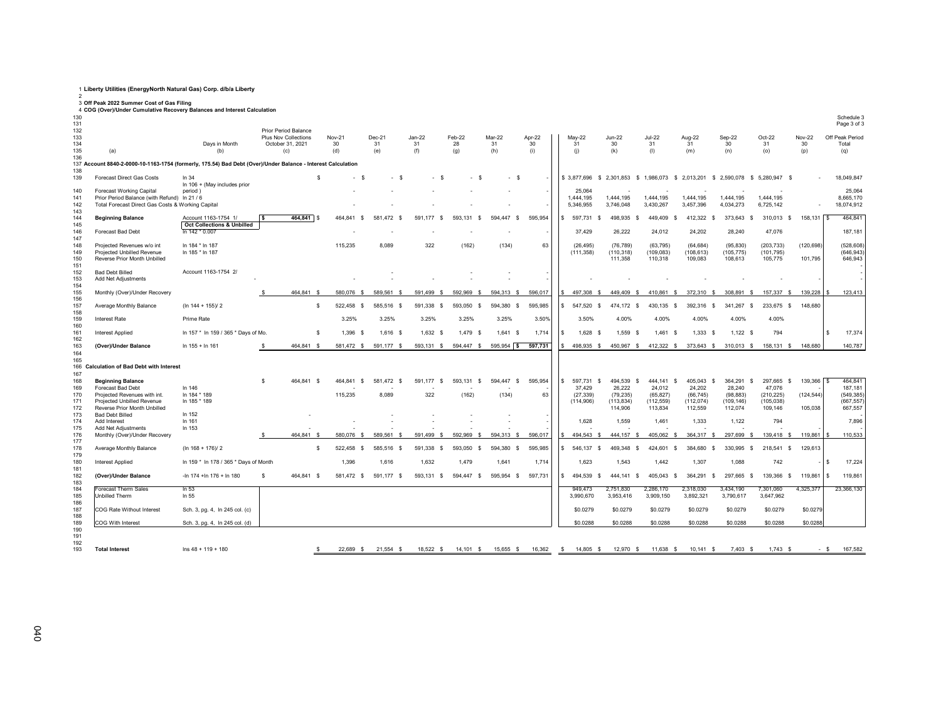| $\overline{2}$                  | 1 Liberty Utilities (EnergyNorth Natural Gas) Corp. d/b/a Liberty<br>3 Off Peak 2022 Summer Cost of Gas Filing                       |                                                         |                                                                         |            |                                     |                     |                            |                                  |                            |                     |                     |                                  |                                                |                                   |                                      |                                   |                                     |                            |                                                |
|---------------------------------|--------------------------------------------------------------------------------------------------------------------------------------|---------------------------------------------------------|-------------------------------------------------------------------------|------------|-------------------------------------|---------------------|----------------------------|----------------------------------|----------------------------|---------------------|---------------------|----------------------------------|------------------------------------------------|-----------------------------------|--------------------------------------|-----------------------------------|-------------------------------------|----------------------------|------------------------------------------------|
| 130                             | 4 COG (Over)/Under Cumulative Recovery Balances and Interest Calculation                                                             |                                                         |                                                                         |            |                                     |                     |                            |                                  |                            |                     |                     |                                  |                                                |                                   |                                      |                                   |                                     |                            | Schedule 3                                     |
| 131<br>132<br>133<br>134<br>135 | (a)                                                                                                                                  | Days in Month<br>(b)                                    | Prior Period Balance<br>Plus Nov Collections<br>October 31, 2021<br>(c) |            | Nov-21<br>30<br>(d)                 | Dec-21<br>31<br>(e) | $Jan-22$<br>31<br>(f)      | Feb-22<br>28<br>(g)              | <b>Mar-22</b><br>31<br>(h) | Apr-22<br>30<br>(i) | Mav-22<br>31<br>(i) |                                  | <b>Jun-22</b><br>30<br>(k)                     | <b>Jul-22</b><br>31<br>(1)        | Aug-22<br>31<br>(m)                  | Sep-22<br>30<br>(n)               | $Oct-22$<br>31<br>(o)               | <b>Nov-22</b><br>30<br>(p) | Page 3 of 3<br>Off Peak Period<br>Total<br>(q) |
| 136                             | 137 Account 8840-2-0000-10-1163-1754 (formerly, 175.54) Bad Debt (Over)/Under Balance - Interest Calculation                         |                                                         |                                                                         |            |                                     |                     |                            |                                  |                            |                     |                     |                                  |                                                |                                   |                                      |                                   |                                     |                            |                                                |
| 138                             |                                                                                                                                      |                                                         |                                                                         |            |                                     |                     |                            |                                  |                            |                     |                     |                                  |                                                |                                   |                                      |                                   |                                     |                            |                                                |
| 139                             | Forecast Direct Gas Costs                                                                                                            | In $34$<br>In 106 + (May includes prior                 |                                                                         | \$         | <b>S</b>                            | - S                 | - \$                       | - S                              | - \$                       |                     | \$3,877,696         | -S                               | 2,301,853                                      | \$1,986,073 \$2,013,201           |                                      | \$2,590,078                       | -S<br>5.280.947 \$                  |                            | 18,049,847                                     |
| 140<br>141<br>142               | <b>Forecast Working Capital</b><br>Prior Period Balance (with Refund) In 21 / 6<br>Total Forecast Direct Gas Costs & Working Capital | period)                                                 |                                                                         |            |                                     |                     |                            |                                  |                            |                     |                     | 25.064<br>1,444,195<br>5,346,955 | 1,444,195<br>3,746,048                         | 1,444,195<br>3,430,267            | 1,444,195<br>3,457,396               | 1,444,195<br>4,034,273            | 1.444.195<br>6,725,142              |                            | 25.064<br>8,665,170<br>18,074,912              |
| 143<br>144                      | <b>Beginning Balance</b>                                                                                                             | Account 1163-1754 1/                                    |                                                                         | 464,841 \$ | 464.841                             | 581,472 \$          | 591.177<br>-S              | 593,131<br>-S                    | 594.447<br>$\mathbf{s}$    | 595,954             |                     | 597,731<br>- \$                  | 498,935                                        | 449,409                           | 412,322<br><b>s</b><br>- \$          | 373,643<br>-S                     | 310,013 \$                          | $158, 131$ \$              | 464,841                                        |
| 145<br>146                      | Forecast Bad Debt                                                                                                                    | <b>Oct Collections &amp; Unbilled</b><br>In 142 * 0.007 |                                                                         |            |                                     |                     |                            |                                  |                            |                     |                     | 37,429                           | 26,222                                         | 24.012                            | 24,202                               | 28,240                            | 47,076                              |                            | 187,181                                        |
| 147<br>148<br>149               | Projected Revenues w/o int<br>Projected Unbilled Revenue                                                                             | In 184 * In 187<br>In 185 * In 187                      |                                                                         |            | 115,235                             | 8.089               | 322                        | (162)                            | (134)                      | 63                  |                     | (26, 495)<br>(111, 358)          | (76, 789)<br>(110, 318)                        | (63, 795)<br>(109, 083)           | (64, 684)<br>(108, 613)              | (95, 830)<br>(105, 775)           | (203, 733)<br>(101, 795)            | (120, 698)                 | (528, 608)<br>(646,943)                        |
| 150<br>151                      | Reverse Prior Month Unbilled                                                                                                         |                                                         |                                                                         |            |                                     |                     |                            |                                  |                            |                     |                     |                                  | 111.358                                        | 110.318                           | 109.083                              | 108.613                           | 105,775                             | 101.795                    | 646,943                                        |
| 152<br>153<br>154               | <b>Bad Debt Billed</b><br>Add Net Adjustments                                                                                        | Account 1163-1754 2/                                    |                                                                         |            |                                     |                     |                            |                                  |                            |                     |                     |                                  |                                                |                                   |                                      |                                   |                                     |                            | $\sim$                                         |
| 155                             | Monthly (Over)/Under Recovery                                                                                                        |                                                         | s                                                                       | 464.841 S  | 580.076<br>- \$                     | 589.561 \$          | 591.499<br>-S              | 592.969<br>- \$                  | 594.313 \$                 | 596,017             | s.                  | 497.308 \$                       | 449.409<br>-S                                  | 410.861 \$                        | 372,310<br>-S                        | 308.891<br>- S                    | 157,337 \$                          | 139,228                    | 123,413                                        |
| 156<br>157<br>158               | Average Monthly Balance                                                                                                              | $(ln 144 + 155)/2$                                      |                                                                         | s          | 522,458<br>- \$                     | 585,516 \$          | 591,338                    | 593,050                          | 594,380                    | 595,985             | -S                  | 547,520<br>-S                    | 474,172<br>- \$                                | 430,135                           | 392,316<br>S.<br>-S                  | 341,267<br>- S                    | 233,675<br>- \$                     | 148,680                    |                                                |
| 159<br>160                      | Interest Rate                                                                                                                        | Prime Rate                                              |                                                                         |            | 3.25%                               | 3.25%               | 3.25%                      | 3.25%                            | 3.25%                      | 3.50%               |                     | 3.50%                            | 4.00%                                          | 4.00%                             | 4.00%                                | 4.00%                             | 4.00%                               |                            |                                                |
| 161<br>162                      | <b>Interest Applied</b>                                                                                                              | In 157 * In 159 / 365 * Days of Mo.                     |                                                                         | s          | 1.396                               | $1.616$ S           | 1.632<br>-S                | 1.479<br>$\mathcal{S}$           | 1.641<br>- S               | 1.714               | <b>S</b>            | 1.628<br>- \$                    | 1.559<br>$\mathbf{\hat{S}}$                    | $1.461$ S                         | 1.333<br>-S                          | 1.122 S                           | 794                                 |                            | s<br>17,374                                    |
| 163<br>164                      | (Over)/Under Balance                                                                                                                 | In 155 + In 161                                         |                                                                         | 464,841 \$ | 581,472 \$                          | 591,177 \$          | 593,131 \$                 | 594,447 \$                       | $595,954$ \$               | 597,731             | s.                  | 498,935 \$                       | 450,967 \$                                     | 412,322 \$                        | 373,643 \$                           | 310,013 \$                        | 158,131 \$                          | 148.680                    | 140,787                                        |
| 165<br>166                      | <b>Calculation of Bad Debt with Interest</b>                                                                                         |                                                         |                                                                         |            |                                     |                     |                            |                                  |                            |                     |                     |                                  |                                                |                                   |                                      |                                   |                                     |                            |                                                |
| 167<br>168<br>169               | <b>Beginning Balance</b><br>Forecast Bad Debt                                                                                        | In 146<br>In 184 * 189                                  | s                                                                       | 464,841 \$ | 464,841<br>$\mathcal{S}$<br>115,235 | 581,472 \$<br>8,089 | 591,177<br><b>S</b><br>322 | 593,131<br>$\mathbf{s}$<br>(162) | 594,447<br>S.              | 595,954<br>63       | s.                  | 597,731 \$<br>37.429             | 494,539<br>$\mathbf{s}$<br>26,222<br>(79, 235) | 444,141 \$<br>24.012<br>(65, 827) | 405,043<br>S.<br>24,202<br>(66, 745) | 364,291 \$<br>28,240<br>(98, 883) | 297,665 \$<br>47,076                | 139,366<br>(124, 544)      | 464,841<br>187,181                             |
| 170<br>171<br>172               | Projected Revenues with int.<br>Projected Unbilled Revenue<br>Reverse Prior Month Unbilled                                           | In 185 * 189                                            |                                                                         |            |                                     |                     |                            |                                  | (134)                      |                     |                     | (27, 339)<br>(114, 906)          | (113, 834)<br>114.906                          | (112, 559)<br>113,834             | (112, 074)<br>112,559                | (109, 146)<br>112,074             | (210, 225)<br>(105, 038)<br>109,146 | 105,038                    | (549, 385)<br>(667, 557)<br>667,557            |
| 173<br>174                      | <b>Bad Debt Billed</b><br>Add Interest                                                                                               | In 152<br>In 161                                        |                                                                         |            |                                     |                     |                            |                                  |                            |                     |                     | 1.628                            | 1.559                                          | 1.461                             | 1.333                                | 1.122                             | 794                                 |                            | 7,896                                          |
| 175<br>176                      | Add Net Adjustments<br>Monthly (Over)/Under Recovery                                                                                 | In 153                                                  | <b>s</b>                                                                | 464.841 S  | 580.076 \$                          | 589,561<br>- S      | 591,499<br>-S              | 592.969<br><b>S</b>              | 594.313                    | 596,017             |                     | 494.543 \$                       | 444,157 \$                                     | 405,062 \$                        | 364,317 \$                           | 297,699<br>- S                    | 139,418 \$                          | 119,861                    | 110,533                                        |
| 177<br>178                      | Average Monthly Balance                                                                                                              | $(ln 168 + 176)/2$                                      |                                                                         | s          | 522,458<br>$\mathcal{S}$            | 585,516 \$          | 591,338                    | 593,050                          | 594,380                    | 595,985             | s.                  | 546,137<br>-S                    | 469,348<br>$\mathbf{\hat{S}}$                  | 424,601                           | 384,680<br>-S<br>- \$                | 330,995<br>-S                     | 218,541<br>- \$                     | 129,613                    |                                                |
| 179<br>180<br>181               | <b>Interest Applied</b>                                                                                                              | In 159 * In 178 / 365 * Days of Month                   |                                                                         |            | 1,396                               | 1,616               | 1,632                      | 1,479                            | 1,641                      | 1,714               |                     | 1,623                            | 1,543                                          | 1,442                             | 1,307                                | 1,088                             | 742                                 |                            | 17,224<br>$\mathbf{s}$                         |
| 182<br>183                      | (Over)/Under Balance                                                                                                                 | -In 174 +In 176 + In 180                                | s                                                                       | 464.841 S  | 581.472 \$                          | 591.177 \$          | 593.131 S                  | 594.447<br>- \$                  | 595.954<br>-S              | 597.731             | -S                  | 494.539<br>$\mathcal{L}$         | 444.141<br>- \$                                | 405,043                           | 364.291<br><b>S</b><br>S.            | 297.665<br>- S                    | 139,366<br>S.                       | 119,861                    | 119,861<br>$\mathbf{s}$                        |
| 184<br>185                      | <b>Forecast Therm Sales</b><br><b>Unbilled Therm</b>                                                                                 | ln 53<br>In 55                                          |                                                                         |            |                                     |                     |                            |                                  |                            |                     |                     | 949.473<br>3,990,670             | 2,751,830<br>3,953,416                         | 2,286,170<br>3,909,150            | 2,318,030<br>3,892,321               | 3.434.190<br>3,790,617            | 7,301,060<br>3,647,962              | 4,325,377                  | 23,366,130                                     |

187 COG Rate Without Interest Sch. 3, pg. 4, in 245 col. (c) \$0.0279 \$0.0279 \$0.0279 \$0.0279 \$0.0279 \$0.0279 \$0.0279 \$0.0279 \$0.0279 \$0.0279 \$0.0279 \$0.0279 \$0.0279 \$0.0279 \$0.0279 \$0.0279

Sch. 3, pg. 4, ln 245 col. (d) \$0.0288 \$0.0288 \$0.0288 \$0.0288 \$0.0288 \$0.0288 \$0.0288

**Total Interest** lns 48 + 119 + 180 **\$** 22,689 \$ 21,554 \$ 18,522 \$ 14,101 \$ 15,655 \$ 16,362 \$ 14,805 \$ 12,970 \$ 11,638 \$ 10,141 \$ 7,403 \$ 1,743 \$ - \$ 167,582

186<br>187<br>188<br>189<br>190<br>191<br>192

COG With Interest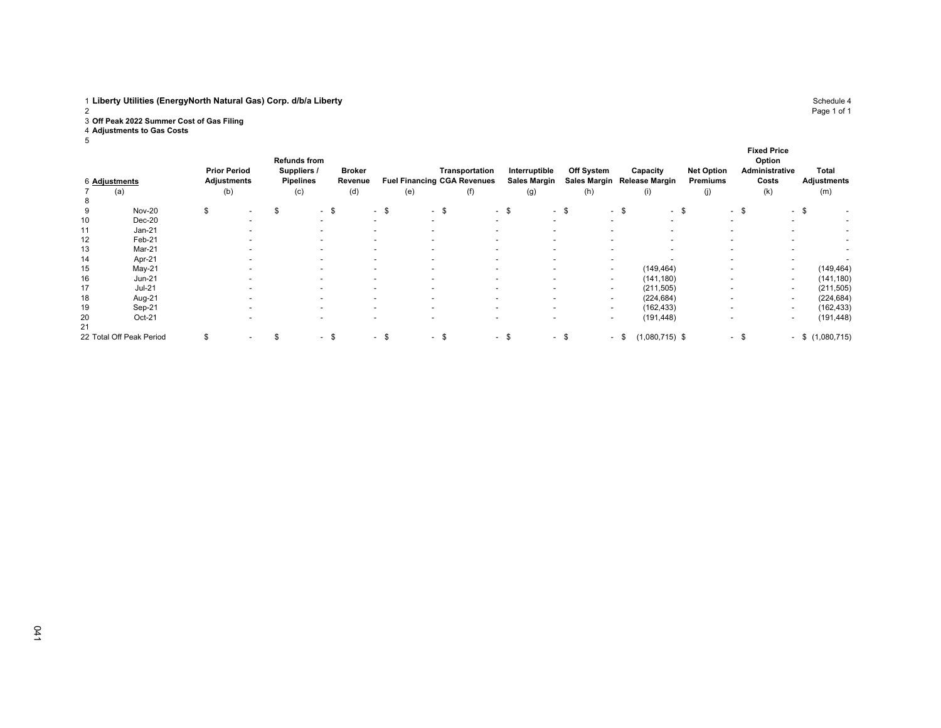2

3 **Off Peak 2022 Summer Cost of Gas Filing** 4 **Adjustments to Gas Costs**

| 8  | 6 Adjustments<br>(a)     | <b>Prior Period</b><br><b>Adjustments</b> | (b) | <b>Refunds from</b><br>Suppliers /<br><b>Pipelines</b><br>(c) |                          | <b>Broker</b><br>Revenue<br>(d) |                          | (e)                      | Transportation<br><b>Fuel Financing CGA Revenues</b><br>(f) |                          | Interruptible<br><b>Sales Margin</b><br>(g) |      | Off System<br>(h)        | Capacity<br>Sales Margin Release Margin<br>(i) | <b>Net Option</b><br><b>Premiums</b><br>(j) | <b>Fixed Price</b><br>Option<br>Administrative<br>Costs<br>(k) |        | <b>Total</b><br><b>Adjustments</b><br>(m) |
|----|--------------------------|-------------------------------------------|-----|---------------------------------------------------------------|--------------------------|---------------------------------|--------------------------|--------------------------|-------------------------------------------------------------|--------------------------|---------------------------------------------|------|--------------------------|------------------------------------------------|---------------------------------------------|----------------------------------------------------------------|--------|-------------------------------------------|
| 9  | <b>Nov-20</b>            |                                           |     |                                                               | $\overline{\phantom{a}}$ | \$                              | - \$<br>$\sim$           |                          | - \$                                                        | $\sim$                   | \$                                          | - \$ | $\sim$                   | \$<br>$\sim$                                   | ა                                           |                                                                | - \$   |                                           |
| 10 | Dec-20                   |                                           |     |                                                               | -                        |                                 | $\overline{\phantom{a}}$ | $\overline{\phantom{0}}$ |                                                             | $\overline{\phantom{a}}$ |                                             |      | $\overline{\phantom{a}}$ |                                                |                                             |                                                                |        |                                           |
| 11 | $Jan-21$                 |                                           |     |                                                               |                          |                                 |                          |                          |                                                             |                          |                                             |      |                          |                                                |                                             |                                                                |        |                                           |
| 12 | Feb-21                   |                                           |     |                                                               |                          |                                 |                          |                          |                                                             |                          |                                             |      |                          |                                                |                                             |                                                                |        | $\overline{\phantom{a}}$                  |
| 13 | Mar-21                   |                                           |     |                                                               |                          |                                 |                          |                          |                                                             |                          |                                             |      | $\overline{\phantom{a}}$ |                                                |                                             |                                                                |        |                                           |
| 14 | Apr-21                   |                                           |     |                                                               |                          |                                 | $\overline{\phantom{a}}$ |                          |                                                             |                          |                                             |      | $\overline{\phantom{a}}$ |                                                |                                             |                                                                |        |                                           |
| 15 | May-21                   |                                           |     |                                                               |                          |                                 | $\overline{\phantom{a}}$ |                          |                                                             |                          |                                             |      | $\overline{\phantom{a}}$ | (149, 464)                                     |                                             | $\overline{\phantom{a}}$                                       |        | (149, 464)                                |
| 16 | <b>Jun-21</b>            |                                           |     |                                                               | -                        |                                 | $\overline{\phantom{a}}$ | $\overline{\phantom{0}}$ |                                                             | $\overline{\phantom{a}}$ |                                             |      | $\overline{\phantom{a}}$ | (141, 180)                                     |                                             | $\overline{\phantom{a}}$                                       |        | (141, 180)                                |
| 17 | $Jul-21$                 |                                           |     |                                                               |                          |                                 | $\overline{\phantom{a}}$ |                          |                                                             |                          |                                             |      | $\overline{\phantom{a}}$ | (211, 505)                                     |                                             | $\overline{\phantom{a}}$                                       |        | (211, 505)                                |
| 18 | Aug-21                   |                                           |     |                                                               |                          |                                 | $\overline{\phantom{a}}$ |                          |                                                             |                          |                                             |      | $\overline{\phantom{a}}$ | (224, 684)                                     |                                             | $\overline{\phantom{a}}$                                       |        | (224, 684)                                |
| 19 | Sep-21                   |                                           |     |                                                               |                          |                                 | $\overline{\phantom{a}}$ |                          |                                                             |                          |                                             |      | $\overline{\phantom{a}}$ | (162, 433)                                     |                                             |                                                                |        | (162, 433)                                |
| 20 | Oct-21                   |                                           |     |                                                               |                          |                                 | $\overline{\phantom{a}}$ |                          |                                                             |                          |                                             |      | $\overline{\phantom{a}}$ | (191, 448)                                     |                                             |                                                                |        | (191, 448)                                |
| 21 |                          |                                           |     |                                                               |                          |                                 |                          |                          |                                                             |                          |                                             |      |                          |                                                |                                             |                                                                |        |                                           |
|    | 22 Total Off Peak Period |                                           |     |                                                               |                          |                                 | $\overline{\phantom{a}}$ |                          |                                                             | $\sim$                   |                                             | - \$ |                          | $(1,080,715)$ \$                               |                                             |                                                                | $-$ \$ | (1,080,715)                               |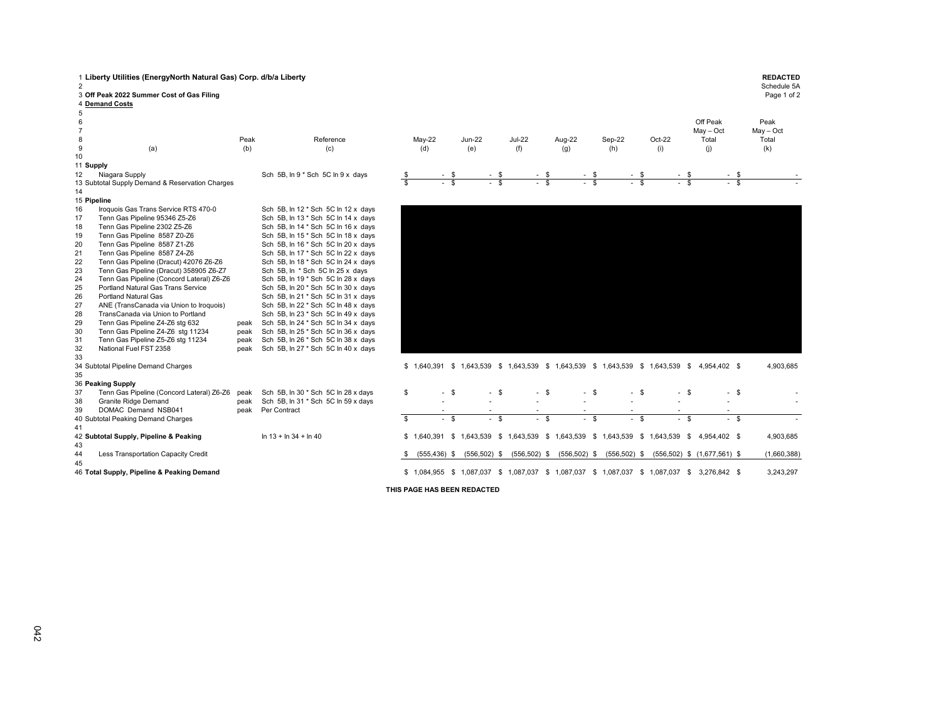| $\overline{2}$ | 1 Liberty Utilities (EnergyNorth Natural Gas) Corp. d/b/a Liberty |      |                                     |                         |                 |        |                 |        |                 |                         |                          |          |                 |              |          |          |                                                                                               | <b>REDACTED</b><br>Schedule 5A |
|----------------|-------------------------------------------------------------------|------|-------------------------------------|-------------------------|-----------------|--------|-----------------|--------|-----------------|-------------------------|--------------------------|----------|-----------------|--------------|----------|----------|-----------------------------------------------------------------------------------------------|--------------------------------|
|                | 3 Off Peak 2022 Summer Cost of Gas Filing                         |      |                                     |                         |                 |        |                 |        |                 |                         |                          |          |                 |              |          |          |                                                                                               | Page 1 of 2                    |
|                | 4 Demand Costs                                                    |      |                                     |                         |                 |        |                 |        |                 |                         |                          |          |                 |              |          |          |                                                                                               |                                |
| 5              |                                                                   |      |                                     |                         |                 |        |                 |        |                 |                         |                          |          |                 |              |          |          |                                                                                               |                                |
| 6              |                                                                   |      |                                     |                         |                 |        |                 |        |                 |                         |                          |          |                 |              |          |          | Off Peak                                                                                      | Peak                           |
| $\overline{7}$ |                                                                   |      |                                     |                         |                 |        |                 |        |                 |                         |                          |          |                 |              |          |          | $May - Oct$                                                                                   | $May - Oct$                    |
| 8              |                                                                   | Peak | Reference                           |                         | May-22          |        | <b>Jun-22</b>   |        | <b>Jul-22</b>   |                         | Aug-22                   |          | Sep-22          |              | $Oct-22$ |          | Total                                                                                         | Total                          |
| 9              | (a)                                                               | (b)  | (c)                                 |                         | (d)             |        | (e)             |        | (f)             |                         | (g)                      |          | (h)             |              | (i)      |          | (j)                                                                                           | (k)                            |
| 10             |                                                                   |      |                                     |                         |                 |        |                 |        |                 |                         |                          |          |                 |              |          |          |                                                                                               |                                |
|                | 11 Supply                                                         |      |                                     |                         |                 |        |                 |        |                 |                         |                          |          |                 |              |          |          |                                                                                               |                                |
| 12             | Niagara Supply                                                    |      | Sch 5B, In 9 * Sch 5C In 9 x days   |                         |                 |        |                 | - \$   |                 | - \$                    |                          |          |                 | - \$         |          |          | - \$                                                                                          |                                |
|                | 13 Subtotal Supply Demand & Reservation Charges                   |      |                                     | $\frac{3}{3}$           |                 | $-$ \$ |                 | $-$ \$ | a.              | $\overline{\mathbf{s}}$ |                          | $-$ \$   |                 | $-$ \$       |          | $-$ \$   | .<br>. s                                                                                      |                                |
| 14             |                                                                   |      |                                     |                         |                 |        |                 |        |                 |                         |                          |          |                 |              |          |          |                                                                                               |                                |
|                | 15 Pipeline                                                       |      |                                     |                         |                 |        |                 |        |                 |                         |                          |          |                 |              |          |          |                                                                                               |                                |
| 16             | Iroquois Gas Trans Service RTS 470-0                              |      | Sch 5B, In 12 * Sch 5C In 12 x days |                         |                 |        |                 |        |                 |                         |                          |          |                 |              |          |          |                                                                                               |                                |
| 17             | Tenn Gas Pipeline 95346 Z5-Z6                                     |      | Sch 5B, In 13 * Sch 5C In 14 x days |                         |                 |        |                 |        |                 |                         |                          |          |                 |              |          |          |                                                                                               |                                |
| 18             | Tenn Gas Pipeline 2302 Z5-Z6                                      |      | Sch 5B, In 14 * Sch 5C In 16 x days |                         |                 |        |                 |        |                 |                         |                          |          |                 |              |          |          |                                                                                               |                                |
| 19             | Tenn Gas Pipeline 8587 Z0-Z6                                      |      | Sch 5B, In 15 * Sch 5C In 18 x days |                         |                 |        |                 |        |                 |                         |                          |          |                 |              |          |          |                                                                                               |                                |
| 20             | Tenn Gas Pipeline 8587 Z1-Z6                                      |      | Sch 5B, In 16 * Sch 5C In 20 x days |                         |                 |        |                 |        |                 |                         |                          |          |                 |              |          |          |                                                                                               |                                |
| 21             | Tenn Gas Pipeline 8587 Z4-Z6                                      |      | Sch 5B, In 17 * Sch 5C In 22 x days |                         |                 |        |                 |        |                 |                         |                          |          |                 |              |          |          |                                                                                               |                                |
| 22             | Tenn Gas Pipeline (Dracut) 42076 Z6-Z6                            |      | Sch 5B, In 18 * Sch 5C In 24 x days |                         |                 |        |                 |        |                 |                         |                          |          |                 |              |          |          |                                                                                               |                                |
| 23             | Tenn Gas Pipeline (Dracut) 358905 Z6-Z7                           |      | Sch 5B, In * Sch 5C In 25 x days    |                         |                 |        |                 |        |                 |                         |                          |          |                 |              |          |          |                                                                                               |                                |
| 24             | Tenn Gas Pipeline (Concord Lateral) Z6-Z6                         |      | Sch 5B, In 19 * Sch 5C In 28 x days |                         |                 |        |                 |        |                 |                         |                          |          |                 |              |          |          |                                                                                               |                                |
| 25             | Portland Natural Gas Trans Service                                |      | Sch 5B, In 20 * Sch 5C In 30 x days |                         |                 |        |                 |        |                 |                         |                          |          |                 |              |          |          |                                                                                               |                                |
| 26             | <b>Portland Natural Gas</b>                                       |      | Sch 5B, In 21 * Sch 5C In 31 x days |                         |                 |        |                 |        |                 |                         |                          |          |                 |              |          |          |                                                                                               |                                |
| 27             | ANE (TransCanada via Union to Iroquois)                           |      | Sch 5B, In 22 * Sch 5C In 48 x days |                         |                 |        |                 |        |                 |                         |                          |          |                 |              |          |          |                                                                                               |                                |
| 28             | TransCanada via Union to Portland                                 |      | Sch 5B, In 23 * Sch 5C In 49 x days |                         |                 |        |                 |        |                 |                         |                          |          |                 |              |          |          |                                                                                               |                                |
| 29             | Tenn Gas Pipeline Z4-Z6 stg 632                                   | peak | Sch 5B, In 24 * Sch 5C In 34 x days |                         |                 |        |                 |        |                 |                         |                          |          |                 |              |          |          |                                                                                               |                                |
| 30             | Tenn Gas Pipeline Z4-Z6 stg 11234                                 | peak | Sch 5B, In 25 * Sch 5C In 36 x days |                         |                 |        |                 |        |                 |                         |                          |          |                 |              |          |          |                                                                                               |                                |
| 31             | Tenn Gas Pipeline Z5-Z6 stg 11234                                 | peak | Sch 5B, In 26 * Sch 5C In 38 x days |                         |                 |        |                 |        |                 |                         |                          |          |                 |              |          |          |                                                                                               |                                |
| 32             | National Fuel FST 2358                                            | peak | Sch 5B, In 27 * Sch 5C In 40 x days |                         |                 |        |                 |        |                 |                         |                          |          |                 |              |          |          |                                                                                               |                                |
| 33             |                                                                   |      |                                     |                         |                 |        |                 |        |                 |                         |                          |          |                 |              |          |          |                                                                                               |                                |
|                | 34 Subtotal Pipeline Demand Charges                               |      |                                     |                         |                 |        |                 |        |                 |                         |                          |          |                 |              |          |          | \$ 1,640,391 \$ 1,643,539 \$ 1,643,539 \$ 1,643,539 \$ 1,643,539 \$ 1,643,539 \$ 4,954,402 \$ | 4,903,685                      |
| 35             |                                                                   |      |                                     |                         |                 |        |                 |        |                 |                         |                          |          |                 |              |          |          |                                                                                               |                                |
|                | 36 Peaking Supply                                                 |      |                                     |                         |                 |        |                 |        |                 |                         |                          |          |                 |              |          |          |                                                                                               |                                |
| 37             | Tenn Gas Pipeline (Concord Lateral) Z6-Z6                         | peak | Sch 5B, In 30 * Sch 5C In 28 x days | \$                      |                 | $-5$   |                 | - \$   |                 | $-$ \$                  |                          | - \$     |                 | - \$         |          | $-$ \$   | $-5$                                                                                          |                                |
| 38             | Granite Ridge Demand                                              | peak | Sch 5B, In 31 * Sch 5C In 59 x days |                         |                 |        |                 |        |                 |                         |                          |          | $\blacksquare$  |              |          |          | $\overline{\phantom{a}}$                                                                      |                                |
| 39             | DOMAC Demand NSB041                                               | peak | Per Contract                        |                         |                 |        |                 |        |                 |                         |                          |          |                 |              |          |          |                                                                                               |                                |
|                | 40 Subtotal Peaking Demand Charges                                |      |                                     | $\overline{\mathbf{s}}$ |                 | $-$ \$ |                 | $-$ \$ | ÷.              | $\mathbf{s}$            | $\overline{\phantom{a}}$ | <b>S</b> | $\sim$          | $\mathbf{s}$ | $\sim$   | <b>S</b> | $-$ \$                                                                                        |                                |
| 41             |                                                                   |      |                                     |                         |                 |        |                 |        |                 |                         |                          |          |                 |              |          |          |                                                                                               |                                |
|                | 42 Subtotal Supply, Pipeline & Peaking                            |      | $\ln 13 + \ln 34 + \ln 40$          |                         |                 |        |                 |        |                 |                         |                          |          |                 |              |          |          | \$ 1,640,391 \$ 1,643,539 \$ 1,643,539 \$ 1,643,539 \$ 1,643,539 \$ 1,643,539 \$ 4,954,402 \$ | 4,903,685                      |
| 43             |                                                                   |      |                                     |                         |                 |        |                 |        |                 |                         |                          |          |                 |              |          |          |                                                                                               |                                |
| 44             | Less Transportation Capacity Credit                               |      |                                     | S.                      | $(555, 436)$ \$ |        | $(556, 502)$ \$ |        | $(556, 502)$ \$ |                         | $(556, 502)$ \$          |          | $(556, 502)$ \$ |              |          |          | $(556,502)$ \$ $(1,677,561)$ \$                                                               | (1,660,388)                    |
| 45             |                                                                   |      |                                     |                         |                 |        |                 |        |                 |                         |                          |          |                 |              |          |          |                                                                                               |                                |
|                | 46 Total Supply, Pipeline & Peaking Demand                        |      |                                     |                         |                 |        |                 |        |                 |                         |                          |          |                 |              |          |          | \$ 1,084,955 \$ 1,087,037 \$ 1,087,037 \$ 1,087,037 \$ 1,087,037 \$ 1,087,037 \$ 3,276,842 \$ | 3,243,297                      |

**THIS PAGE HAS BEEN REDACTED**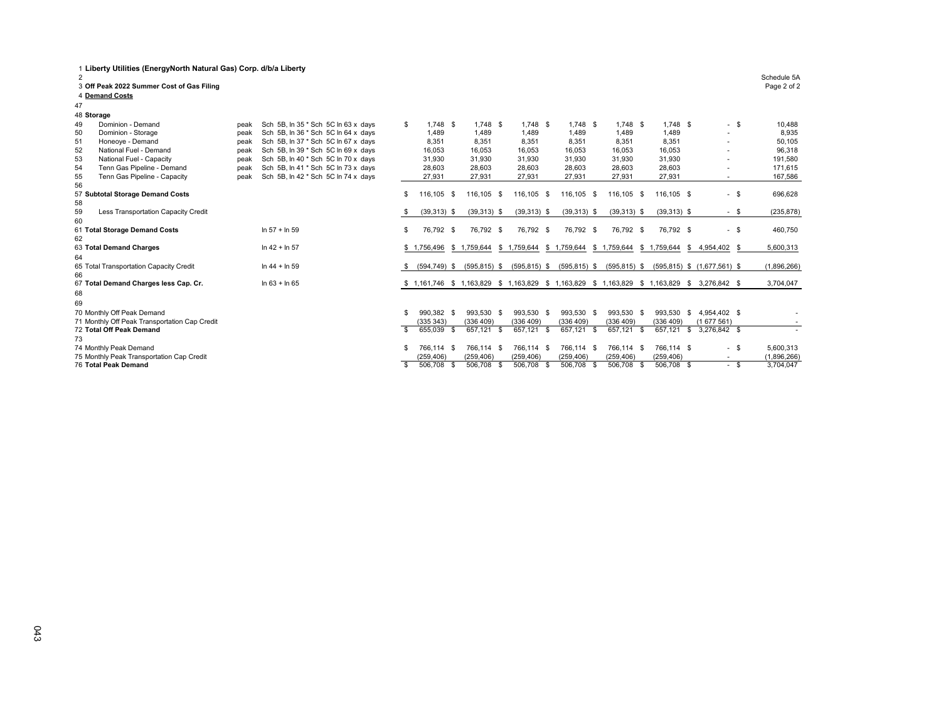| 48 Storage                                    |                                                                                                                                                                           |                                     |                                                                           |           |      |                                                                                                                                           |                                                                                                                                   |                                                                                                                                   |                                                                                                                                 |                                                                        |                                                                                                                     |        |                                                                                                  |                                                                                                                                                                                                                                                            |
|-----------------------------------------------|---------------------------------------------------------------------------------------------------------------------------------------------------------------------------|-------------------------------------|---------------------------------------------------------------------------|-----------|------|-------------------------------------------------------------------------------------------------------------------------------------------|-----------------------------------------------------------------------------------------------------------------------------------|-----------------------------------------------------------------------------------------------------------------------------------|---------------------------------------------------------------------------------------------------------------------------------|------------------------------------------------------------------------|---------------------------------------------------------------------------------------------------------------------|--------|--------------------------------------------------------------------------------------------------|------------------------------------------------------------------------------------------------------------------------------------------------------------------------------------------------------------------------------------------------------------|
| Dominion - Demand                             | peak                                                                                                                                                                      | Sch 5B, In 35 * Sch 5C In 63 x days | \$                                                                        |           |      |                                                                                                                                           |                                                                                                                                   |                                                                                                                                   |                                                                                                                                 |                                                                        |                                                                                                                     |        |                                                                                                  | 10,488                                                                                                                                                                                                                                                     |
| Dominion - Storage                            | peak                                                                                                                                                                      | Sch 5B, In 36 * Sch 5C In 64 x days |                                                                           | 1,489     |      | 1,489                                                                                                                                     | 1,489                                                                                                                             | 1.489                                                                                                                             | 1.489                                                                                                                           |                                                                        | 1,489                                                                                                               |        |                                                                                                  | 8,935                                                                                                                                                                                                                                                      |
| Honeove - Demand                              | peak                                                                                                                                                                      | Sch 5B, In 37 * Sch 5C In 67 x days |                                                                           | 8,351     |      | 8.351                                                                                                                                     | 8.351                                                                                                                             | 8.351                                                                                                                             | 8.351                                                                                                                           |                                                                        | 8,351                                                                                                               |        |                                                                                                  | 50,105                                                                                                                                                                                                                                                     |
| National Fuel - Demand                        | peak                                                                                                                                                                      | Sch 5B, In 39 * Sch 5C In 69 x days |                                                                           | 16,053    |      | 16,053                                                                                                                                    | 16,053                                                                                                                            | 16,053                                                                                                                            | 16,053                                                                                                                          |                                                                        | 16,053                                                                                                              |        |                                                                                                  | 96,318                                                                                                                                                                                                                                                     |
| National Fuel - Capacity                      | peak                                                                                                                                                                      | Sch 5B, In 40 * Sch 5C In 70 x days |                                                                           | 31.930    |      | 31.930                                                                                                                                    | 31.930                                                                                                                            | 31.930                                                                                                                            | 31.930                                                                                                                          |                                                                        | 31,930                                                                                                              |        |                                                                                                  | 191.580                                                                                                                                                                                                                                                    |
|                                               | peak                                                                                                                                                                      |                                     |                                                                           | 28,603    |      | 28,603                                                                                                                                    | 28,603                                                                                                                            | 28,603                                                                                                                            | 28,603                                                                                                                          |                                                                        |                                                                                                                     |        |                                                                                                  | 171,615                                                                                                                                                                                                                                                    |
| Tenn Gas Pipeline - Capacity                  | peak                                                                                                                                                                      | Sch 5B, In 42 * Sch 5C In 74 x days |                                                                           | 27,931    |      | 27,931                                                                                                                                    | 27,931                                                                                                                            | 27,931                                                                                                                            | 27,931                                                                                                                          |                                                                        | 27,931                                                                                                              |        |                                                                                                  | 167,586                                                                                                                                                                                                                                                    |
|                                               |                                                                                                                                                                           |                                     |                                                                           |           |      |                                                                                                                                           |                                                                                                                                   |                                                                                                                                   |                                                                                                                                 |                                                                        |                                                                                                                     |        |                                                                                                  |                                                                                                                                                                                                                                                            |
|                                               |                                                                                                                                                                           |                                     | £.                                                                        |           |      |                                                                                                                                           |                                                                                                                                   |                                                                                                                                   |                                                                                                                                 | -S                                                                     |                                                                                                                     |        |                                                                                                  | \$<br>696,628                                                                                                                                                                                                                                              |
|                                               |                                                                                                                                                                           |                                     |                                                                           |           |      |                                                                                                                                           |                                                                                                                                   |                                                                                                                                   |                                                                                                                                 |                                                                        |                                                                                                                     |        |                                                                                                  |                                                                                                                                                                                                                                                            |
|                                               |                                                                                                                                                                           |                                     |                                                                           |           |      |                                                                                                                                           |                                                                                                                                   |                                                                                                                                   |                                                                                                                                 |                                                                        |                                                                                                                     |        |                                                                                                  | (235, 878)                                                                                                                                                                                                                                                 |
|                                               |                                                                                                                                                                           |                                     |                                                                           |           |      |                                                                                                                                           |                                                                                                                                   |                                                                                                                                   |                                                                                                                                 |                                                                        |                                                                                                                     |        |                                                                                                  |                                                                                                                                                                                                                                                            |
| 61 Total Storage Demand Costs                 |                                                                                                                                                                           | $ln 57 + ln 59$                     | \$.                                                                       |           |      |                                                                                                                                           |                                                                                                                                   |                                                                                                                                   |                                                                                                                                 |                                                                        |                                                                                                                     |        |                                                                                                  | 460,750                                                                                                                                                                                                                                                    |
|                                               |                                                                                                                                                                           |                                     |                                                                           |           |      |                                                                                                                                           |                                                                                                                                   |                                                                                                                                   |                                                                                                                                 |                                                                        |                                                                                                                     |        |                                                                                                  |                                                                                                                                                                                                                                                            |
|                                               |                                                                                                                                                                           |                                     |                                                                           |           |      |                                                                                                                                           |                                                                                                                                   |                                                                                                                                   |                                                                                                                                 |                                                                        |                                                                                                                     |        |                                                                                                  | 5,600,313                                                                                                                                                                                                                                                  |
|                                               |                                                                                                                                                                           |                                     |                                                                           |           |      |                                                                                                                                           |                                                                                                                                   |                                                                                                                                   |                                                                                                                                 |                                                                        |                                                                                                                     |        |                                                                                                  |                                                                                                                                                                                                                                                            |
| 65 Total Transportation Capacity Credit       |                                                                                                                                                                           | $ln 44 + ln 59$                     |                                                                           |           |      |                                                                                                                                           |                                                                                                                                   |                                                                                                                                   |                                                                                                                                 |                                                                        |                                                                                                                     |        |                                                                                                  | (1,896,266)                                                                                                                                                                                                                                                |
|                                               |                                                                                                                                                                           |                                     |                                                                           |           |      |                                                                                                                                           |                                                                                                                                   |                                                                                                                                   |                                                                                                                                 |                                                                        |                                                                                                                     |        |                                                                                                  |                                                                                                                                                                                                                                                            |
|                                               |                                                                                                                                                                           |                                     |                                                                           |           |      |                                                                                                                                           |                                                                                                                                   |                                                                                                                                   |                                                                                                                                 |                                                                        |                                                                                                                     |        |                                                                                                  | 3,704,047                                                                                                                                                                                                                                                  |
|                                               |                                                                                                                                                                           |                                     |                                                                           |           |      |                                                                                                                                           |                                                                                                                                   |                                                                                                                                   |                                                                                                                                 |                                                                        |                                                                                                                     |        |                                                                                                  |                                                                                                                                                                                                                                                            |
|                                               |                                                                                                                                                                           |                                     |                                                                           |           |      |                                                                                                                                           |                                                                                                                                   |                                                                                                                                   |                                                                                                                                 |                                                                        |                                                                                                                     |        |                                                                                                  |                                                                                                                                                                                                                                                            |
| 70 Monthly Off Peak Demand                    |                                                                                                                                                                           |                                     |                                                                           |           |      |                                                                                                                                           |                                                                                                                                   |                                                                                                                                   |                                                                                                                                 |                                                                        | 993.530                                                                                                             | - \$   |                                                                                                  |                                                                                                                                                                                                                                                            |
| 71 Monthly Off Peak Transportation Cap Credit |                                                                                                                                                                           |                                     |                                                                           |           |      | (336 409)                                                                                                                                 | (336 409)                                                                                                                         | (336, 409)                                                                                                                        | (336 409)                                                                                                                       |                                                                        | (336 409)                                                                                                           |        | (1677561)                                                                                        |                                                                                                                                                                                                                                                            |
| 72 Total Off Peak Demand                      |                                                                                                                                                                           |                                     |                                                                           |           | - \$ |                                                                                                                                           |                                                                                                                                   |                                                                                                                                   |                                                                                                                                 |                                                                        |                                                                                                                     |        |                                                                                                  |                                                                                                                                                                                                                                                            |
|                                               |                                                                                                                                                                           |                                     |                                                                           |           |      |                                                                                                                                           |                                                                                                                                   |                                                                                                                                   |                                                                                                                                 |                                                                        |                                                                                                                     |        |                                                                                                  |                                                                                                                                                                                                                                                            |
| 74 Monthly Peak Demand                        |                                                                                                                                                                           |                                     |                                                                           |           |      |                                                                                                                                           |                                                                                                                                   |                                                                                                                                   |                                                                                                                                 |                                                                        |                                                                                                                     |        |                                                                                                  | 5,600,313                                                                                                                                                                                                                                                  |
| 75 Monthly Peak Transportation Cap Credit     |                                                                                                                                                                           |                                     |                                                                           | (259.406) |      | (259.406)                                                                                                                                 | (259, 406)                                                                                                                        | (259, 406)                                                                                                                        | (259, 406)                                                                                                                      |                                                                        | (259, 406)                                                                                                          |        | $\overline{\phantom{a}}$                                                                         | (1,896,266)                                                                                                                                                                                                                                                |
| 76 Total Peak Demand                          |                                                                                                                                                                           |                                     | S.                                                                        |           |      |                                                                                                                                           |                                                                                                                                   |                                                                                                                                   |                                                                                                                                 |                                                                        |                                                                                                                     |        |                                                                                                  | 3,704,047                                                                                                                                                                                                                                                  |
|                                               | Tenn Gas Pipeline - Demand<br>57 Subtotal Storage Demand Costs<br>Less Transportation Capacity Credit<br>63 Total Demand Charges<br>67 Total Demand Charges less Cap. Cr. |                                     | Sch 5B, In 41 * Sch 5C In 73 x days<br>$ln 42 + ln 57$<br>$ln 63 + ln 65$ |           |      | $1.748$ \$<br>116.105 \$<br>$(39,313)$ \$<br>76,792 \$<br>$(594.749)$ \$<br>990.382 \$<br>(335343)<br>655,039<br>766,114 \$<br>506,708 \$ | $1.748$ \$<br>116.105 \$<br>$(39,313)$ \$<br>76,792 \$<br>$(595, 815)$ \$<br>993.530 \$<br>657.121 \$<br>766,114 \$<br>506,708 \$ | $1,748$ \$<br>116,105 \$<br>$(39,313)$ \$<br>76,792 \$<br>$(595, 815)$ \$<br>993.530 \$<br>657,121 \$<br>766,114 \$<br>506,708 \$ | 1,748 \$<br>116,105 \$<br>$(39,313)$ \$<br>76,792 \$<br>$(595, 815)$ \$<br>993,530 \$<br>657.121 \$<br>766,114 \$<br>506,708 \$ | 116.105<br>\$1,756,496 \$1,759,644 \$1,759,644 \$1,759,644 \$1,759,644 | $1.748$ \$<br>$(39,313)$ \$<br>76,792 \$<br>$(595, 815)$ \$<br>993,530 \$<br>657,121 \$<br>766,114 \$<br>506,708 \$ | 28,603 | $1.748$ \$<br>116.105 \$<br>$(39,313)$ \$<br>76,792 \$<br>657,121 \$<br>766,114 \$<br>506,708 \$ | $-$ \$<br>$\sim$<br>$-$ \$<br>$-$ \$<br>\$1,759,644 \$4,954,402 \$<br>$(595,815)$ \$ $(1,677,561)$ \$<br>\$ 1,161,746 \$ 1,163,829 \$ 1,163,829 \$ 1,163,829 \$ 1,163,829 \$ 1,163,829 \$ 3,276,842 \$<br>4.954.402 \$<br>3,276,842 \$<br>$-$ \$<br>$-$ \$ |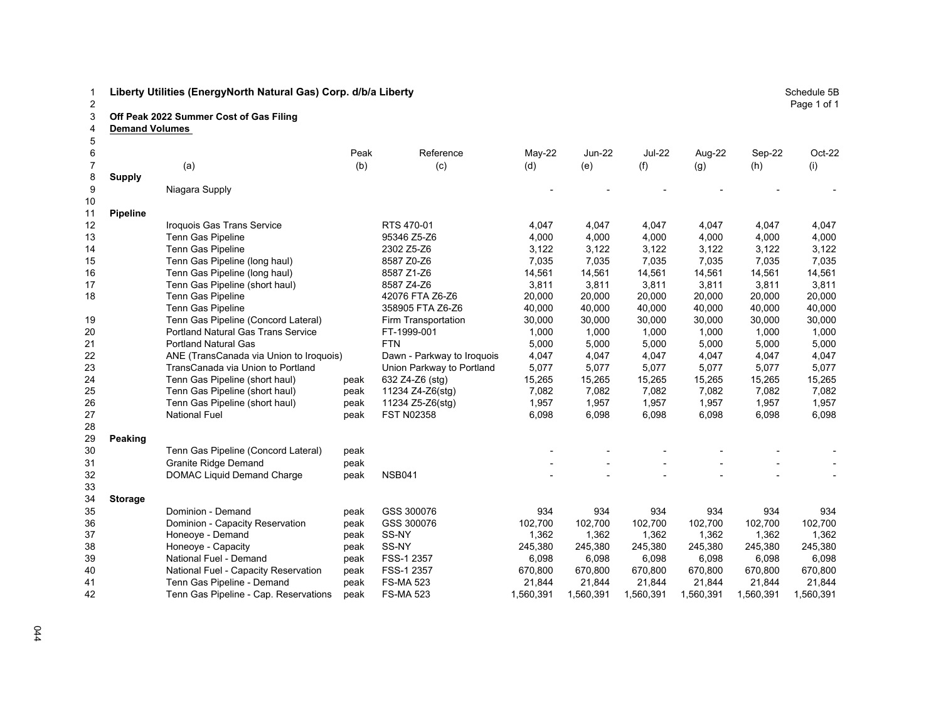## 3 **Off Peak 2022 Summer Cost of Gas Filing**

4 **Demand Volumes** 

| 5  |                 |                                           |      |                            |           |               |               |           |           |           |
|----|-----------------|-------------------------------------------|------|----------------------------|-----------|---------------|---------------|-----------|-----------|-----------|
| 6  |                 |                                           | Peak | Reference                  | May-22    | <b>Jun-22</b> | <b>Jul-22</b> | Aug-22    | Sep-22    | Oct-22    |
|    |                 | (a)                                       | (b)  | (c)                        | (d)       | (e)           | (f)           | (g)       | (h)       | (i)       |
| 8  | <b>Supply</b>   |                                           |      |                            |           |               |               |           |           |           |
| 9  |                 | Niagara Supply                            |      |                            |           |               |               |           |           |           |
| 10 |                 |                                           |      |                            |           |               |               |           |           |           |
| 11 | <b>Pipeline</b> |                                           |      |                            |           |               |               |           |           |           |
| 12 |                 | Iroquois Gas Trans Service                |      | RTS 470-01                 | 4,047     | 4,047         | 4,047         | 4,047     | 4,047     | 4,047     |
| 13 |                 | Tenn Gas Pipeline                         |      | 95346 Z5-Z6                | 4,000     | 4,000         | 4,000         | 4.000     | 4,000     | 4,000     |
| 14 |                 | <b>Tenn Gas Pipeline</b>                  |      | 2302 Z5-Z6                 | 3,122     | 3,122         | 3,122         | 3,122     | 3,122     | 3,122     |
| 15 |                 | Tenn Gas Pipeline (long haul)             |      | 8587 Z0-Z6                 | 7,035     | 7,035         | 7,035         | 7,035     | 7,035     | 7,035     |
| 16 |                 | Tenn Gas Pipeline (long haul)             |      | 8587 Z1-Z6                 | 14,561    | 14,561        | 14,561        | 14,561    | 14,561    | 14,561    |
| 17 |                 | Tenn Gas Pipeline (short haul)            |      | 8587 Z4-Z6                 | 3,811     | 3,811         | 3,811         | 3,811     | 3,811     | 3,811     |
| 18 |                 | Tenn Gas Pipeline                         |      | 42076 FTA Z6-Z6            | 20,000    | 20,000        | 20,000        | 20,000    | 20,000    | 20,000    |
|    |                 | Tenn Gas Pipeline                         |      | 358905 FTA Z6-Z6           | 40,000    | 40,000        | 40,000        | 40,000    | 40,000    | 40,000    |
| 19 |                 | Tenn Gas Pipeline (Concord Lateral)       |      | Firm Transportation        | 30,000    | 30,000        | 30,000        | 30,000    | 30,000    | 30,000    |
| 20 |                 | <b>Portland Natural Gas Trans Service</b> |      | FT-1999-001                | 1,000     | 1,000         | 1,000         | 1,000     | 1,000     | 1,000     |
| 21 |                 | <b>Portland Natural Gas</b>               |      | <b>FTN</b>                 | 5,000     | 5,000         | 5,000         | 5,000     | 5,000     | 5,000     |
| 22 |                 | ANE (TransCanada via Union to Iroquois)   |      | Dawn - Parkway to Iroquois | 4,047     | 4,047         | 4,047         | 4,047     | 4,047     | 4,047     |
| 23 |                 | TransCanada via Union to Portland         |      | Union Parkway to Portland  | 5,077     | 5,077         | 5,077         | 5,077     | 5,077     | 5,077     |
| 24 |                 | Tenn Gas Pipeline (short haul)            | peak | 632 Z4-Z6 (stg)            | 15,265    | 15,265        | 15,265        | 15,265    | 15,265    | 15,265    |
| 25 |                 | Tenn Gas Pipeline (short haul)            | peak | 11234 Z4-Z6(stg)           | 7,082     | 7,082         | 7,082         | 7,082     | 7,082     | 7,082     |
| 26 |                 | Tenn Gas Pipeline (short haul)            | peak | 11234 Z5-Z6(stg)           | 1,957     | 1,957         | 1,957         | 1,957     | 1,957     | 1,957     |
| 27 |                 | <b>National Fuel</b>                      | peak | <b>FST N02358</b>          | 6,098     | 6,098         | 6,098         | 6,098     | 6,098     | 6,098     |
| 28 |                 |                                           |      |                            |           |               |               |           |           |           |
| 29 | Peaking         |                                           |      |                            |           |               |               |           |           |           |
| 30 |                 | Tenn Gas Pipeline (Concord Lateral)       | peak |                            |           |               |               |           |           |           |
| 31 |                 | <b>Granite Ridge Demand</b>               | peak |                            |           |               |               |           |           |           |
| 32 |                 | <b>DOMAC Liquid Demand Charge</b>         | peak | <b>NSB041</b>              |           |               |               |           |           |           |
| 33 |                 |                                           |      |                            |           |               |               |           |           |           |
| 34 | <b>Storage</b>  |                                           |      |                            |           |               |               |           |           |           |
| 35 |                 | Dominion - Demand                         | peak | GSS 300076                 | 934       | 934           | 934           | 934       | 934       | 934       |
| 36 |                 | Dominion - Capacity Reservation           | peak | GSS 300076                 | 102,700   | 102,700       | 102,700       | 102,700   | 102,700   | 102,700   |
| 37 |                 | Honeoye - Demand                          | peak | SS-NY                      | 1,362     | 1,362         | 1,362         | 1,362     | 1,362     | 1,362     |
| 38 |                 | Honeoye - Capacity                        | peak | SS-NY                      | 245,380   | 245,380       | 245,380       | 245,380   | 245,380   | 245,380   |
| 39 |                 | National Fuel - Demand                    | peak | FSS-1 2357                 | 6,098     | 6,098         | 6,098         | 6,098     | 6,098     | 6,098     |
| 40 |                 | National Fuel - Capacity Reservation      | peak | FSS-1 2357                 | 670,800   | 670.800       | 670,800       | 670,800   | 670,800   | 670,800   |
| 41 |                 | Tenn Gas Pipeline - Demand                | peak | <b>FS-MA 523</b>           | 21,844    | 21,844        | 21,844        | 21,844    | 21,844    | 21,844    |
| 42 |                 | Tenn Gas Pipeline - Cap. Reservations     | peak | <b>FS-MA 523</b>           | 1,560,391 | 1,560,391     | 1,560,391     | 1,560,391 | 1,560,391 | 1,560,391 |
|    |                 |                                           |      |                            |           |               |               |           |           |           |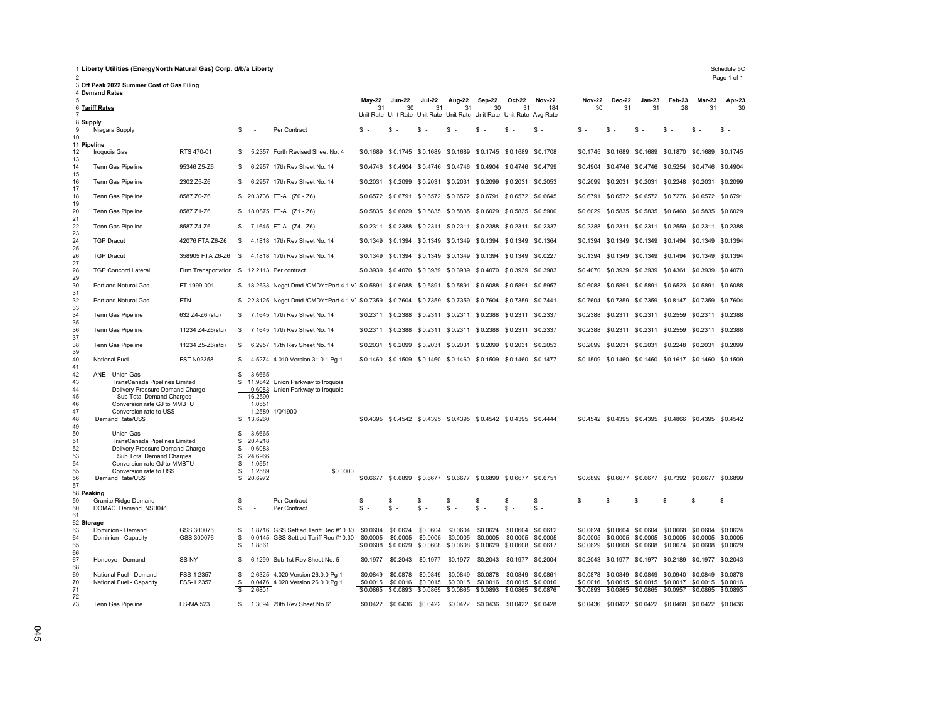Schedule 5C<br>Page 1 of 1

|                                                    | 3 Off Peak 2022 Summer Cost of Gas Filing<br>4 Demand Rates                                                                                                                                 |                                             |                                       |                                                                       |                                                                                                               |                      |                      |                                  |                                |                                                                                                           |                      |                      |                      |                      |                                                                                                                                     |                      |                                        | Page 1 of 1          |
|----------------------------------------------------|---------------------------------------------------------------------------------------------------------------------------------------------------------------------------------------------|---------------------------------------------|---------------------------------------|-----------------------------------------------------------------------|---------------------------------------------------------------------------------------------------------------|----------------------|----------------------|----------------------------------|--------------------------------|-----------------------------------------------------------------------------------------------------------|----------------------|----------------------|----------------------|----------------------|-------------------------------------------------------------------------------------------------------------------------------------|----------------------|----------------------------------------|----------------------|
| 5                                                  | 6 Tariff Rates                                                                                                                                                                              |                                             |                                       |                                                                       |                                                                                                               | <b>May-22</b><br>31  | 30                   | 31                               | 31                             | Jun-22 Jul-22 Aug-22 Sep-22<br>30<br>Unit Rate Unit Rate Unit Rate Unit Rate Unit Rate Unit Rate Avg Rate | $Oct-22$<br>31       | <b>Nov-22</b><br>184 | <b>Nov-22</b><br>30  | Dec-22<br>31         | $Jan-23$<br>31                                                                                                                      | Feb-23<br>28         | $Mar-23$<br>31                         | Apr-23<br>30         |
| 9<br>10                                            | 8 Supply<br>Niagara Supply                                                                                                                                                                  |                                             | £.                                    |                                                                       | Per Contract                                                                                                  | $s -$                | \$.                  | $s -$                            | \$<br>$\overline{\phantom{a}}$ | $s -$                                                                                                     | $s -$                | $s -$                | $s -$                | s.                   | $s -$                                                                                                                               | $\hat{s}$ .          | \$                                     | $s -$                |
| 12                                                 | 11 Pipeline<br>Iroquois Gas                                                                                                                                                                 | RTS 470-01                                  | -S                                    |                                                                       | 5.2357 Forth Revised Sheet No. 4                                                                              |                      |                      |                                  |                                | \$0.1689 \$0.1745 \$0.1689 \$0.1689 \$0.1745 \$0.1689 \$0.1708                                            |                      |                      |                      |                      | \$0.1745 \$0.1689 \$0.1689 \$0.1870 \$0.1689 \$0.1745                                                                               |                      |                                        |                      |
| 13<br>14                                           | Tenn Gas Pipeline                                                                                                                                                                           | 95346 Z5-Z6                                 | S                                     |                                                                       | 6.2957 17th Rev Sheet No. 14                                                                                  |                      |                      |                                  |                                | \$0.4746 \$0.4904 \$0.4746 \$0.4746 \$0.4904 \$0.4746 \$0.4799                                            |                      |                      |                      |                      | \$0.4904 \$0.4746 \$0.4746 \$0.5254 \$0.4746 \$0.4904                                                                               |                      |                                        |                      |
| 15<br>16<br>17                                     | Tenn Gas Pipeline                                                                                                                                                                           | 2302 Z5-Z6                                  | S                                     |                                                                       | 6.2957 17th Rev Sheet No. 14                                                                                  |                      |                      |                                  |                                | \$0.2031 \$0.2099 \$0.2031 \$0.2031 \$0.2099 \$0.2031 \$0.2053                                            |                      |                      |                      |                      | \$0.2099 \$0.2031 \$0.2031 \$0.2248 \$0.2031 \$0.2099                                                                               |                      |                                        |                      |
| 18                                                 | Tenn Gas Pipeline                                                                                                                                                                           | 8587 Z0-Z6                                  |                                       |                                                                       | \$ 20.3736 FT-A (Z0 - Z6)                                                                                     |                      |                      |                                  |                                | \$0.6572 \$0.6791 \$0.6572 \$0.6572 \$0.6791 \$0.6572 \$0.6645                                            |                      |                      |                      |                      | \$0.6791 \$0.6572 \$0.6572 \$0.7276 \$0.6572 \$0.6791                                                                               |                      |                                        |                      |
| 19<br>20                                           | Tenn Gas Pipeline                                                                                                                                                                           | 8587 Z1-Z6                                  |                                       |                                                                       | \$ 18.0875 FT-A (Z1 - Z6)                                                                                     |                      |                      |                                  |                                | \$0.5835 \$0.6029 \$0.5835 \$0.5835 \$0.6029 \$0.5835 \$0.5900                                            |                      |                      |                      |                      | \$0.6029 \$0.5835 \$0.5835 \$0.6460 \$0.5835 \$0.6029                                                                               |                      |                                        |                      |
| 21<br>22                                           | Tenn Gas Pipeline                                                                                                                                                                           | 8587 Z4-Z6                                  | \$.                                   |                                                                       | 7.1645 FT-A (Z4 - Z6)                                                                                         |                      |                      |                                  |                                | \$0.2311 \$0.2388 \$0.2311 \$0.2311 \$0.2388 \$0.2311 \$0.2337                                            |                      |                      |                      |                      | \$0.2388 \$0.2311 \$0.2311 \$0.2559 \$0.2311 \$0.2388                                                                               |                      |                                        |                      |
| 23<br>24                                           | <b>TGP Dracut</b>                                                                                                                                                                           | 42076 FTA Z6-Z6                             | \$                                    |                                                                       | 4.1818 17th Rev Sheet No. 14                                                                                  |                      |                      |                                  |                                | \$0.1349 \$0.1394 \$0.1349 \$0.1349 \$0.1394 \$0.1349 \$0.1364                                            |                      |                      |                      |                      | \$0.1394 \$0.1349 \$0.1349 \$0.1494 \$0.1349 \$0.1394                                                                               |                      |                                        |                      |
| 25<br>26                                           | <b>TGP Dracut</b>                                                                                                                                                                           | 358905 FTA Z6-Z6                            | - \$                                  |                                                                       | 4.1818 17th Rev Sheet No. 14                                                                                  |                      |                      |                                  |                                | \$0.1349 \$0.1394 \$0.1349 \$0.1349 \$0.1394 \$0.1349 \$0.0227                                            |                      |                      |                      |                      | \$0.1394 \$0.1349 \$0.1349 \$0.1494 \$0.1349 \$0.1394                                                                               |                      |                                        |                      |
| 27<br>28                                           | <b>TGP Concord Lateral</b>                                                                                                                                                                  | Firm Transportation \$ 12.2113 Per contract |                                       |                                                                       |                                                                                                               |                      |                      |                                  |                                | \$0.3939 \$0.4070 \$0.3939 \$0.3939 \$0.4070 \$0.3939 \$0.3983                                            |                      |                      |                      |                      | \$0.4070 \$0.3939 \$0.3939 \$0.4361 \$0.3939 \$0.4070                                                                               |                      |                                        |                      |
| 29<br>30                                           | Portland Natural Gas                                                                                                                                                                        | FT-1999-001                                 |                                       |                                                                       | \$18.2633 Negot Dmd /CMDY=Part 4.1 Vi \$0.5891 \$0.6088 \$0.5891 \$0.5891 \$0.6088 \$0.5891 \$0.5957          |                      |                      |                                  |                                |                                                                                                           |                      |                      |                      |                      | \$0.6088 \$0.5891 \$0.5891 \$0.6523 \$0.5891 \$0.6088                                                                               |                      |                                        |                      |
| 31<br>32                                           | <b>Portland Natural Gas</b>                                                                                                                                                                 | <b>FTN</b>                                  |                                       |                                                                       | \$ 22.8125 Negot Dmd /CMDY=Part 4.1 Vi \$0.7359 \$0.7604 \$0.7359 \$0.7359 \$0.7604 \$0.7359 \$0.7441         |                      |                      |                                  |                                |                                                                                                           |                      |                      |                      |                      | \$0.7604 \$0.7359 \$0.7359 \$0.8147 \$0.7359 \$0.7604                                                                               |                      |                                        |                      |
| 33<br>34                                           | Tenn Gas Pipeline                                                                                                                                                                           | 632 Z4-Z6 (stg)                             | \$                                    |                                                                       | 7.1645 17th Rev Sheet No. 14                                                                                  |                      |                      |                                  |                                | \$0.2311 \$0.2388 \$0.2311 \$0.2311 \$0.2388 \$0.2311 \$0.2337                                            |                      |                      |                      |                      | \$0.2388 \$0.2311 \$0.2311 \$0.2559 \$0.2311 \$0.2388                                                                               |                      |                                        |                      |
| 35<br>36                                           | Tenn Gas Pipeline                                                                                                                                                                           | 11234 Z4-Z6(stg)                            | \$                                    |                                                                       | 7.1645 17th Rev Sheet No. 14                                                                                  |                      |                      |                                  |                                | \$0.2311 \$0.2388 \$0.2311 \$0.2311 \$0.2388 \$0.2311 \$0.2337                                            |                      |                      |                      |                      | \$0.2388 \$0.2311 \$0.2311 \$0.2559                                                                                                 |                      | \$0.2311 \$0.2388                      |                      |
| 37<br>38                                           | Tenn Gas Pipeline                                                                                                                                                                           | 11234 Z5-Z6(stg)                            | \$                                    |                                                                       | 6.2957 17th Rev Sheet No. 14                                                                                  |                      |                      |                                  |                                | \$0.2031 \$0.2099 \$0.2031 \$0.2031 \$0.2099 \$0.2031 \$0.2053                                            |                      |                      |                      |                      | \$0.2099 \$0.2031 \$0.2031 \$0.2248 \$0.2031 \$0.2099                                                                               |                      |                                        |                      |
| 39<br>40                                           | <b>National Fuel</b>                                                                                                                                                                        | <b>FST N02358</b>                           | \$.                                   |                                                                       | 4.5274 4.010 Version 31.0.1 Pg 1                                                                              |                      |                      |                                  |                                | \$0.1460 \$0.1509 \$0.1460 \$0.1460 \$0.1509 \$0.1460 \$0.1477                                            |                      |                      |                      |                      | \$0.1509 \$0.1460 \$0.1460 \$0.1617 \$0.1460 \$0.1509                                                                               |                      |                                        |                      |
| 41<br>42<br>43<br>44<br>45<br>46<br>47<br>48<br>49 | ANE Union Gas<br>TransCanada Pipelines Limited<br>Delivery Pressure Demand Charge<br>Sub Total Demand Charges<br>Conversion rate GJ to MMBTU<br>Conversion rate to US\$<br>Demand Rate/US\$ |                                             | \$<br>\$                              | 3.6665<br>0.6083<br>16.2590<br>1.0551<br>13.6260                      | \$ 11.9842 Union Parkway to Iroquois<br>Union Parkway to Iroquois<br>1.2589 1/0/1900                          |                      |                      |                                  |                                | \$0.4395 \$0.4542 \$0.4395 \$0.4395 \$0.4542 \$0.4395 \$0.4444                                            |                      |                      |                      |                      | \$0.4542 \$0.4395 \$0.4395 \$0.4866 \$0.4395 \$0.4542                                                                               |                      |                                        |                      |
| 50<br>51<br>52<br>53<br>54<br>55<br>56<br>57       | Union Gas<br>TransCanada Pipelines Limited<br>Delivery Pressure Demand Charge<br>Sub Total Demand Charges<br>Conversion rate GJ to MMBTU<br>Conversion rate to US\$<br>Demand Rate/US\$     |                                             | \$<br>\$<br>\$<br>S.<br>\$<br>\$<br>S | 3.6665<br>20.4218<br>0.6083<br>24.6966<br>1.0551<br>1.2589<br>20.6972 | \$0.0000                                                                                                      |                      |                      |                                  |                                | \$0.6677 \$0.6899 \$0.6677 \$0.6677 \$0.6899 \$0.6677 \$0.6751                                            |                      |                      |                      |                      | \$0.6899 \$0.6677 \$0.6677 \$0.7392 \$0.6677 \$0.6899                                                                               |                      |                                        |                      |
| 59                                                 | 58 Peaking<br>Granite Ridge Demand                                                                                                                                                          |                                             | S                                     |                                                                       | Per Contract                                                                                                  | -S                   | s                    | \$                               | S                              | s.                                                                                                        | $s -$                | $s -$                | £.                   | S                    | -96                                                                                                                                 | S.                   | -S                                     | S.                   |
| 60<br>61                                           | DOMAC Demand NSB041                                                                                                                                                                         |                                             | \$                                    |                                                                       | Per Contract                                                                                                  | \$                   | \$.                  | \$                               | \$                             | s.                                                                                                        | s.                   | $s -$                |                      |                      |                                                                                                                                     |                      |                                        |                      |
|                                                    | 62 Storage                                                                                                                                                                                  |                                             |                                       |                                                                       |                                                                                                               |                      |                      |                                  |                                |                                                                                                           |                      |                      |                      |                      |                                                                                                                                     |                      |                                        |                      |
| 63<br>64<br>65<br>66                               | Dominion - Demand<br>Dominion - Capacity                                                                                                                                                    | GSS 300076<br>GSS 300076                    | \$<br>\$<br>s.                        | 1.8861                                                                | 1.8716 GSS Settled, Tariff Rec #10.30 ' \$0.0604 \$0.0624<br>0.0145 GSS Settled, Tariff Rec #10.30 ' \$0.0005 | \$0.0608             | \$0.0005<br>\$0.0629 | \$0.0604<br>\$0.0005<br>\$0.0608 | \$0.0005<br>\$0.0608           | \$0.0604 \$0.0624 \$0.0604 \$0.0612<br>\$0.0005<br>\$0.0629                                               | \$0,0005<br>\$0.0608 | \$0.0005<br>\$0.0617 | \$0,0005<br>\$0.0629 | \$0.0005<br>\$0.0608 | \$0.0624 \$0.0604 \$0.0604 \$0.0668 \$0.0604 \$0.0624<br>\$0.0005<br>\$0.0608                                                       | \$0.0005<br>\$0.0674 | \$0.0005<br>\$0.0608                   | \$0.0005<br>\$0.0629 |
| 67<br>68                                           | Honeoye - Demand                                                                                                                                                                            | SS-NY                                       | \$.                                   |                                                                       | 6.1299 Sub 1st Rev Sheet No. 5                                                                                | \$0.1977             | \$0.2043             | \$0.1977                         | \$0.1977                       | \$0.2043                                                                                                  | \$0.1977 \$0.2004    |                      |                      |                      | \$0.2043 \$0.1977 \$0.1977 \$0.2189 \$0.1977 \$0.2043                                                                               |                      |                                        |                      |
| 69<br>70<br>71                                     | National Fuel - Demand<br>National Fuel - Capacity                                                                                                                                          | FSS-1 2357<br>FSS-1 2357                    | \$<br>\$<br>S.                        | 2.6801                                                                | 2.6325 4.020 Version 26.0.0 Pg 1<br>0.0476 4.020 Version 26.0.0 Pg 1                                          | \$0.0849<br>\$0.0015 | \$0.0878<br>\$0.0016 | \$0.0849<br>\$0.0015             | \$0.0849<br>\$0.0015           | \$0.0878 \$0.0849 \$0.0861<br>\$0.0016<br>\$0.0865 \$0.0893 \$0.0865 \$0.0865 \$0.0893 \$0.0865 \$0.0876  | \$0.0015 \$0.0016    |                      |                      |                      | \$0.0878 \$0.0849 \$0.0849 \$0.0940 \$0.0849 \$0.0878<br>\$0.0016 \$0.0015 \$0.0015 \$0.0017<br>\$0.0893 \$0.0865 \$0.0865 \$0.0957 |                      | \$0.0015 \$0.0016<br>\$0.0865 \$0.0893 |                      |
| 72<br>73                                           | Tenn Gas Pipeline                                                                                                                                                                           | <b>FS-MA 523</b>                            | \$                                    |                                                                       | 1.3094 20th Rev Sheet No.61                                                                                   | \$0.0422             |                      |                                  |                                | \$0.0436 \$0.0422 \$0.0422 \$0.0436 \$0.0422 \$0.0428                                                     |                      |                      |                      |                      | \$0.0436 \$0.0422 \$0.0422 \$0.0468 \$0.0422 \$0.0436                                                                               |                      |                                        |                      |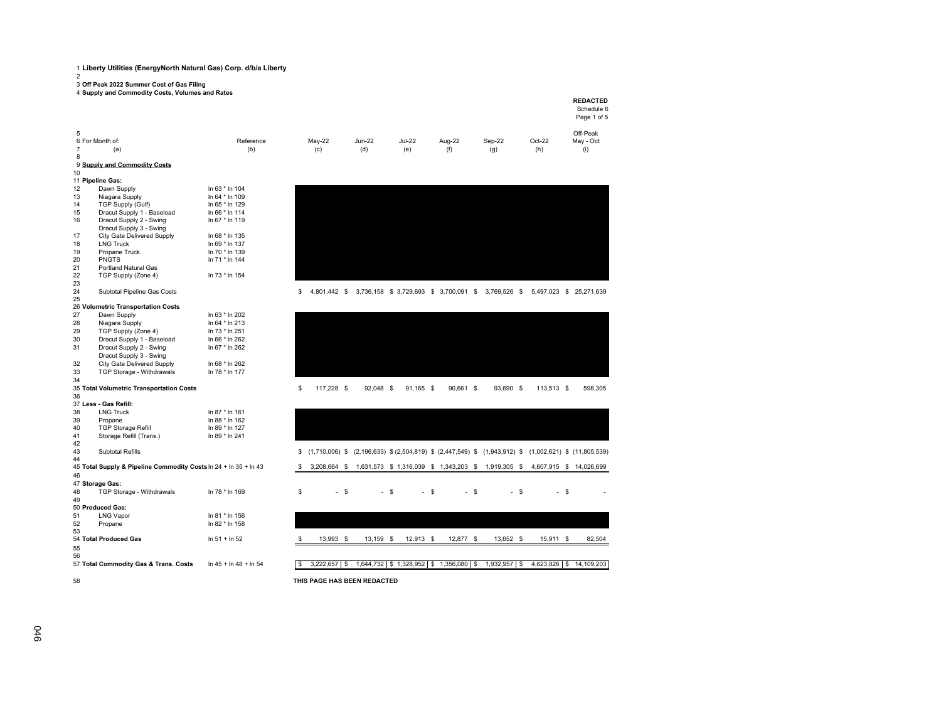$\frac{1}{2}$ 

3 **Off Peak 2022 Summer Cost of Gas Filing** 4 **Supply and Commodity Costs, Volumes and Rates**

| 5<br>6 For Month of:<br>7<br>(a)<br>8<br>9 Supply and Commodity Costs<br>10<br>11 Pipeline Gas:<br>12<br>Dawn Supply<br>In 63 * In 104<br>Niagara Supply<br>13<br>In 64 * In 109<br>TGP Supply (Gulf)<br>14<br>In 65 * In 129<br>15<br>Dracut Supply 1 - Baseload<br>In 66 * In 114<br>16<br>Dracut Supply 2 - Swing<br>In 67 * In 119<br>Dracut Supply 3 - Swing<br><b>City Gate Delivered Supply</b><br>17<br>In 68 * In 135<br>18<br><b>LNG Truck</b><br>In 69 * In 137<br>Propane Truck<br>19<br>In 70 * In 139<br><b>PNGTS</b><br>20<br>In 71 * In 144<br>21<br><b>Portland Natural Gas</b><br>22<br>TGP Supply (Zone 4)<br>In 73 * In 154<br>23<br>24<br>Subtotal Pipeline Gas Costs<br>25<br>26 Volumetric Transportation Costs<br>27<br>Dawn Supply<br>In 63 * In 202<br>28<br>Niagara Supply<br>In 64 * In 213<br>29<br>TGP Supply (Zone 4)<br>In 73 * In 251<br>30<br>Dracut Supply 1 - Baseload<br>In 66 * In 262<br>31<br>Dracut Supply 2 - Swing<br>In 67 * In 262<br>Dracut Supply 3 - Swing<br>32<br><b>City Gate Delivered Supply</b><br>In 68 * In 262<br>33<br>TGP Storage - Withdrawals<br>In 78 * In 177<br>34<br>35 Total Volumetric Transportation Costs<br>36 | Reference<br>(b)      |     | $May-22$<br>(c)             | <b>Jun-22</b> | <b>Jul-22</b>                          |        |                  |              |           |                                                                                                                  |        |                       |
|--------------------------------------------------------------------------------------------------------------------------------------------------------------------------------------------------------------------------------------------------------------------------------------------------------------------------------------------------------------------------------------------------------------------------------------------------------------------------------------------------------------------------------------------------------------------------------------------------------------------------------------------------------------------------------------------------------------------------------------------------------------------------------------------------------------------------------------------------------------------------------------------------------------------------------------------------------------------------------------------------------------------------------------------------------------------------------------------------------------------------------------------------------------------------------------|-----------------------|-----|-----------------------------|---------------|----------------------------------------|--------|------------------|--------------|-----------|------------------------------------------------------------------------------------------------------------------|--------|-----------------------|
|                                                                                                                                                                                                                                                                                                                                                                                                                                                                                                                                                                                                                                                                                                                                                                                                                                                                                                                                                                                                                                                                                                                                                                                      |                       |     |                             |               |                                        |        | Aug-22           | Sep-22       |           | Oct-22                                                                                                           |        | Off-Peak<br>May - Oct |
|                                                                                                                                                                                                                                                                                                                                                                                                                                                                                                                                                                                                                                                                                                                                                                                                                                                                                                                                                                                                                                                                                                                                                                                      |                       |     |                             | (d)           | (e)                                    |        | (f)              | (g)          |           | (h)                                                                                                              |        | (i)                   |
|                                                                                                                                                                                                                                                                                                                                                                                                                                                                                                                                                                                                                                                                                                                                                                                                                                                                                                                                                                                                                                                                                                                                                                                      |                       |     |                             |               |                                        |        |                  |              |           |                                                                                                                  |        |                       |
|                                                                                                                                                                                                                                                                                                                                                                                                                                                                                                                                                                                                                                                                                                                                                                                                                                                                                                                                                                                                                                                                                                                                                                                      |                       |     |                             |               |                                        |        |                  |              |           |                                                                                                                  |        |                       |
|                                                                                                                                                                                                                                                                                                                                                                                                                                                                                                                                                                                                                                                                                                                                                                                                                                                                                                                                                                                                                                                                                                                                                                                      |                       |     |                             |               |                                        |        |                  |              |           |                                                                                                                  |        |                       |
|                                                                                                                                                                                                                                                                                                                                                                                                                                                                                                                                                                                                                                                                                                                                                                                                                                                                                                                                                                                                                                                                                                                                                                                      |                       |     |                             |               |                                        |        |                  |              |           |                                                                                                                  |        |                       |
|                                                                                                                                                                                                                                                                                                                                                                                                                                                                                                                                                                                                                                                                                                                                                                                                                                                                                                                                                                                                                                                                                                                                                                                      |                       |     |                             |               |                                        |        |                  |              |           |                                                                                                                  |        |                       |
|                                                                                                                                                                                                                                                                                                                                                                                                                                                                                                                                                                                                                                                                                                                                                                                                                                                                                                                                                                                                                                                                                                                                                                                      |                       |     |                             |               |                                        |        |                  |              |           |                                                                                                                  |        |                       |
|                                                                                                                                                                                                                                                                                                                                                                                                                                                                                                                                                                                                                                                                                                                                                                                                                                                                                                                                                                                                                                                                                                                                                                                      |                       |     |                             |               |                                        |        |                  |              |           |                                                                                                                  |        |                       |
|                                                                                                                                                                                                                                                                                                                                                                                                                                                                                                                                                                                                                                                                                                                                                                                                                                                                                                                                                                                                                                                                                                                                                                                      |                       |     |                             |               |                                        |        |                  |              |           |                                                                                                                  |        |                       |
|                                                                                                                                                                                                                                                                                                                                                                                                                                                                                                                                                                                                                                                                                                                                                                                                                                                                                                                                                                                                                                                                                                                                                                                      |                       |     |                             |               |                                        |        |                  |              |           |                                                                                                                  |        |                       |
|                                                                                                                                                                                                                                                                                                                                                                                                                                                                                                                                                                                                                                                                                                                                                                                                                                                                                                                                                                                                                                                                                                                                                                                      |                       |     |                             |               |                                        |        |                  |              |           |                                                                                                                  |        |                       |
|                                                                                                                                                                                                                                                                                                                                                                                                                                                                                                                                                                                                                                                                                                                                                                                                                                                                                                                                                                                                                                                                                                                                                                                      |                       |     |                             |               |                                        |        |                  |              |           |                                                                                                                  |        |                       |
|                                                                                                                                                                                                                                                                                                                                                                                                                                                                                                                                                                                                                                                                                                                                                                                                                                                                                                                                                                                                                                                                                                                                                                                      |                       |     |                             |               |                                        |        |                  |              |           |                                                                                                                  |        |                       |
|                                                                                                                                                                                                                                                                                                                                                                                                                                                                                                                                                                                                                                                                                                                                                                                                                                                                                                                                                                                                                                                                                                                                                                                      |                       |     |                             |               |                                        |        |                  |              |           |                                                                                                                  |        |                       |
|                                                                                                                                                                                                                                                                                                                                                                                                                                                                                                                                                                                                                                                                                                                                                                                                                                                                                                                                                                                                                                                                                                                                                                                      |                       |     |                             |               |                                        |        |                  |              |           |                                                                                                                  |        |                       |
|                                                                                                                                                                                                                                                                                                                                                                                                                                                                                                                                                                                                                                                                                                                                                                                                                                                                                                                                                                                                                                                                                                                                                                                      |                       |     |                             |               |                                        |        |                  |              |           |                                                                                                                  |        |                       |
|                                                                                                                                                                                                                                                                                                                                                                                                                                                                                                                                                                                                                                                                                                                                                                                                                                                                                                                                                                                                                                                                                                                                                                                      |                       | \$  | 4,801,442 \$                |               |                                        |        |                  |              |           | 3,736,158 \$3,729,693 \$3,700,091 \$3,769,526 \$5,497,023 \$25,271,639                                           |        |                       |
|                                                                                                                                                                                                                                                                                                                                                                                                                                                                                                                                                                                                                                                                                                                                                                                                                                                                                                                                                                                                                                                                                                                                                                                      |                       |     |                             |               |                                        |        |                  |              |           |                                                                                                                  |        |                       |
|                                                                                                                                                                                                                                                                                                                                                                                                                                                                                                                                                                                                                                                                                                                                                                                                                                                                                                                                                                                                                                                                                                                                                                                      |                       |     |                             |               |                                        |        |                  |              |           |                                                                                                                  |        |                       |
|                                                                                                                                                                                                                                                                                                                                                                                                                                                                                                                                                                                                                                                                                                                                                                                                                                                                                                                                                                                                                                                                                                                                                                                      |                       |     |                             |               |                                        |        |                  |              |           |                                                                                                                  |        |                       |
|                                                                                                                                                                                                                                                                                                                                                                                                                                                                                                                                                                                                                                                                                                                                                                                                                                                                                                                                                                                                                                                                                                                                                                                      |                       |     |                             |               |                                        |        |                  |              |           |                                                                                                                  |        |                       |
|                                                                                                                                                                                                                                                                                                                                                                                                                                                                                                                                                                                                                                                                                                                                                                                                                                                                                                                                                                                                                                                                                                                                                                                      |                       |     |                             |               |                                        |        |                  |              |           |                                                                                                                  |        |                       |
|                                                                                                                                                                                                                                                                                                                                                                                                                                                                                                                                                                                                                                                                                                                                                                                                                                                                                                                                                                                                                                                                                                                                                                                      |                       |     |                             |               |                                        |        |                  |              |           |                                                                                                                  |        |                       |
|                                                                                                                                                                                                                                                                                                                                                                                                                                                                                                                                                                                                                                                                                                                                                                                                                                                                                                                                                                                                                                                                                                                                                                                      |                       |     |                             |               |                                        |        |                  |              |           |                                                                                                                  |        |                       |
|                                                                                                                                                                                                                                                                                                                                                                                                                                                                                                                                                                                                                                                                                                                                                                                                                                                                                                                                                                                                                                                                                                                                                                                      |                       |     |                             |               |                                        |        |                  |              |           |                                                                                                                  |        |                       |
|                                                                                                                                                                                                                                                                                                                                                                                                                                                                                                                                                                                                                                                                                                                                                                                                                                                                                                                                                                                                                                                                                                                                                                                      |                       |     |                             |               |                                        |        |                  |              |           |                                                                                                                  |        |                       |
|                                                                                                                                                                                                                                                                                                                                                                                                                                                                                                                                                                                                                                                                                                                                                                                                                                                                                                                                                                                                                                                                                                                                                                                      |                       |     |                             |               |                                        |        |                  |              |           |                                                                                                                  |        |                       |
|                                                                                                                                                                                                                                                                                                                                                                                                                                                                                                                                                                                                                                                                                                                                                                                                                                                                                                                                                                                                                                                                                                                                                                                      |                       |     |                             |               |                                        |        |                  |              |           |                                                                                                                  |        |                       |
|                                                                                                                                                                                                                                                                                                                                                                                                                                                                                                                                                                                                                                                                                                                                                                                                                                                                                                                                                                                                                                                                                                                                                                                      |                       | \$. | 117,228 \$                  | 92,048 \$     | 91,165 \$                              |        | 90,661 \$        |              | 93,690 \$ | 113,513 \$                                                                                                       |        | 598,305               |
| 37 Less - Gas Refill:                                                                                                                                                                                                                                                                                                                                                                                                                                                                                                                                                                                                                                                                                                                                                                                                                                                                                                                                                                                                                                                                                                                                                                |                       |     |                             |               |                                        |        |                  |              |           |                                                                                                                  |        |                       |
| 38<br><b>LNG Truck</b><br>In 87 * In 161                                                                                                                                                                                                                                                                                                                                                                                                                                                                                                                                                                                                                                                                                                                                                                                                                                                                                                                                                                                                                                                                                                                                             |                       |     |                             |               |                                        |        |                  |              |           |                                                                                                                  |        |                       |
| 39<br>Propane<br>In 88 * In 162                                                                                                                                                                                                                                                                                                                                                                                                                                                                                                                                                                                                                                                                                                                                                                                                                                                                                                                                                                                                                                                                                                                                                      |                       |     |                             |               |                                        |        |                  |              |           |                                                                                                                  |        |                       |
| 40<br><b>TGP Storage Refill</b><br>In 89 * In 127                                                                                                                                                                                                                                                                                                                                                                                                                                                                                                                                                                                                                                                                                                                                                                                                                                                                                                                                                                                                                                                                                                                                    |                       |     |                             |               |                                        |        |                  |              |           |                                                                                                                  |        |                       |
| 41<br>Storage Refill (Trans.)<br>In 89 * In 241                                                                                                                                                                                                                                                                                                                                                                                                                                                                                                                                                                                                                                                                                                                                                                                                                                                                                                                                                                                                                                                                                                                                      |                       |     |                             |               |                                        |        |                  |              |           |                                                                                                                  |        |                       |
| 42                                                                                                                                                                                                                                                                                                                                                                                                                                                                                                                                                                                                                                                                                                                                                                                                                                                                                                                                                                                                                                                                                                                                                                                   |                       |     |                             |               |                                        |        |                  |              |           |                                                                                                                  |        |                       |
| 43<br><b>Subtotal Refills</b>                                                                                                                                                                                                                                                                                                                                                                                                                                                                                                                                                                                                                                                                                                                                                                                                                                                                                                                                                                                                                                                                                                                                                        |                       |     |                             |               |                                        |        |                  |              |           | $$$ (1,710,006) $$$ (2,196,633) $$$ (2,504,819) $$$ (2,447,549) $$$ (1,943,912) $$$ (1,002,621) $$$ (11,805,539) |        |                       |
| 44                                                                                                                                                                                                                                                                                                                                                                                                                                                                                                                                                                                                                                                                                                                                                                                                                                                                                                                                                                                                                                                                                                                                                                                   |                       |     |                             |               |                                        |        |                  |              |           |                                                                                                                  |        |                       |
| 45 Total Supply & Pipeline Commodity Costs In 24 + In 35 + In 43                                                                                                                                                                                                                                                                                                                                                                                                                                                                                                                                                                                                                                                                                                                                                                                                                                                                                                                                                                                                                                                                                                                     |                       | \$. | 3,208,664 \$                |               | 1,631,573 \$ 1,316,039 \$ 1,343,203 \$ |        |                  | 1,919,305 \$ |           | 4,607,915 \$ 14,026,699                                                                                          |        |                       |
| 46                                                                                                                                                                                                                                                                                                                                                                                                                                                                                                                                                                                                                                                                                                                                                                                                                                                                                                                                                                                                                                                                                                                                                                                   |                       |     |                             |               |                                        |        |                  |              |           |                                                                                                                  |        |                       |
| 47 Storage Gas:                                                                                                                                                                                                                                                                                                                                                                                                                                                                                                                                                                                                                                                                                                                                                                                                                                                                                                                                                                                                                                                                                                                                                                      |                       |     |                             |               |                                        |        |                  |              |           |                                                                                                                  |        |                       |
| 48<br>TGP Storage - Withdrawals<br>In 78 * In 169                                                                                                                                                                                                                                                                                                                                                                                                                                                                                                                                                                                                                                                                                                                                                                                                                                                                                                                                                                                                                                                                                                                                    |                       | \$  | $-$ \$                      | $-$ \$        |                                        | $-$ \$ |                  | S.           | $-$ \$    |                                                                                                                  | $-$ \$ |                       |
| 49                                                                                                                                                                                                                                                                                                                                                                                                                                                                                                                                                                                                                                                                                                                                                                                                                                                                                                                                                                                                                                                                                                                                                                                   |                       |     |                             |               |                                        |        |                  |              |           |                                                                                                                  |        |                       |
| 50 Produced Gas:                                                                                                                                                                                                                                                                                                                                                                                                                                                                                                                                                                                                                                                                                                                                                                                                                                                                                                                                                                                                                                                                                                                                                                     |                       |     |                             |               |                                        |        |                  |              |           |                                                                                                                  |        |                       |
| 51<br><b>LNG Vapor</b><br>In 81 * In 156                                                                                                                                                                                                                                                                                                                                                                                                                                                                                                                                                                                                                                                                                                                                                                                                                                                                                                                                                                                                                                                                                                                                             |                       |     |                             |               |                                        |        |                  |              |           |                                                                                                                  |        |                       |
| 52<br>Propane<br>In 82 * In 158                                                                                                                                                                                                                                                                                                                                                                                                                                                                                                                                                                                                                                                                                                                                                                                                                                                                                                                                                                                                                                                                                                                                                      |                       |     |                             |               |                                        |        |                  |              |           |                                                                                                                  |        |                       |
| 53                                                                                                                                                                                                                                                                                                                                                                                                                                                                                                                                                                                                                                                                                                                                                                                                                                                                                                                                                                                                                                                                                                                                                                                   |                       |     |                             |               |                                        |        |                  |              |           |                                                                                                                  |        |                       |
| 54 Total Produced Gas<br>$ln 51 + ln 52$                                                                                                                                                                                                                                                                                                                                                                                                                                                                                                                                                                                                                                                                                                                                                                                                                                                                                                                                                                                                                                                                                                                                             |                       | \$  | 13,993 \$                   | 13,159 \$     | 12,913 \$                              |        | 12,877 \$        |              | 13,652 \$ | 15,911 \$                                                                                                        |        | 82,504                |
| 55                                                                                                                                                                                                                                                                                                                                                                                                                                                                                                                                                                                                                                                                                                                                                                                                                                                                                                                                                                                                                                                                                                                                                                                   |                       |     |                             |               |                                        |        |                  |              |           |                                                                                                                  |        |                       |
| 56                                                                                                                                                                                                                                                                                                                                                                                                                                                                                                                                                                                                                                                                                                                                                                                                                                                                                                                                                                                                                                                                                                                                                                                   |                       |     |                             |               |                                        |        |                  |              |           |                                                                                                                  |        |                       |
| 57 Total Commodity Gas & Trans. Costs                                                                                                                                                                                                                                                                                                                                                                                                                                                                                                                                                                                                                                                                                                                                                                                                                                                                                                                                                                                                                                                                                                                                                | In 45 + In 48 + In 54 |     | $3,222,657$ \$              |               | 1,644,732 \$ 1,328,952 \$              |        | $1,356,080$ \ \$ | 1,932,957 \$ |           | $4,623,826$ \ \ \$                                                                                               |        | 14,109,203            |
| 58                                                                                                                                                                                                                                                                                                                                                                                                                                                                                                                                                                                                                                                                                                                                                                                                                                                                                                                                                                                                                                                                                                                                                                                   |                       |     | THIS PAGE HAS BEEN REDACTED |               |                                        |        |                  |              |           |                                                                                                                  |        |                       |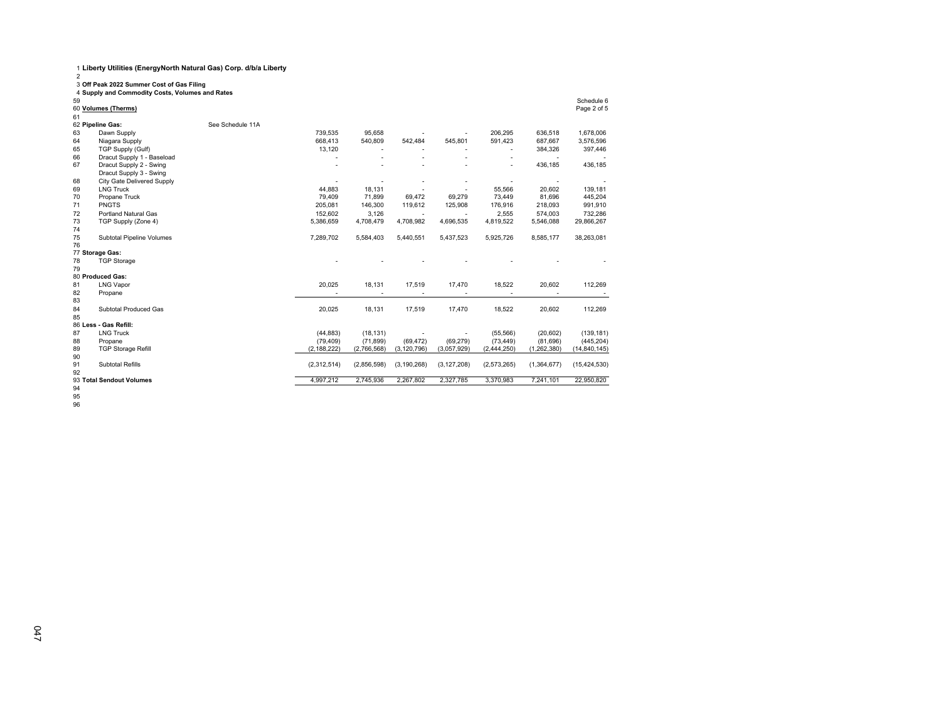2 3 **Off Peak 2022 Summer Cost of Gas Filing** 4 **Supply and Commodity Costs, Volumes and Rates**

| 59 |                             |                  |               |             |                          |               |             |             | Schedule 6     |
|----|-----------------------------|------------------|---------------|-------------|--------------------------|---------------|-------------|-------------|----------------|
|    | 60 Volumes (Therms)         |                  |               |             |                          |               |             |             | Page 2 of 5    |
| 61 |                             |                  |               |             |                          |               |             |             |                |
|    | 62 Pipeline Gas:            | See Schedule 11A |               |             |                          |               |             |             |                |
| 63 | Dawn Supply                 |                  | 739,535       | 95,658      |                          |               | 206,295     | 636,518     | 1,678,006      |
| 64 | Niagara Supply              |                  | 668.413       | 540,809     | 542,484                  | 545,801       | 591,423     | 687,667     | 3,576,596      |
| 65 | TGP Supply (Gulf)           |                  | 13,120        |             |                          |               |             | 384,326     | 397,446        |
| 66 | Dracut Supply 1 - Baseload  |                  |               |             |                          |               |             |             |                |
| 67 | Dracut Supply 2 - Swing     |                  |               |             |                          |               | ٠           | 436,185     | 436,185        |
|    | Dracut Supply 3 - Swing     |                  |               |             |                          |               |             |             |                |
| 68 | City Gate Delivered Supply  |                  |               |             |                          |               |             |             |                |
| 69 | <b>LNG Truck</b>            |                  | 44,883        | 18,131      |                          |               | 55,566      | 20,602      | 139,181        |
| 70 | Propane Truck               |                  | 79,409        | 71,899      | 69,472                   | 69,279        | 73,449      | 81,696      | 445,204        |
| 71 | <b>PNGTS</b>                |                  | 205,081       | 146,300     | 119,612                  | 125,908       | 176,916     | 218,093     | 991,910        |
| 72 | <b>Portland Natural Gas</b> |                  | 152,602       | 3,126       | $\overline{\phantom{a}}$ |               | 2,555       | 574,003     | 732,286        |
| 73 | TGP Supply (Zone 4)         |                  | 5,386,659     | 4,708,479   | 4,708,982                | 4,696,535     | 4,819,522   | 5,546,088   | 29,866,267     |
| 74 |                             |                  |               |             |                          |               |             |             |                |
| 75 | Subtotal Pipeline Volumes   |                  | 7,289,702     | 5,584,403   | 5,440,551                | 5,437,523     | 5,925,726   | 8,585,177   | 38,263,081     |
| 76 |                             |                  |               |             |                          |               |             |             |                |
|    | 77 Storage Gas:             |                  |               |             |                          |               |             |             |                |
| 78 | <b>TGP Storage</b>          |                  |               |             |                          |               |             |             |                |
| 79 |                             |                  |               |             |                          |               |             |             |                |
|    | 80 Produced Gas:            |                  |               |             |                          |               |             |             |                |
| 81 | <b>LNG Vapor</b>            |                  | 20,025        | 18,131      | 17,519                   | 17,470        | 18,522      | 20,602      | 112,269        |
| 82 | Propane                     |                  |               |             |                          |               |             |             |                |
| 83 |                             |                  |               |             |                          |               |             |             |                |
| 84 | Subtotal Produced Gas       |                  | 20,025        | 18,131      | 17,519                   | 17,470        | 18,522      | 20,602      | 112,269        |
| 85 |                             |                  |               |             |                          |               |             |             |                |
|    | 86 Less - Gas Refill:       |                  |               |             |                          |               |             |             |                |
| 87 | <b>LNG Truck</b>            |                  | (44, 883)     | (18, 131)   |                          |               | (55,566)    | (20, 602)   | (139, 181)     |
| 88 | Propane                     |                  | (79, 409)     | (71, 899)   | (69, 472)                | (69, 279)     | (73, 449)   | (81, 696)   | (445, 204)     |
| 89 | <b>TGP Storage Refill</b>   |                  | (2, 188, 222) | (2,766,568) | (3, 120, 796)            | (3,057,929)   | (2,444,250) | (1,262,380) | (14, 840, 145) |
| 90 |                             |                  |               |             |                          |               |             |             |                |
| 91 | <b>Subtotal Refills</b>     |                  | (2,312,514)   | (2,856,598) | (3, 190, 268)            | (3, 127, 208) | (2,573,265) | (1,364,677) | (15, 424, 530) |
| 92 |                             |                  |               |             |                          |               |             |             |                |
| 94 | 93 Total Sendout Volumes    |                  | 4,997,212     | 2,745,936   | 2,267,802                | 2,327,785     | 3,370,983   | 7,241,101   | 22,950,820     |
|    |                             |                  |               |             |                          |               |             |             |                |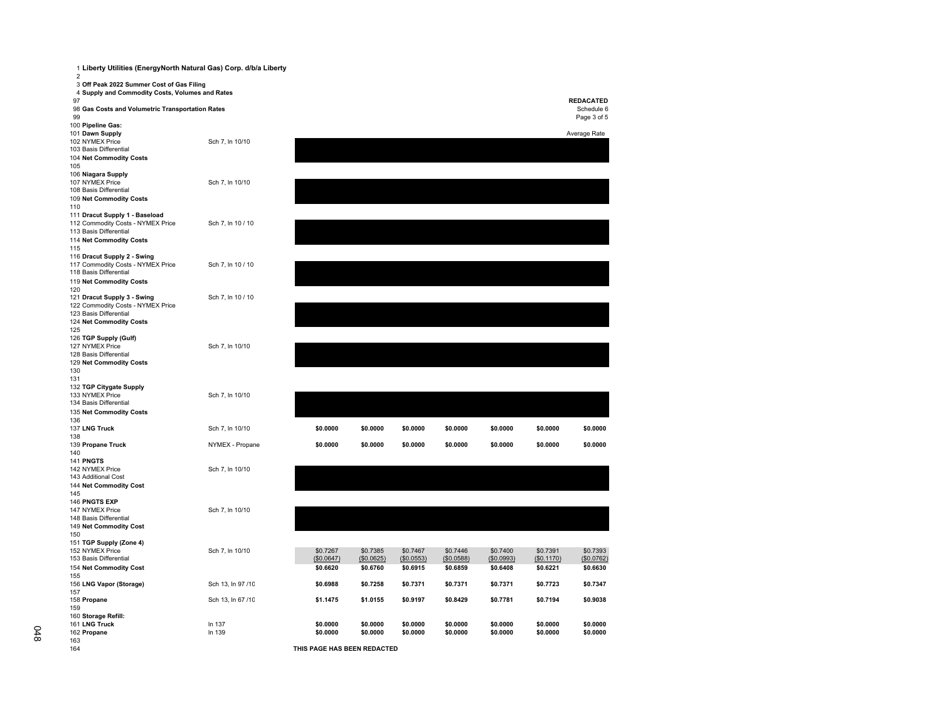|                                                              | 1 Liberty Utilities (EnergyNorth Natural Gas) Corp. d/b/a Liberty                            |                   |                             |               |               |            |            |            |                                        |
|--------------------------------------------------------------|----------------------------------------------------------------------------------------------|-------------------|-----------------------------|---------------|---------------|------------|------------|------------|----------------------------------------|
| $\overline{2}$<br>97                                         | 3 Off Peak 2022 Summer Cost of Gas Filing<br>4 Supply and Commodity Costs, Volumes and Rates |                   |                             |               |               |            |            |            |                                        |
| 99                                                           | 98 Gas Costs and Volumetric Transportation Rates                                             |                   |                             |               |               |            |            |            | REDACATED<br>Schedule 6<br>Page 3 of 5 |
| 100 Pipeline Gas:                                            |                                                                                              |                   |                             |               |               |            |            |            |                                        |
| 101 Dawn Supply<br>102 NYMEX Price<br>103 Basis Differential |                                                                                              | Sch 7, In 10/10   |                             |               |               |            |            |            | Average Rate                           |
|                                                              | 104 Net Commodity Costs                                                                      |                   |                             |               |               |            |            |            |                                        |
| 105                                                          |                                                                                              |                   |                             |               |               |            |            |            |                                        |
| 106 Niagara Supply                                           |                                                                                              |                   |                             |               |               |            |            |            |                                        |
| 107 NYMEX Price<br>108 Basis Differential                    |                                                                                              | Sch 7, In 10/10   |                             |               |               |            |            |            |                                        |
|                                                              | 109 Net Commodity Costs                                                                      |                   |                             |               |               |            |            |            |                                        |
| 110                                                          |                                                                                              |                   |                             |               |               |            |            |            |                                        |
| 113 Basis Differential                                       | 111 Dracut Supply 1 - Baseload<br>112 Commodity Costs - NYMEX Price                          | Sch 7, In 10 / 10 |                             |               |               |            |            |            |                                        |
| 115                                                          | 114 Net Commodity Costs                                                                      |                   |                             |               |               |            |            |            |                                        |
|                                                              | 116 Dracut Supply 2 - Swing                                                                  |                   |                             |               |               |            |            |            |                                        |
| 118 Basis Differential                                       | 117 Commodity Costs - NYMEX Price                                                            | Sch 7, In 10 / 10 |                             |               |               |            |            |            |                                        |
|                                                              | 119 Net Commodity Costs                                                                      |                   |                             |               |               |            |            |            |                                        |
| 120                                                          | 121 Dracut Supply 3 - Swing                                                                  | Sch 7, In 10 / 10 |                             |               |               |            |            |            |                                        |
|                                                              | 122 Commodity Costs - NYMEX Price                                                            |                   |                             |               |               |            |            |            |                                        |
| 123 Basis Differential                                       |                                                                                              |                   |                             |               |               |            |            |            |                                        |
| 125                                                          | 124 Net Commodity Costs                                                                      |                   |                             |               |               |            |            |            |                                        |
| 126 TGP Supply (Gulf)<br>127 NYMEX Price                     |                                                                                              | Sch 7, In 10/10   |                             |               |               |            |            |            |                                        |
| 128 Basis Differential                                       |                                                                                              |                   |                             |               |               |            |            |            |                                        |
| 130                                                          | 129 Net Commodity Costs                                                                      |                   |                             |               |               |            |            |            |                                        |
| 131                                                          |                                                                                              |                   |                             |               |               |            |            |            |                                        |
| 133 NYMEX Price<br>134 Basis Differential                    | 132 TGP Citygate Supply                                                                      | Sch 7, In 10/10   |                             |               |               |            |            |            |                                        |
|                                                              | 135 Net Commodity Costs                                                                      |                   |                             |               |               |            |            |            |                                        |
| 136<br>137 LNG Truck                                         |                                                                                              |                   | \$0.0000                    | \$0.0000      | \$0.0000      | \$0.0000   | \$0.0000   | \$0.0000   | \$0.0000                               |
| 138                                                          |                                                                                              | Sch 7, In 10/10   |                             |               |               |            |            |            |                                        |
| 139 Propane Truck                                            |                                                                                              | NYMEX - Propane   | \$0.0000                    | \$0.0000      | \$0.0000      | \$0.0000   | \$0.0000   | \$0.0000   | \$0.0000                               |
| 140<br><b>141 PNGTS</b>                                      |                                                                                              |                   |                             |               |               |            |            |            |                                        |
| 142 NYMEX Price<br>143 Additional Cost                       |                                                                                              | Sch 7, In 10/10   |                             |               |               |            |            |            |                                        |
|                                                              | 144 Net Commodity Cost                                                                       |                   |                             |               |               |            |            |            |                                        |
| 145                                                          |                                                                                              |                   |                             |               |               |            |            |            |                                        |
| 146 PNGTS EXP<br>147 NYMEX Price                             |                                                                                              | Sch 7, In 10/10   |                             |               |               |            |            |            |                                        |
| 148 Basis Differential                                       |                                                                                              |                   |                             |               |               |            |            |            |                                        |
|                                                              | 149 Net Commodity Cost                                                                       |                   |                             |               |               |            |            |            |                                        |
| 150                                                          | 151 TGP Supply (Zone 4)                                                                      |                   |                             |               |               |            |            |            |                                        |
| 152 NYMEX Price                                              |                                                                                              | Sch 7, In 10/10   | \$0.7267                    | \$0.7385      | \$0.7467      | \$0.7446   | \$0.7400   | \$0.7391   | \$0.7393                               |
| 153 Basis Differential                                       |                                                                                              |                   | (\$0.0647)                  | $($ \$0.0625) | $($ \$0.0553) | (\$0.0588) | (\$0.0993) | (\$0.1170) | (\$0.0762)                             |
| 155                                                          | 154 Net Commodity Cost                                                                       |                   | \$0.6620                    | \$0.6760      | \$0.6915      | \$0.6859   | \$0.6408   | \$0.6221   | \$0.6630                               |
| 156 LNG Vapor (Storage)<br>157                               |                                                                                              | Sch 13, In 97 /10 | \$0.6988                    | \$0.7258      | \$0.7371      | \$0.7371   | \$0.7371   | \$0.7723   | \$0.7347                               |
| 158 Propane                                                  |                                                                                              | Sch 13, In 67/10  | \$1.1475                    | \$1.0155      | \$0.9197      | \$0.8429   | \$0.7781   | \$0.7194   | \$0.9038                               |
| 159<br>160 Storage Refill:                                   |                                                                                              |                   |                             |               |               |            |            |            |                                        |
| 161 LNG Truck                                                |                                                                                              | In 137            | \$0.0000                    | \$0.0000      | \$0.0000      | \$0.0000   | \$0.0000   | \$0.0000   | \$0.0000                               |
| 162 Propane                                                  |                                                                                              | In 139            | \$0.0000                    | \$0.0000      | \$0.0000      | \$0.0000   | \$0.0000   | \$0.0000   | \$0.0000                               |
| 163<br>164                                                   |                                                                                              |                   | THIS PAGE HAS BEEN REDACTED |               |               |            |            |            |                                        |

**THIS PAGE HAS BEEN REDACTED**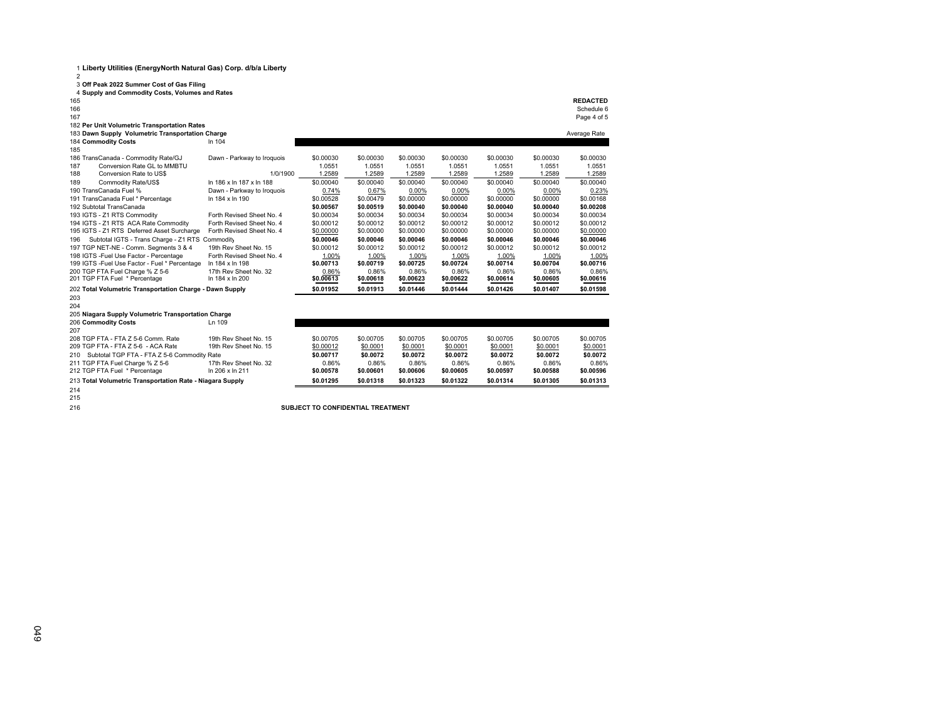2 3 **Off Peak 2022 Summer Cost of Gas Filing**

| 3 OII Peak 2022 Summer Cost of Gas Filing                 |                            |           |           |           |           |           |           |                 |
|-----------------------------------------------------------|----------------------------|-----------|-----------|-----------|-----------|-----------|-----------|-----------------|
| 4 Supply and Commodity Costs, Volumes and Rates           |                            |           |           |           |           |           |           |                 |
| 165                                                       |                            |           |           |           |           |           |           | <b>REDACTED</b> |
| 166                                                       |                            |           |           |           |           |           |           | Schedule 6      |
| 167                                                       |                            |           |           |           |           |           |           | Page 4 of 5     |
| 182 Per Unit Volumetric Transportation Rates              |                            |           |           |           |           |           |           |                 |
| 183 Dawn Supply Volumetric Transportation Charge          |                            |           |           |           |           |           |           | Average Rate    |
| 184 Commodity Costs                                       | In 104                     |           |           |           |           |           |           |                 |
| 185                                                       |                            |           |           |           |           |           |           |                 |
| 186 TransCanada - Commodity Rate/GJ                       | Dawn - Parkway to Iroquois | \$0.00030 | \$0.00030 | \$0,00030 | \$0.00030 | \$0.00030 | \$0,00030 | \$0.00030       |
| Conversion Rate GL to MMBTU<br>187                        |                            | 1.0551    | 1.0551    | 1.0551    | 1.0551    | 1.0551    | 1.0551    | 1.0551          |
| 188<br>Conversion Rate to US\$                            | 1/0/1900                   | 1.2589    | 1.2589    | 1.2589    | 1.2589    | 1.2589    | 1.2589    | 1.2589          |
| 189<br>Commodity Rate/US\$                                | In 186 x In 187 x In 188   | \$0.00040 | \$0,00040 | \$0.00040 | \$0.00040 | \$0.00040 | \$0.00040 | \$0.00040       |
| 190 TransCanada Fuel %                                    | Dawn - Parkway to Iroquois | 0.74%     | 0.67%     | 0.00%     | 0.00%     | 0.00%     | 0.00%     | 0.23%           |
| 191 TransCanada Fuel * Percentage                         | In 184 x In 190            | \$0.00528 | \$0,00479 | \$0,00000 | \$0,00000 | \$0,00000 | \$0,00000 | \$0.00168       |
| 192 Subtotal TransCanada                                  |                            | \$0.00567 | \$0.00519 | \$0.00040 | \$0.00040 | \$0.00040 | \$0.00040 | \$0.00208       |
| 193 IGTS - Z1 RTS Commodity                               | Forth Revised Sheet No. 4  | \$0.00034 | \$0,00034 | \$0.00034 | \$0,00034 | \$0.00034 | \$0.00034 | \$0.00034       |
| 194 IGTS - Z1 RTS ACA Rate Commodity                      | Forth Revised Sheet No. 4  | \$0,00012 | \$0,00012 | \$0.00012 | \$0.00012 | \$0.00012 | \$0,00012 | \$0,00012       |
| 195 IGTS - Z1 RTS Deferred Asset Surcharge                | Forth Revised Sheet No. 4  | \$0.00000 | \$0.00000 | \$0,00000 | \$0.00000 | \$0.00000 | \$0.00000 | \$0.00000       |
| Subtotal IGTS - Trans Charge - Z1 RTS Commodity<br>196    |                            | \$0.00046 | \$0.00046 | \$0.00046 | \$0.00046 | \$0.00046 | \$0.00046 | \$0.00046       |
| 197 TGP NET-NE - Comm. Segments 3 & 4                     | 19th Rev Sheet No. 15      | \$0.00012 | \$0,00012 | \$0,00012 | \$0.00012 | \$0.00012 | \$0,00012 | \$0,00012       |
| 198 IGTS - Fuel Use Factor - Percentage                   | Forth Revised Sheet No. 4  | 1.00%     | 1.00%     | 1.00%     | 1.00%     | 1.00%     | 1.00%     | 1.00%           |
| 199 IGTS - Fuel Use Factor - Fuel * Percentage            | In 184 x In 198            | \$0.00713 | \$0.00719 | \$0.00725 | \$0.00724 | \$0.00714 | \$0.00704 | \$0.00716       |
| 200 TGP FTA Fuel Charge % Z 5-6                           | 17th Rev Sheet No. 32      | 0.86%     | 0.86%     | 0.86%     | 0.86%     | 0.86%     | 0.86%     | 0.86%           |
| 201 TGP FTA Fuel * Percentage                             | In 184 x In 200            | \$0.00613 | \$0.00618 | \$0.00623 | \$0.00622 | \$0.00614 | \$0.00605 | \$0.00616       |
| 202 Total Volumetric Transportation Charge - Dawn Supply  |                            | \$0.01952 | \$0.01913 | \$0.01446 | \$0.01444 | \$0.01426 | \$0.01407 | \$0.01598       |
| 203                                                       |                            |           |           |           |           |           |           |                 |
| 204                                                       |                            |           |           |           |           |           |           |                 |
| 205 Niagara Supply Volumetric Transportation Charge       |                            |           |           |           |           |           |           |                 |
| 206 Commodity Costs                                       | Ln 109                     |           |           |           |           |           |           |                 |
| 207                                                       |                            |           |           |           |           |           |           |                 |
| 208 TGP FTA - FTA Z 5-6 Comm. Rate                        | 19th Rev Sheet No. 15      | \$0.00705 | \$0,00705 | \$0.00705 | \$0.00705 | \$0.00705 | \$0,00705 | \$0.00705       |
| 209 TGP FTA - FTA Z 5-6 - ACA Rate                        | 19th Rev Sheet No. 15      | \$0.00012 | \$0.0001  | \$0.0001  | \$0.0001  | \$0.0001  | \$0.0001  | \$0.0001        |
| Subtotal TGP FTA - FTA Z 5-6 Commodity Rate<br>210        |                            | \$0.00717 | \$0.0072  | \$0.0072  | \$0.0072  | \$0.0072  | \$0.0072  | \$0.0072        |
| 211 TGP FTA Fuel Charge % Z 5-6                           | 17th Rev Sheet No. 32      | 0.86%     | 0.86%     | 0.86%     | 0.86%     | 0.86%     | 0.86%     | 0.86%           |
| 212 TGP FTA Fuel * Percentage                             | In 206 x In 211            | \$0.00578 | \$0.00601 | \$0.00606 | \$0.00605 | \$0.00597 | \$0.00588 | \$0.00596       |
| 213 Total Volumetric Transportation Rate - Niagara Supply |                            | \$0.01295 | \$0.01318 | \$0.01323 | \$0.01322 | \$0.01314 | \$0.01305 | \$0.01313       |
| 214                                                       |                            |           |           |           |           |           |           |                 |
|                                                           |                            |           |           |           |           |           |           |                 |

**SUBJECT TO CONFIDENTIAL TREATMENT**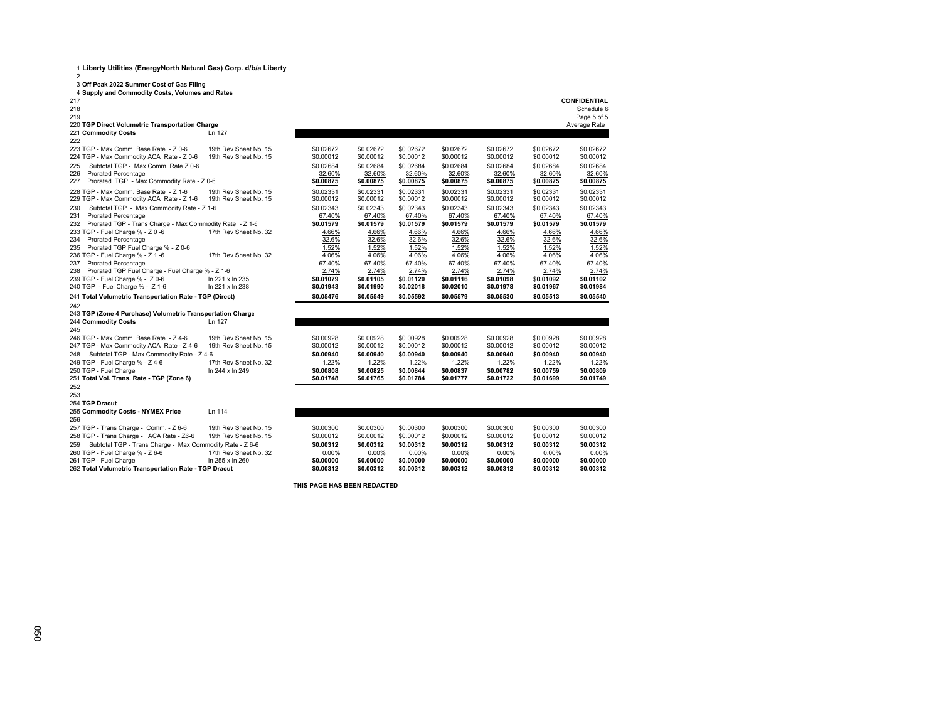| 2                                                               |                       |           |           |           |           |           |           |                     |
|-----------------------------------------------------------------|-----------------------|-----------|-----------|-----------|-----------|-----------|-----------|---------------------|
| 3 Off Peak 2022 Summer Cost of Gas Filing                       |                       |           |           |           |           |           |           |                     |
| 4 Supply and Commodity Costs, Volumes and Rates                 |                       |           |           |           |           |           |           |                     |
| 217                                                             |                       |           |           |           |           |           |           | <b>CONFIDENTIAL</b> |
| 218                                                             |                       |           |           |           |           |           |           | Schedule 6          |
| 219                                                             |                       |           |           |           |           |           |           | Page 5 of 5         |
| 220 TGP Direct Volumetric Transportation Charge                 |                       |           |           |           |           |           |           | Average Rate        |
| 221 Commodity Costs                                             | Ln 127                |           |           |           |           |           |           |                     |
| 222                                                             |                       |           |           |           |           |           |           |                     |
| 223 TGP - Max Comm, Base Rate - Z 0-6                           | 19th Rev Sheet No. 15 | \$0.02672 | \$0.02672 | \$0.02672 | \$0.02672 | \$0.02672 | \$0.02672 | \$0.02672           |
| 224 TGP - Max Commodity ACA Rate - Z 0-6                        | 19th Rev Sheet No. 15 | \$0.00012 | \$0.00012 | \$0.00012 | \$0.00012 | \$0.00012 | \$0.00012 | \$0.00012           |
| Subtotal TGP - Max Comm. Rate Z 0-6<br>225                      |                       | \$0.02684 | \$0.02684 | \$0.02684 | \$0.02684 | \$0.02684 | \$0.02684 | \$0.02684           |
| 226<br><b>Prorated Percentage</b>                               |                       | 32.60%    | 32.60%    | 32.60%    | 32.60%    | 32.60%    | 32.60%    | 32.60%              |
| Prorated TGP - Max Commodity Rate - Z 0-6<br>227                |                       | \$0.00875 | \$0.00875 | \$0.00875 | \$0.00875 | \$0.00875 | \$0.00875 | \$0.00875           |
| 228 TGP - Max Comm, Base Rate - Z 1-6                           | 19th Rev Sheet No. 15 | \$0.02331 | \$0.02331 | \$0.02331 | \$0.02331 | \$0.02331 | \$0.02331 | \$0.02331           |
| 229 TGP - Max Commodity ACA Rate - Z 1-6                        | 19th Rev Sheet No. 15 | \$0.00012 | \$0.00012 | \$0.00012 | \$0.00012 | \$0.00012 | \$0.00012 | \$0.00012           |
| Subtotal TGP - Max Commodity Rate - Z 1-6<br>230                |                       | \$0.02343 | \$0.02343 | \$0.02343 | \$0.02343 | \$0.02343 | \$0.02343 | \$0.02343           |
| <b>Prorated Percentage</b><br>231                               |                       | 67.40%    | 67.40%    | 67.40%    | 67.40%    | 67.40%    | 67.40%    | 67.40%              |
| Prorated TGP - Trans Charge - Max Commodity Rate - Z 1-6<br>232 |                       | \$0.01579 | \$0.01579 | \$0.01579 | \$0.01579 | \$0.01579 | \$0.01579 | \$0.01579           |
| 233 TGP - Fuel Charge % - Z 0 -6                                | 17th Rev Sheet No. 32 | 4.66%     | 4.66%     | 4.66%     | 4.66%     | 4.66%     | 4.66%     | 4.66%               |
| <b>Prorated Percentage</b><br>234                               |                       | 32.6%     | 32.6%     | 32.6%     | 32.6%     | 32.6%     | 32.6%     | 32.6%               |
| Prorated TGP Fuel Charge % - Z 0-6<br>235                       |                       | 1.52%     | 1.52%     | 1.52%     | 1.52%     | 1.52%     | 1.52%     | 1.52%               |
| 236 TGP - Fuel Charge % - Z 1 -6                                | 17th Rev Sheet No. 32 | 4.06%     | 4.06%     | 4.06%     | 4.06%     | 4.06%     | 4.06%     | 4.06%               |
| 237<br><b>Prorated Percentage</b>                               |                       | 67.40%    | 67.40%    | 67.40%    | 67.40%    | 67.40%    | 67.40%    | 67.40%              |
| Prorated TGP Fuel Charge - Fuel Charge % - Z 1-6<br>238         |                       | 2.74%     | 2.74%     | 2.74%     | 2.74%     | 2.74%     | 2.74%     | 2.74%               |
| 239 TGP - Fuel Charge % - Z 0-6                                 | In 221 x In 235       | \$0.01079 | \$0.01105 | \$0.01120 | \$0.01116 | \$0.01098 | \$0.01092 | \$0.01102           |
| 240 TGP - Fuel Charge % - Z 1-6                                 | In 221 x In 238       | \$0.01943 | \$0.01990 | \$0.02018 | \$0.02010 | \$0.01978 | \$0.01967 | \$0.01984           |
| 241 Total Volumetric Transportation Rate - TGP (Direct)         |                       | \$0.05476 | \$0.05549 | \$0.05592 | \$0.05579 | \$0.05530 | \$0.05513 | \$0.05540           |
| 242                                                             |                       |           |           |           |           |           |           |                     |
| 243 TGP (Zone 4 Purchase) Volumetric Transportation Charge      |                       |           |           |           |           |           |           |                     |
| 244 Commodity Costs                                             | Ln 127                |           |           |           |           |           |           |                     |
| 245                                                             |                       |           |           |           |           |           |           |                     |
| 246 TGP - Max Comm. Base Rate - Z 4-6                           | 19th Rev Sheet No. 15 | \$0.00928 | \$0.00928 | \$0.00928 | \$0.00928 | \$0.00928 | \$0.00928 | \$0.00928           |
| 247 TGP - Max Commodity ACA Rate - Z 4-6                        | 19th Rev Sheet No. 15 | \$0.00012 | \$0.00012 | \$0.00012 | \$0.00012 | \$0.00012 | \$0.00012 | \$0.00012           |
| 248<br>Subtotal TGP - Max Commodity Rate - Z 4-6                |                       | \$0.00940 | \$0.00940 | \$0.00940 | \$0.00940 | \$0.00940 | \$0.00940 | \$0.00940           |
| 249 TGP - Fuel Charge % - Z 4-6                                 | 17th Rev Sheet No. 32 | 1.22%     | 1.22%     | 1.22%     | 1.22%     | 1.22%     | 1.22%     | 1.22%               |
| 250 TGP - Fuel Charge                                           | In 244 x In 249       | \$0.00808 | \$0.00825 | \$0.00844 | \$0.00837 | \$0.00782 | \$0.00759 | \$0.00809           |
| 251 Total Vol. Trans. Rate - TGP (Zone 6)                       |                       | \$0.01748 | \$0.01765 | \$0.01784 | \$0.01777 | \$0.01722 | \$0.01699 | \$0.01749           |
| 252                                                             |                       |           |           |           |           |           |           |                     |
| 253                                                             |                       |           |           |           |           |           |           |                     |
| 254 TGP Dracut                                                  |                       |           |           |           |           |           |           |                     |
| 255 Commodity Costs - NYMEX Price                               | Ln 114                |           |           |           |           |           |           |                     |
| 256                                                             |                       |           |           |           |           |           |           |                     |
| 257 TGP - Trans Charge - Comm. - Z 6-6                          | 19th Rev Sheet No. 15 | \$0.00300 | \$0.00300 | \$0.00300 | \$0.00300 | \$0.00300 | \$0.00300 | \$0,00300           |
| 258 TGP - Trans Charge - ACA Rate - Z6-6                        | 19th Rev Sheet No. 15 | \$0.00012 | \$0.00012 | \$0.00012 | \$0.00012 | \$0.00012 | \$0.00012 | \$0.00012           |
| Subtotal TGP - Trans Charge - Max Commodity Rate - Z 6-6<br>259 |                       | \$0.00312 | \$0.00312 | \$0.00312 | \$0.00312 | \$0.00312 | \$0.00312 | \$0.00312           |
|                                                                 | 17th Rev Sheet No. 32 | 0.00%     | 0.00%     | 0.00%     | 0.00%     | 0.00%     | 0.00%     | 0.00%               |
| 260 TGP - Fuel Charge % - Z 6-6<br>261 TGP - Fuel Charge        | In 255 x In 260       | \$0.00000 | \$0.00000 | \$0.00000 | \$0.00000 | \$0.00000 | \$0.00000 | \$0.00000           |
| 262 Total Volumetric Transportation Rate - TGP Dracut           |                       | \$0.00312 | \$0.00312 | \$0.00312 | \$0.00312 | \$0.00312 | \$0.00312 | \$0.00312           |
|                                                                 |                       |           |           |           |           |           |           |                     |

1 **Liberty Utilities (EnergyNorth Natural Gas) Corp. d/b/a Liberty**

**THIS PAGE HAS BEEN REDACTED**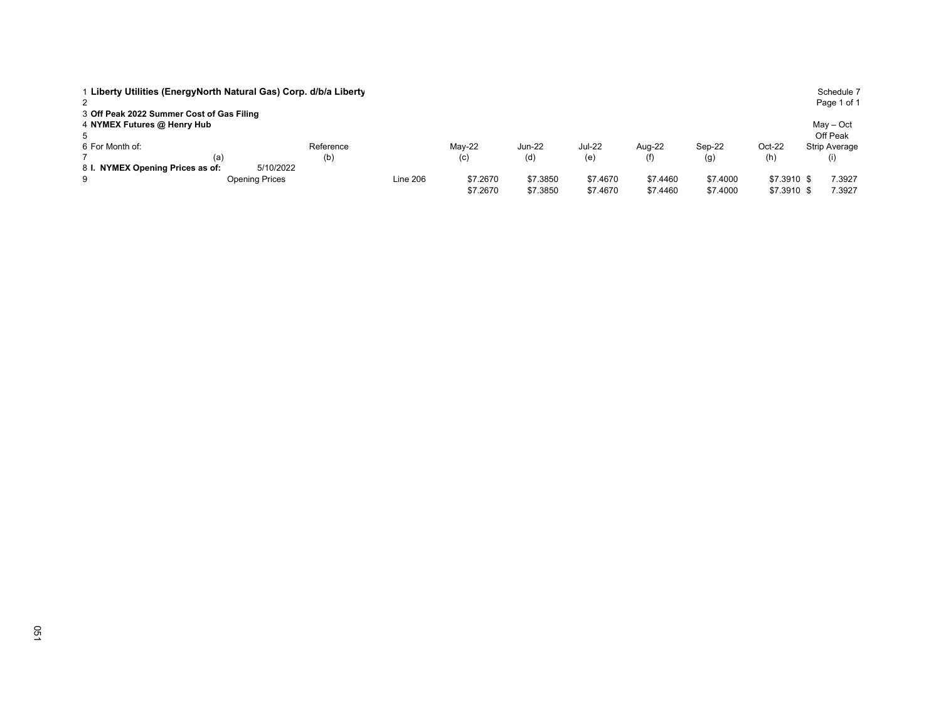| 2                                         |     | Liberty Utilities (EnergyNorth Natural Gas) Corp. d/b/a Liberty |                 |          |               |               |          |          |             | Schedule 7<br>Page 1 of 1 |
|-------------------------------------------|-----|-----------------------------------------------------------------|-----------------|----------|---------------|---------------|----------|----------|-------------|---------------------------|
| 3 Off Peak 2022 Summer Cost of Gas Filing |     |                                                                 |                 |          |               |               |          |          |             |                           |
| 4 NYMEX Futures @ Henry Hub               |     |                                                                 |                 |          |               |               |          |          |             | $May - Oct$               |
| 5                                         |     |                                                                 |                 |          |               |               |          |          |             | Off Peak                  |
| 6 For Month of:                           |     | Reference                                                       |                 | Mav-22   | <b>Jun-22</b> | <b>Jul-22</b> | Aug-22   | Sep-22   | Oct-22      | <b>Strip Average</b>      |
|                                           | (a) | (b)                                                             |                 | (c)      | (d)           | (e)           | (f)      | (g)      | (h)         |                           |
| 8 I. NYMEX Opening Prices as of:          |     | 5/10/2022                                                       |                 |          |               |               |          |          |             |                           |
| 9                                         |     | Opening Prices                                                  | <b>Line 206</b> | \$7,2670 | \$7.3850      | \$7,4670      | \$7,4460 | \$7,4000 | \$7.3910 \$ | 7.3927                    |
|                                           |     |                                                                 |                 | \$7,2670 | \$7.3850      | \$7,4670      | \$7.4460 | \$7,4000 | \$7.3910 \$ | 7.3927                    |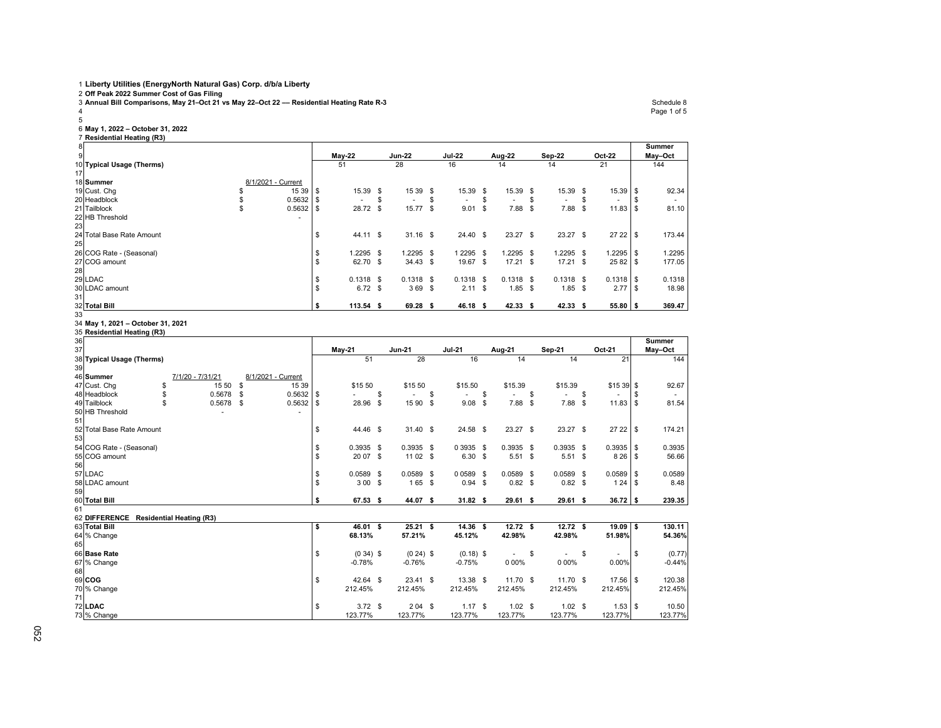2 **Off Peak 2022 Summer Cost of Gas Filing** 3 **Annual Bill Comparisons, May 21–Oct 21 vs May 22–Oct 22 –– Residential Heating Rate R-3** Schedule 8

 Page 1 of 5 5

6 **May 1, 2022 – October 31, 2022** 7 **Residential Heating (R3)**

| 8<br>$\boldsymbol{9}$ |                           |                    | May-22                   |      | <b>Jun-22</b> | <b>Jul 22</b> |      | Aug-22      |     | Sep-22      |      | Oct-22                   | Summer<br>May-Oct |
|-----------------------|---------------------------|--------------------|--------------------------|------|---------------|---------------|------|-------------|-----|-------------|------|--------------------------|-------------------|
|                       | 10 Typical Usage (Therms) |                    | 51                       |      | 28            | 16            |      | 14          |     | 14          |      | 21                       | 144               |
| 17                    |                           |                    |                          |      |               |               |      |             |     |             |      |                          |                   |
|                       | 18 Summer                 | 8/1/2021 - Current |                          |      |               |               |      |             |     |             |      |                          |                   |
|                       | 19 Cust. Chg              | 15 39 \$           | 15.39                    | - \$ | 15 39 \$      | 15.39         | -S   | 15.39       | -S  | 15.39       | - \$ | 15.39 \$                 | 92.34             |
|                       | 20 Headblock              | $0.5632$ \$        | $\overline{\phantom{a}}$ |      |               |               |      |             |     |             | S    | $\overline{\phantom{a}}$ |                   |
|                       | 21 Tailblock              | $0.5632$ \$        | 28.72                    | - \$ | 15.77         | \$<br>9.01    | \$   | 7.88        | \$  | 7.88        | \$   | 11.83                    | 81.10             |
|                       | 22 HB Threshold           |                    |                          |      |               |               |      |             |     |             |      |                          |                   |
| 23                    |                           |                    |                          |      |               |               |      |             |     |             |      |                          |                   |
|                       | 24 Total Base Rate Amount |                    | \$<br>44.11 \$           |      | $31.16$ \$    | 24.40 \$      |      | $23.27$ \$  |     | $23.27$ \$  |      | 27 22 \$                 | 173.44            |
| 25                    |                           |                    |                          |      |               |               |      |             |     |             |      |                          |                   |
|                       | 26 COG Rate - (Seasonal)  |                    | 1.2295                   | - \$ | 1.2295 \$     | 1 2 2 9 5     | - \$ | $1.2295$ \$ |     | 1.2295      | - \$ | 1.2295                   | 1.2295            |
|                       | 27 COG amount             |                    | 62.70                    | - \$ | $34.43$ \$    | 19.67         | \$   | $17.21$ \$  |     | 17.21       | - \$ | $2582$ \$                | 177.05            |
| 28                    |                           |                    |                          |      |               |               |      |             |     |             |      |                          |                   |
|                       | 29 LDAC                   |                    | $0.1318$ \$              |      | $0.1318$ \$   | 0.1318        | -\$  | $0.1318$ \$ |     | $0.1318$ \$ |      | $0.1318$ \$              | 0.1318            |
|                       | 30 LDAC amount            |                    | $6.72$ \$                |      | 369S          | 2.11          | \$   | 1.85        | -\$ | 1.85        | - \$ | 2.77                     | 18.98             |
| 31                    |                           |                    |                          |      |               |               |      |             |     |             |      |                          |                   |
|                       | 32 Total Bill             |                    | 113.54                   | - \$ | $69.28$ \$    | 46.18         | s.   | 42.33       | S   | 42.33       | -S   | $55.80$ \$               | 369.47            |
| $\sim$                |                           |                    |                          |      |               |               |      |             |     |             |      |                          |                   |

## 34 **May 1, 2021 – October 31, 2021** 35 **Residential Heating (R3)**

| 36                        |                                 |       |      |                    |     |                   |      |               |                   |          |             |    |             |          |                          |      | Summer   |
|---------------------------|---------------------------------|-------|------|--------------------|-----|-------------------|------|---------------|-------------------|----------|-------------|----|-------------|----------|--------------------------|------|----------|
| 37                        |                                 |       |      |                    |     | May-21            |      | <b>Jun-21</b> | <b>Jul-21</b>     |          | Aug-21      |    | Sep-21      |          | Oct-21                   |      | May-Oct  |
| 38 Typical Usage (Therms) |                                 |       |      |                    |     | 51                |      | 28            | 16                |          | 14          |    | 14          |          | 21                       |      | 144      |
| 39                        |                                 |       |      |                    |     |                   |      |               |                   |          |             |    |             |          |                          |      |          |
| 46 Summer                 | 7/1/20 - 7/31/21                |       |      | 8/1/2021 - Current |     |                   |      |               |                   |          |             |    |             |          |                          |      |          |
| 47 Cust. Chg              | \$                              | 15 50 | \$   | 15 39              |     | \$15 50           |      | \$15 50       | \$15.50           |          | \$15.39     |    | \$15.39     |          | \$15 39 \$               |      | 92.67    |
| 48 Headblock              | 0.5678                          |       | \$   | $0.5632$ \$        |     |                   | S    |               | \$                | \$       |             | S  |             | S        |                          |      | $\sim$   |
| 49 Tailblock              | 0.5678                          |       | - \$ | $0.5632$ \$        |     | 28.96 \$          |      | 15 90 \$      | 9.08              | <b>S</b> | $7.88$ \$   |    | 7.88        | <b>S</b> |                          |      | 81.54    |
| 50 HB Threshold           |                                 |       |      |                    |     |                   |      |               |                   |          |             |    |             |          |                          |      |          |
| 51                        |                                 |       |      |                    |     |                   |      |               |                   |          |             |    |             |          |                          |      |          |
| 52 Total Base Rate Amount |                                 |       |      |                    | \$  | 44.46 \$          |      | $31.40$ \$    | 24.58 \$          |          | $23.27$ \$  |    | 23.27 \$    |          | 27 22 \$                 |      | 174.21   |
| 53                        |                                 |       |      |                    |     |                   |      |               |                   |          |             |    |             |          |                          |      |          |
| 54 COG Rate - (Seasonal)  |                                 |       |      |                    | \$  | 0.3935            | - \$ | $0.3935$ \$   | 0 3935 \$         |          | $0.3935$ \$ |    | $0.3935$ \$ |          | $0.3935$ \$              |      | 0.3935   |
| 55 COG amount             |                                 |       |      |                    | \$. | 20 07 \$          |      | 11 02 \$      | 6.30 <sup>5</sup> |          | $5.51$ \$   |    | $5.51$ \$   |          | 8 26 \$                  |      | 56.66    |
| 56                        |                                 |       |      |                    |     |                   |      |               |                   |          |             |    |             |          |                          |      |          |
| 57 LDAC                   |                                 |       |      |                    | \$  | 0.0589            | - \$ | $0.0589$ \$   | 00589 \$          |          | $0.0589$ \$ |    | $0.0589$ \$ |          | $0.0589$ \$              |      | 0.0589   |
| 58 LDAC amount            |                                 |       |      |                    | \$. | 300S              |      | 165 \$        | $0.94$ \$         |          | $0.82$ \$   |    | $0.82$ \$   |          | 1 2 4                    | l S  | 8.48     |
| 59                        |                                 |       |      |                    |     |                   |      |               |                   |          |             |    |             |          |                          |      |          |
| 60 Total Bill             |                                 |       |      |                    | \$  | 67.53             | - \$ | 44.07 \$      | $31.82$ \$        |          | $29.61$ \$  |    | 29.61 S     |          | $36.72$ \$               |      | 239.35   |
| 61                        |                                 |       |      |                    |     |                   |      |               |                   |          |             |    |             |          |                          |      |          |
| 62 DIFFERENCE             | <b>Residential Heating (R3)</b> |       |      |                    |     |                   |      |               |                   |          |             |    |             |          |                          |      |          |
| 63 Total Bill             |                                 |       |      |                    | \$  | 46.01 \$          |      | $25.21$ \$    | 14.36             | - \$     | $12.72$ \$  |    | $12.72$ \$  |          | $19.09$ \$               |      | 130.11   |
| 64 % Change               |                                 |       |      |                    |     | 68.13%            |      | 57.21%        | 45.12%            |          | 42.98%      |    | 42.98%      |          | 51.98%                   |      | 54.36%   |
| 65                        |                                 |       |      |                    |     |                   |      |               |                   |          |             |    |             |          |                          |      |          |
| 66 Base Rate              |                                 |       |      |                    | \$  | $(034)$ \$        |      | $(0.24)$ \$   | $(0.18)$ \$       |          |             | \$ |             | \$       | $\overline{\phantom{a}}$ | l \$ | (0.77)   |
| 67 % Change               |                                 |       |      |                    |     | $-0.78%$          |      | $-0.76%$      | $-0.75%$          |          | 0 0 0 %     |    | 0 0 0 %     |          | 0.00%                    |      | $-0.44%$ |
| 68                        |                                 |       |      |                    |     |                   |      |               |                   |          |             |    |             |          |                          |      |          |
| 69 COG                    |                                 |       |      |                    | \$  | 42.64 \$          |      | $23.41$ \$    | 13.38 \$          |          | $11.70$ \$  |    | 11.70 S     |          |                          |      | 120.38   |
| 70 % Change               |                                 |       |      |                    |     | 212.45%           |      | 212.45%       | 212.45%           |          | 212.45%     |    | 212.45%     |          | 212.45%                  |      | 212.45%  |
| 71                        |                                 |       |      |                    |     |                   |      |               |                   |          |             |    |             |          |                          |      |          |
| 72 LDAC                   |                                 |       |      |                    | \$  | 3.72 <sup>5</sup> |      | 204S          | 1.17S             |          | 1.02S       |    | $1.02$ \$   |          | $1.53$ \$                |      | 10.50    |
| 73 % Change               |                                 |       |      |                    |     | 123.77%           |      | 123.77%       | 123.77%           |          | 123.77%     |    | 123.77%     |          | 123.77%                  |      | 123.77%  |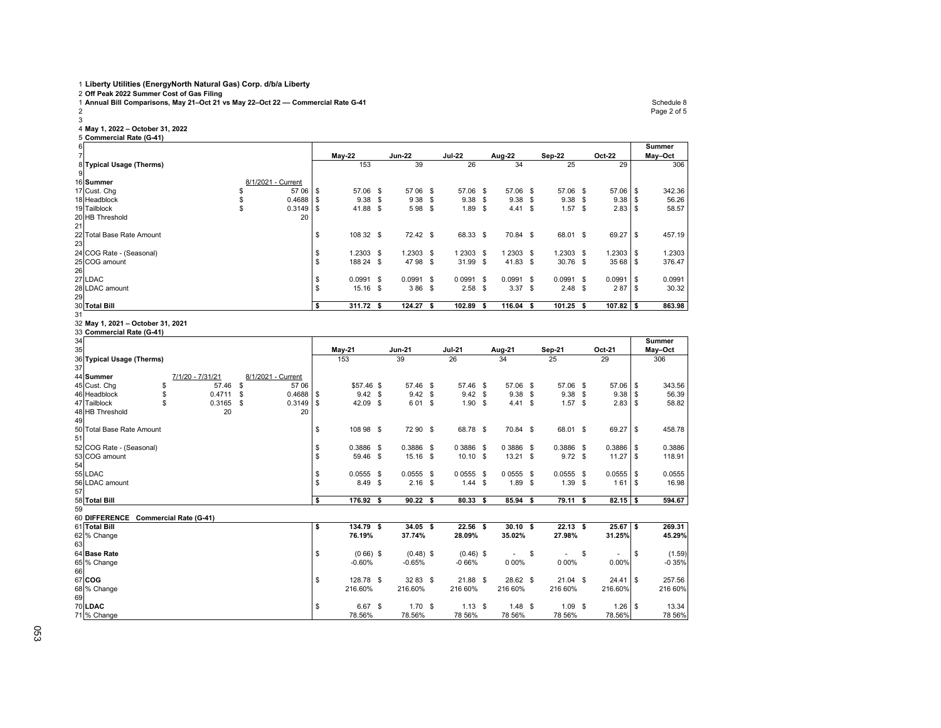2 Off Peak 2022 Summer Cost of Gas Filing<br>1 Annual Bill Comparisons, May 21–Oct 21 vs May 22–Oct 22 — Commercial Rate G-41

2 Page 2 of 5 3

4 **May 1, 2022 – October 31, 2022** 5 **Commercial Rate (G-41)**

| 6              |                           |                    |             |        |             |               |      |               |      |             |      |                   |      |                                  |      | Summer  |
|----------------|---------------------------|--------------------|-------------|--------|-------------|---------------|------|---------------|------|-------------|------|-------------------|------|----------------------------------|------|---------|
| $\overline{7}$ |                           |                    |             | May-22 |             | <b>Jun-22</b> |      | <b>Jul-22</b> |      | Aug-22      |      | Sep-22            |      | Oct-22                           |      | May-Oct |
|                | 8 Typical Usage (Therms)  |                    |             |        | 153         | 39            |      | 26            |      | 34          |      | 25                |      | 29                               |      | 306     |
| 9              |                           |                    |             |        |             |               |      |               |      |             |      |                   |      |                                  |      |         |
|                | 16 Summer                 | 8/1/2021 - Current |             |        |             |               |      |               |      |             |      |                   |      |                                  |      |         |
|                | 17 Cust. Chg              |                    | 57 06 \$    |        | 57.06 \$    | 57 06 \$      |      | 57.06 \$      |      | 57.06 \$    |      | 57.06 \$          |      | $57.06$ \$                       |      | 342.36  |
|                | 18 Headblock              |                    | $0.4688$ \$ |        | $9.38$ \$   | 938 \$        |      | 9.38          | - \$ | 9.38        | -S   | 9.38 <sup>5</sup> |      | 9.38                             |      | 56.26   |
|                | 19 Tailblock              |                    | $0.3149$ \$ |        | 41.88 \$    | 598           | - \$ | 1.89          | \$   | 4.41        | -S   | 1.57              | - \$ | $2.83$ \$                        |      | 58.57   |
|                | 20 HB Threshold           |                    | 20          |        |             |               |      |               |      |             |      |                   |      |                                  |      |         |
| 21             |                           |                    |             |        |             |               |      |               |      |             |      |                   |      |                                  |      |         |
|                | 22 Total Base Rate Amount |                    |             | \$     | 108 32 \$   | $72.42$ \$    |      | 68.33         | - \$ | 70.84 \$    |      | 68.01             | - \$ | 69.27                            | l \$ | 457.19  |
| 23             |                           |                    |             |        |             |               |      |               |      |             |      |                   |      |                                  |      |         |
|                | 24 COG Rate - (Seasonal)  |                    |             | \$     | $1.2303$ \$ | 1.2303        | \$   | 1 2 3 0 3     | - \$ | 1 2303      | -S   | 1.2303 \$         |      | 1.2303                           |      | 1.2303  |
|                | 25 COG amount             |                    |             |        | 188 24 \$   | 4798          | -\$  | 31.99         | - \$ | 41.83       | s.   | 30.76 \$          |      | $3568$ $\overline{\phantom{1}5}$ |      | 376.47  |
| 26             |                           |                    |             |        |             |               |      |               |      |             |      |                   |      |                                  |      |         |
|                | 27 LDAC                   |                    |             |        | $0.0991$ \$ | $0.0991$ \$   |      | 0 0 9 9 1     | - \$ | $0.0991$ \$ |      | 0.0991            | - \$ | 0.0991                           |      | 0.0991  |
|                | 28 LDAC amount            |                    |             |        | $15.16$ \$  | 386 \$        |      | 2.58          | - \$ | 3.37        | -\$  | 2.48S             |      | 287                              |      | 30.32   |
| 29             |                           |                    |             |        |             |               |      |               |      |             |      |                   |      |                                  |      |         |
|                | 30 Total Bill             |                    |             |        | 311.72 S    | 124.27        | - 56 | 102.89        | - 5  | 116.04      | - \$ | $101.25$ \$       |      | $107.82$ \$                      |      | 863.98  |

# 31 32 **May 1, 2021 – October 31, 2021** 33 **Commercial Rate (G-41)** 34

| 35<br><b>Jun-21</b><br><b>Jul-21</b><br>May-21<br>Aug-21<br>Sep-21<br>Oct-21<br>May-Oct<br>26<br>153<br>39<br>34<br>25<br>29<br>306<br>36 Typical Usage (Therms)<br>37<br>8/1/2021 - Current<br>44 Summer<br>7/1/20 - 7/31/21<br>57.46<br>-\$<br>\$57.46 \$<br>57.46 \$<br>57.46 \$<br>45 Cust. Chg<br>\$<br>57 06<br>57.06 \$<br>57.06 \$<br>$57.06$ $\sqrt{S}$<br>343.56<br>$9.42$ \$<br>9.38<br>0.4711<br>$0.4688$ \$<br>$9.42$ \$<br>$9.42$ \$<br>9.38 <sup>5</sup><br>9.38S<br>56.39<br>46 Headblock<br>\$<br>- \$<br>- \$<br>47 Tailblock<br>$0.3165$ \$<br>42.09 \$<br>601 \$<br>58.82<br>$0.3149$ \$<br>$1.90$ \$<br>4.41 S<br>$1.57$ \$<br>$2.83$ \$<br>20<br>20<br>48 HB Threshold<br>49<br>72 90 \$<br>68.78 \$<br>50 Total Base Rate Amount<br>108 98 \$<br>70.84 \$<br>68.01 \$<br>69.27 \$<br>458.78<br>\$<br>51<br>\$<br>0.3886 \$<br>$0.3886$ \$<br>03886 \$<br>0 3886 \$<br>$0.3886$ \$<br>$0.3886$ \$<br>0.3886<br>52 COG Rate - (Seasonal)<br>\$<br>53 COG amount<br>59.46 \$<br>$15.16$ \$<br>$10.10$ \$<br>$13.21$ \$<br>$9.72$ \$<br>118.91<br>54<br>55 LDAC<br>\$<br>$0.0555$ \$<br>$0.0555$ \$<br>0 0 5 5 \$<br>0 0 5 5 \$<br>$0.0555$ \$<br>$0.0555$ \$<br>0.0555<br>$2.16$ \$<br>$1.39$ \$<br>56 LDAC amount<br>\$<br>8.49 \$<br>$1.44$ \$<br>$1.89$ \$<br>161S<br>16.98<br>57<br>594.67<br>\$<br>176.92 \$<br>$90.22$ \$<br>80.33 \$<br>85.94 \$<br>79.11 \$<br>$82.15$ \$<br>58 Total Bill<br>59<br>60 DIFFERENCE<br>Commercial Rate (G-41)<br>61 Total Bill<br>134.79 \$<br>$34.05$ \$<br>$22.56$ \$<br>$22.13$ \$<br>$25.67$ \$<br>269.31<br>30.10 S<br>\$<br>62 % Change<br>37.74%<br>27.98%<br>31.25%<br>45.29%<br>76.19%<br>28.09%<br>35.02%<br>63<br>$(066)$ \$<br>$(0.48)$ \$<br>$(0.46)$ \$<br>(1.59)<br>64 Base Rate<br>\$<br>\$<br>\$<br>l S<br>٠<br>$\overline{\phantom{a}}$<br>65 % Change<br>$-0.60%$<br>$-0.65%$<br>$-0.66%$<br>0 0 0 %<br>0.00%<br>$-0.35%$<br>0 0 0 %<br>66<br>67 COG<br>128.78 \$<br>3283 \$<br>21.88 \$<br>28.62 \$<br>$21.04$ \$<br>257.56<br>\$<br>24.41S<br>216 60%<br>68 % Change<br>216.60%<br>216.60%<br>216 60%<br>216 60%<br>216 60%<br>216.60%<br>69<br>70 LDAC<br>\$<br>6.67 \$<br>$1.70$ \$<br>$1.13$ \$<br>$1.48$ \$<br>1.09S<br>$1.26$ \$<br>13.34<br>71 % Change<br>78 56%<br>78.56%<br>78 56%<br>78.56%<br>78.56%<br>78 56%<br>78 56% | 34 |  |  |  |  |  |  |  |  | Summer |
|--------------------------------------------------------------------------------------------------------------------------------------------------------------------------------------------------------------------------------------------------------------------------------------------------------------------------------------------------------------------------------------------------------------------------------------------------------------------------------------------------------------------------------------------------------------------------------------------------------------------------------------------------------------------------------------------------------------------------------------------------------------------------------------------------------------------------------------------------------------------------------------------------------------------------------------------------------------------------------------------------------------------------------------------------------------------------------------------------------------------------------------------------------------------------------------------------------------------------------------------------------------------------------------------------------------------------------------------------------------------------------------------------------------------------------------------------------------------------------------------------------------------------------------------------------------------------------------------------------------------------------------------------------------------------------------------------------------------------------------------------------------------------------------------------------------------------------------------------------------------------------------------------------------------------------------------------------------------------------------------------------------------------------------------------------------------------------------------------------------------------------------------------------------------------------------------------------------------------------------------------------------------------------------------------------------------|----|--|--|--|--|--|--|--|--|--------|
|                                                                                                                                                                                                                                                                                                                                                                                                                                                                                                                                                                                                                                                                                                                                                                                                                                                                                                                                                                                                                                                                                                                                                                                                                                                                                                                                                                                                                                                                                                                                                                                                                                                                                                                                                                                                                                                                                                                                                                                                                                                                                                                                                                                                                                                                                                                    |    |  |  |  |  |  |  |  |  |        |
|                                                                                                                                                                                                                                                                                                                                                                                                                                                                                                                                                                                                                                                                                                                                                                                                                                                                                                                                                                                                                                                                                                                                                                                                                                                                                                                                                                                                                                                                                                                                                                                                                                                                                                                                                                                                                                                                                                                                                                                                                                                                                                                                                                                                                                                                                                                    |    |  |  |  |  |  |  |  |  |        |
|                                                                                                                                                                                                                                                                                                                                                                                                                                                                                                                                                                                                                                                                                                                                                                                                                                                                                                                                                                                                                                                                                                                                                                                                                                                                                                                                                                                                                                                                                                                                                                                                                                                                                                                                                                                                                                                                                                                                                                                                                                                                                                                                                                                                                                                                                                                    |    |  |  |  |  |  |  |  |  |        |
|                                                                                                                                                                                                                                                                                                                                                                                                                                                                                                                                                                                                                                                                                                                                                                                                                                                                                                                                                                                                                                                                                                                                                                                                                                                                                                                                                                                                                                                                                                                                                                                                                                                                                                                                                                                                                                                                                                                                                                                                                                                                                                                                                                                                                                                                                                                    |    |  |  |  |  |  |  |  |  |        |
|                                                                                                                                                                                                                                                                                                                                                                                                                                                                                                                                                                                                                                                                                                                                                                                                                                                                                                                                                                                                                                                                                                                                                                                                                                                                                                                                                                                                                                                                                                                                                                                                                                                                                                                                                                                                                                                                                                                                                                                                                                                                                                                                                                                                                                                                                                                    |    |  |  |  |  |  |  |  |  |        |
|                                                                                                                                                                                                                                                                                                                                                                                                                                                                                                                                                                                                                                                                                                                                                                                                                                                                                                                                                                                                                                                                                                                                                                                                                                                                                                                                                                                                                                                                                                                                                                                                                                                                                                                                                                                                                                                                                                                                                                                                                                                                                                                                                                                                                                                                                                                    |    |  |  |  |  |  |  |  |  |        |
|                                                                                                                                                                                                                                                                                                                                                                                                                                                                                                                                                                                                                                                                                                                                                                                                                                                                                                                                                                                                                                                                                                                                                                                                                                                                                                                                                                                                                                                                                                                                                                                                                                                                                                                                                                                                                                                                                                                                                                                                                                                                                                                                                                                                                                                                                                                    |    |  |  |  |  |  |  |  |  |        |
|                                                                                                                                                                                                                                                                                                                                                                                                                                                                                                                                                                                                                                                                                                                                                                                                                                                                                                                                                                                                                                                                                                                                                                                                                                                                                                                                                                                                                                                                                                                                                                                                                                                                                                                                                                                                                                                                                                                                                                                                                                                                                                                                                                                                                                                                                                                    |    |  |  |  |  |  |  |  |  |        |
|                                                                                                                                                                                                                                                                                                                                                                                                                                                                                                                                                                                                                                                                                                                                                                                                                                                                                                                                                                                                                                                                                                                                                                                                                                                                                                                                                                                                                                                                                                                                                                                                                                                                                                                                                                                                                                                                                                                                                                                                                                                                                                                                                                                                                                                                                                                    |    |  |  |  |  |  |  |  |  |        |
|                                                                                                                                                                                                                                                                                                                                                                                                                                                                                                                                                                                                                                                                                                                                                                                                                                                                                                                                                                                                                                                                                                                                                                                                                                                                                                                                                                                                                                                                                                                                                                                                                                                                                                                                                                                                                                                                                                                                                                                                                                                                                                                                                                                                                                                                                                                    |    |  |  |  |  |  |  |  |  |        |
|                                                                                                                                                                                                                                                                                                                                                                                                                                                                                                                                                                                                                                                                                                                                                                                                                                                                                                                                                                                                                                                                                                                                                                                                                                                                                                                                                                                                                                                                                                                                                                                                                                                                                                                                                                                                                                                                                                                                                                                                                                                                                                                                                                                                                                                                                                                    |    |  |  |  |  |  |  |  |  |        |
|                                                                                                                                                                                                                                                                                                                                                                                                                                                                                                                                                                                                                                                                                                                                                                                                                                                                                                                                                                                                                                                                                                                                                                                                                                                                                                                                                                                                                                                                                                                                                                                                                                                                                                                                                                                                                                                                                                                                                                                                                                                                                                                                                                                                                                                                                                                    |    |  |  |  |  |  |  |  |  |        |
|                                                                                                                                                                                                                                                                                                                                                                                                                                                                                                                                                                                                                                                                                                                                                                                                                                                                                                                                                                                                                                                                                                                                                                                                                                                                                                                                                                                                                                                                                                                                                                                                                                                                                                                                                                                                                                                                                                                                                                                                                                                                                                                                                                                                                                                                                                                    |    |  |  |  |  |  |  |  |  |        |
|                                                                                                                                                                                                                                                                                                                                                                                                                                                                                                                                                                                                                                                                                                                                                                                                                                                                                                                                                                                                                                                                                                                                                                                                                                                                                                                                                                                                                                                                                                                                                                                                                                                                                                                                                                                                                                                                                                                                                                                                                                                                                                                                                                                                                                                                                                                    |    |  |  |  |  |  |  |  |  |        |
|                                                                                                                                                                                                                                                                                                                                                                                                                                                                                                                                                                                                                                                                                                                                                                                                                                                                                                                                                                                                                                                                                                                                                                                                                                                                                                                                                                                                                                                                                                                                                                                                                                                                                                                                                                                                                                                                                                                                                                                                                                                                                                                                                                                                                                                                                                                    |    |  |  |  |  |  |  |  |  |        |
|                                                                                                                                                                                                                                                                                                                                                                                                                                                                                                                                                                                                                                                                                                                                                                                                                                                                                                                                                                                                                                                                                                                                                                                                                                                                                                                                                                                                                                                                                                                                                                                                                                                                                                                                                                                                                                                                                                                                                                                                                                                                                                                                                                                                                                                                                                                    |    |  |  |  |  |  |  |  |  |        |
|                                                                                                                                                                                                                                                                                                                                                                                                                                                                                                                                                                                                                                                                                                                                                                                                                                                                                                                                                                                                                                                                                                                                                                                                                                                                                                                                                                                                                                                                                                                                                                                                                                                                                                                                                                                                                                                                                                                                                                                                                                                                                                                                                                                                                                                                                                                    |    |  |  |  |  |  |  |  |  |        |
|                                                                                                                                                                                                                                                                                                                                                                                                                                                                                                                                                                                                                                                                                                                                                                                                                                                                                                                                                                                                                                                                                                                                                                                                                                                                                                                                                                                                                                                                                                                                                                                                                                                                                                                                                                                                                                                                                                                                                                                                                                                                                                                                                                                                                                                                                                                    |    |  |  |  |  |  |  |  |  |        |
|                                                                                                                                                                                                                                                                                                                                                                                                                                                                                                                                                                                                                                                                                                                                                                                                                                                                                                                                                                                                                                                                                                                                                                                                                                                                                                                                                                                                                                                                                                                                                                                                                                                                                                                                                                                                                                                                                                                                                                                                                                                                                                                                                                                                                                                                                                                    |    |  |  |  |  |  |  |  |  |        |
|                                                                                                                                                                                                                                                                                                                                                                                                                                                                                                                                                                                                                                                                                                                                                                                                                                                                                                                                                                                                                                                                                                                                                                                                                                                                                                                                                                                                                                                                                                                                                                                                                                                                                                                                                                                                                                                                                                                                                                                                                                                                                                                                                                                                                                                                                                                    |    |  |  |  |  |  |  |  |  |        |
|                                                                                                                                                                                                                                                                                                                                                                                                                                                                                                                                                                                                                                                                                                                                                                                                                                                                                                                                                                                                                                                                                                                                                                                                                                                                                                                                                                                                                                                                                                                                                                                                                                                                                                                                                                                                                                                                                                                                                                                                                                                                                                                                                                                                                                                                                                                    |    |  |  |  |  |  |  |  |  |        |
|                                                                                                                                                                                                                                                                                                                                                                                                                                                                                                                                                                                                                                                                                                                                                                                                                                                                                                                                                                                                                                                                                                                                                                                                                                                                                                                                                                                                                                                                                                                                                                                                                                                                                                                                                                                                                                                                                                                                                                                                                                                                                                                                                                                                                                                                                                                    |    |  |  |  |  |  |  |  |  |        |
|                                                                                                                                                                                                                                                                                                                                                                                                                                                                                                                                                                                                                                                                                                                                                                                                                                                                                                                                                                                                                                                                                                                                                                                                                                                                                                                                                                                                                                                                                                                                                                                                                                                                                                                                                                                                                                                                                                                                                                                                                                                                                                                                                                                                                                                                                                                    |    |  |  |  |  |  |  |  |  |        |
|                                                                                                                                                                                                                                                                                                                                                                                                                                                                                                                                                                                                                                                                                                                                                                                                                                                                                                                                                                                                                                                                                                                                                                                                                                                                                                                                                                                                                                                                                                                                                                                                                                                                                                                                                                                                                                                                                                                                                                                                                                                                                                                                                                                                                                                                                                                    |    |  |  |  |  |  |  |  |  |        |
|                                                                                                                                                                                                                                                                                                                                                                                                                                                                                                                                                                                                                                                                                                                                                                                                                                                                                                                                                                                                                                                                                                                                                                                                                                                                                                                                                                                                                                                                                                                                                                                                                                                                                                                                                                                                                                                                                                                                                                                                                                                                                                                                                                                                                                                                                                                    |    |  |  |  |  |  |  |  |  |        |
|                                                                                                                                                                                                                                                                                                                                                                                                                                                                                                                                                                                                                                                                                                                                                                                                                                                                                                                                                                                                                                                                                                                                                                                                                                                                                                                                                                                                                                                                                                                                                                                                                                                                                                                                                                                                                                                                                                                                                                                                                                                                                                                                                                                                                                                                                                                    |    |  |  |  |  |  |  |  |  |        |
|                                                                                                                                                                                                                                                                                                                                                                                                                                                                                                                                                                                                                                                                                                                                                                                                                                                                                                                                                                                                                                                                                                                                                                                                                                                                                                                                                                                                                                                                                                                                                                                                                                                                                                                                                                                                                                                                                                                                                                                                                                                                                                                                                                                                                                                                                                                    |    |  |  |  |  |  |  |  |  |        |
|                                                                                                                                                                                                                                                                                                                                                                                                                                                                                                                                                                                                                                                                                                                                                                                                                                                                                                                                                                                                                                                                                                                                                                                                                                                                                                                                                                                                                                                                                                                                                                                                                                                                                                                                                                                                                                                                                                                                                                                                                                                                                                                                                                                                                                                                                                                    |    |  |  |  |  |  |  |  |  |        |
|                                                                                                                                                                                                                                                                                                                                                                                                                                                                                                                                                                                                                                                                                                                                                                                                                                                                                                                                                                                                                                                                                                                                                                                                                                                                                                                                                                                                                                                                                                                                                                                                                                                                                                                                                                                                                                                                                                                                                                                                                                                                                                                                                                                                                                                                                                                    |    |  |  |  |  |  |  |  |  |        |
|                                                                                                                                                                                                                                                                                                                                                                                                                                                                                                                                                                                                                                                                                                                                                                                                                                                                                                                                                                                                                                                                                                                                                                                                                                                                                                                                                                                                                                                                                                                                                                                                                                                                                                                                                                                                                                                                                                                                                                                                                                                                                                                                                                                                                                                                                                                    |    |  |  |  |  |  |  |  |  |        |
|                                                                                                                                                                                                                                                                                                                                                                                                                                                                                                                                                                                                                                                                                                                                                                                                                                                                                                                                                                                                                                                                                                                                                                                                                                                                                                                                                                                                                                                                                                                                                                                                                                                                                                                                                                                                                                                                                                                                                                                                                                                                                                                                                                                                                                                                                                                    |    |  |  |  |  |  |  |  |  |        |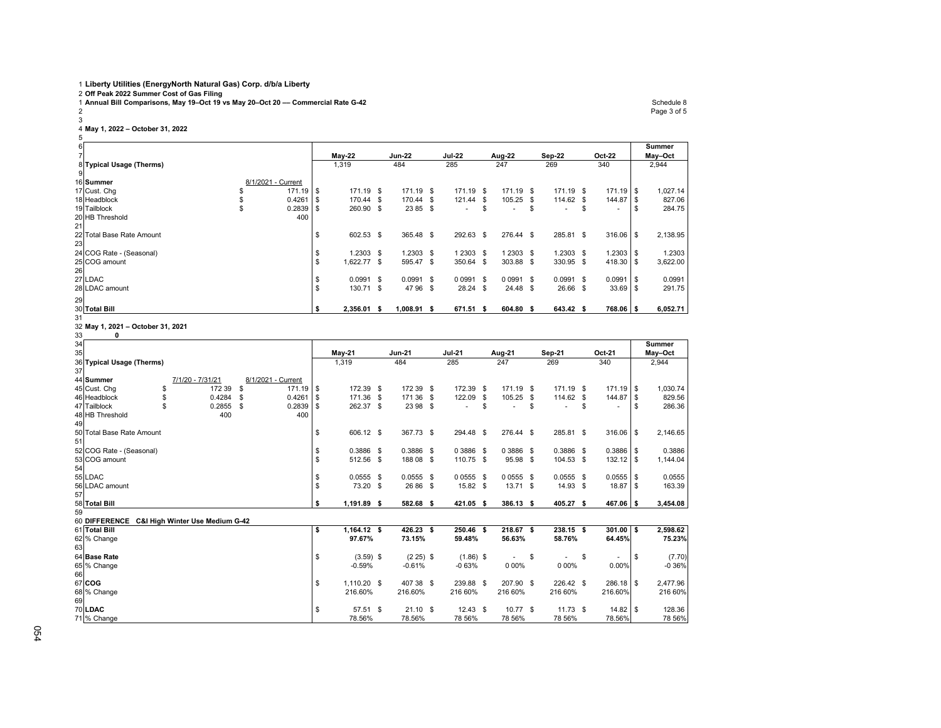2 Off Peak 2022 Summer Cost of Gas Filing<br>1 Annual Bill Comparisons, May 19–Oct 19 vs May 20–Oct 20 — Commercial Rate G-42 2

Page 3 of 5

### 3 4 **May 1, 2022 – October 31, 2022**

## 5

| 6<br>7 |                           |                    |             |       | $May-22$  |      | <b>Jun-22</b> |          | <b>Jul-22</b> | Aug-22    |      | Sep-22      |   | Oct-22                   |    | Summer<br>May-Oct |
|--------|---------------------------|--------------------|-------------|-------|-----------|------|---------------|----------|---------------|-----------|------|-------------|---|--------------------------|----|-------------------|
|        | 8 Typical Usage (Therms)  |                    |             | 1,319 |           |      | 484           |          | 285           | 247       |      | 269         |   | 340                      |    | 2,944             |
| 9      |                           |                    |             |       |           |      |               |          |               |           |      |             |   |                          |    |                   |
|        | 16 Summer                 | 8/1/2021 - Current |             |       |           |      |               |          |               |           |      |             |   |                          |    |                   |
|        | 17 Cust. Chg              |                    | $171.19$ \$ |       | 171.19 \$ |      | 171.19        | <b>S</b> | 171.19 \$     | 171.19    | - \$ | 171.19 \$   |   | $171.19$ S               |    | 1,027.14          |
|        | 18 Headblock              |                    | 0.4261      |       | 170.44 \$ |      | 170.44        | \$       | 121.44 \$     | 105.25    | -S   | 114.62 \$   |   | 144.87 \$                |    | 827.06            |
|        | 19 Tailblock              |                    | 0.2839      | - \$  | 260.90    | -\$  | 23 85         | - \$     | ۰             | \$        | S    | ٠           | S | $\overline{\phantom{a}}$ | -S | 284.75            |
|        | 20 HB Threshold           |                    | 400         |       |           |      |               |          |               |           |      |             |   |                          |    |                   |
| 21     |                           |                    |             |       |           |      |               |          |               |           |      |             |   |                          |    |                   |
|        | 22 Total Base Rate Amount |                    |             | \$    | 602.53 \$ |      | 365.48 \$     |          | 292.63 \$     | 276.44 \$ |      | 285.81 \$   |   | $316.06$ \$              |    | 2,138.95          |
| 23     |                           |                    |             |       |           |      |               |          |               |           |      |             |   |                          |    |                   |
|        | 24 COG Rate - (Seasonal)  |                    |             |       | 1.2303    | \$   | 1.2303        | - \$     | 2303 \$       | 1 2 3 0 3 | - \$ | 1.2303 \$   |   | $1.2303$ \$              |    | 1.2303            |
|        | 25 COG amount             |                    |             |       | 1,622.77  | \$.  | 595.47        | \$       | 350.64 \$     | 303.88    | -S   | 330.95 \$   |   | $418.30$ \ \$            |    | 3,622.00          |
| 26     |                           |                    |             |       |           |      |               |          |               |           |      |             |   |                          |    |                   |
|        | 27 LDAC                   |                    |             |       | 0.0991    | -S   | 0.0991        | <b>S</b> | 0 0 9 9 1 \$  | 0 0 9 9 1 | - \$ | $0.0991$ \$ |   | $0.0991$ \$              |    | 0.0991            |
|        | 28 LDAC amount            |                    |             |       | 130.71    | \$   | 4796          | \$       | $28.24$ \$    | 24.48     | -S   | 26.66 \$    |   | $33.69$ \$               |    | 291.75            |
| 29     |                           |                    |             |       |           |      |               |          |               |           |      |             |   |                          |    |                   |
|        | 30 Total Bill             |                    |             |       | 2,356.01  | - 56 | 1.008.91 S    |          | 671.51 \$     | 604.80    | - \$ | 643.42 \$   |   | 768.06 \$                |    | 6,052.71          |
| 31     |                           |                    |             |       |           |      |               |          |               |           |      |             |   |                          |    |                   |

## 31 32 **May 1, 2021 – October 31, 2021** 33 **0**

| ۰.<br>×<br>۰. |  |
|---------------|--|
|               |  |

| 34                        |   |                                 |     |                    |          |               |    |               |                 |     |            |    |             |    |             |    | <b>Summer</b> |
|---------------------------|---|---------------------------------|-----|--------------------|----------|---------------|----|---------------|-----------------|-----|------------|----|-------------|----|-------------|----|---------------|
| 35                        |   |                                 |     |                    |          | May-21        |    | <b>Jun-21</b> | <b>Jul-21</b>   |     | Aug-21     |    | Sep-21      |    | Oct-21      |    | Mav-Oct       |
| 36 Typical Usage (Therms) |   |                                 |     |                    |          | 1,319         |    | 484           | 285             |     | 247        |    | 269         |    | 340         |    | 2,944         |
| 37                        |   |                                 |     |                    |          |               |    |               |                 |     |            |    |             |    |             |    |               |
| 44 Summer                 |   | 7/1/20 - 7/31/21                |     | 8/1/2021 - Current |          |               |    |               |                 |     |            |    |             |    |             |    |               |
| 45 Cust. Chg              | S | 172 39                          | \$. | 171.19 \$          |          | 172.39 \$     |    | 172 39        | \$<br>172.39 \$ |     | 171.19 \$  |    | 171.19 \$   |    |             |    | 1,030.74      |
| 46 Headblock              |   | 0.4284                          | \$. | $0.4261$ \$        |          | 171.36        | -S | 17136 \$      | 122.09          | -\$ | 105.25 \$  |    | 114.62      | -S | 144.87 \$   |    | 829.56        |
| 47 Tailblock              |   | 0.2855                          | \$  | 0.2839             | -\$      | 262.37 \$     |    | 23 98 \$      | ٠               | \$  |            | \$ |             | \$ | ٠           | -S | 286.36        |
| 48 HB Threshold           |   | 400                             |     | 400                |          |               |    |               |                 |     |            |    |             |    |             |    |               |
| 49                        |   |                                 |     |                    |          |               |    |               |                 |     |            |    |             |    |             |    |               |
| 50 Total Base Rate Amount |   |                                 |     |                    | \$       | 606.12 \$     |    | 367.73 \$     | 294.48 \$       |     | 276.44 \$  |    | 285.81 \$   |    | 316.06 \$   |    | 2,146.65      |
| 51                        |   |                                 |     |                    |          |               |    |               |                 |     |            |    |             |    |             |    |               |
| 52 COG Rate - (Seasonal)  |   |                                 |     |                    | \$       | $0.3886$ \$   |    | $0.3886$ \$   | 0 3886 \$       |     | 0 3886 \$  |    | $0.3886$ \$ |    | $0.3886$ \$ |    | 0.3886        |
| 53 COG amount             |   |                                 |     |                    | <b>S</b> | 512.56 \$     |    | 18808 \$      | 110.75 \$       |     | 95.98 \$   |    | 104.53 \$   |    | $132.12$ \$ |    | 1,144.04      |
| 54                        |   |                                 |     |                    |          |               |    |               |                 |     |            |    |             |    |             |    |               |
| 55 LDAC                   |   |                                 |     |                    | \$       | $0.0555$ \$   |    | $0.0555$ \$   | $0.0555$ \$     |     | 0 0 5 5 \$ |    | $0.0555$ \$ |    | $0.0555$ \$ |    | 0.0555        |
| 56 LDAC amount            |   |                                 |     |                    | \$       | 73.20 \$      |    | 26 86 \$      | 15.82 \$        |     | $13.71$ \$ |    | 14.93 \$    |    | 18.87 \$    |    | 163.39        |
| 57                        |   |                                 |     |                    |          |               |    |               |                 |     |            |    |             |    |             |    |               |
| 58 Total Bill             |   |                                 |     |                    | \$       | 1,191.89 \$   |    | 582.68 \$     | 421.05 \$       |     | 386.13 \$  |    | 405.27 \$   |    | 467.06 \$   |    | 3,454.08      |
| 59                        |   |                                 |     |                    |          |               |    |               |                 |     |            |    |             |    |             |    |               |
| 60 DIFFERENCE             |   | C&I High Winter Use Medium G-42 |     |                    |          |               |    |               |                 |     |            |    |             |    |             |    |               |
| 61 Total Bill             |   |                                 |     |                    | -\$      | $1,164.12$ \$ |    | 426.23 \$     | 250.46 \$       |     | 218.67 \$  |    | 238.15 \$   |    | $301.00$ \$ |    | 2,598.62      |
| 62 % Change               |   |                                 |     |                    |          | 97.67%        |    | 73.15%        | 59.48%          |     | 56.63%     |    | 58.76%      |    | 64.45%      |    | 75.23%        |
| 63                        |   |                                 |     |                    |          |               |    |               |                 |     |            |    |             |    |             |    |               |
| 64 Base Rate              |   |                                 |     |                    | \$       | $(3.59)$ \$   |    | $(225)$ \$    | $(1.86)$ \$     |     | $\sim$     | s. | ٠           | \$ | ٠           | ΙS | (7.70)        |
| 65 % Change               |   |                                 |     |                    |          | $-0.59%$      |    | $-0.61%$      | $-0.63%$        |     | 0 0 0 %    |    | 0 0 0 %     |    | 0.00%       |    | $-0.36%$      |
| 66                        |   |                                 |     |                    |          |               |    |               |                 |     |            |    |             |    |             |    |               |
| 67 COG                    |   |                                 |     |                    | \$       | 1,110.20 \$   |    | 40738 \$      | 239.88 \$       |     | 207.90 \$  |    | 226.42 \$   |    | 286.18 \$   |    | 2,477.96      |
| 68 % Change               |   |                                 |     |                    |          | 216.60%       |    | 216.60%       | 216 60%         |     | 216 60%    |    | 216 60%     |    | 216.60%     |    | 216 60%       |
| 69                        |   |                                 |     |                    |          |               |    |               |                 |     |            |    |             |    |             |    |               |
| 70 LDAC                   |   |                                 |     |                    | \$       | 57.51 \$      |    | $21.10$ \$    | $12.43$ \$      |     | 10.77 \$   |    | $11.73$ \$  |    |             |    | 128.36        |
| 71 % Change               |   |                                 |     |                    |          | 78.56%        |    | 78.56%        | 78 56%          |     | 78 56%     |    | 78 56%      |    | 78.56%      |    | 78 56%        |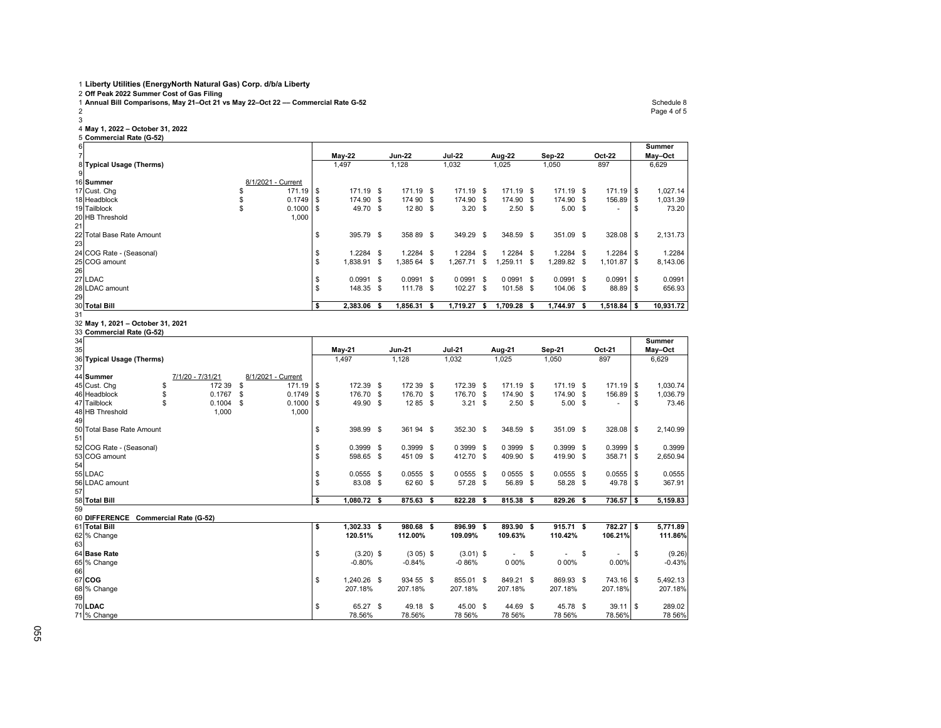2 Off Peak 2022 Summer Cost of Gas Filing<br>1 Annual Bill Comparisons, May 21–Oct 21 vs May 22–Oct 22 — Commercial Rate G-52

23

4 **May 1, 2022 – October 31, 2022** 5 **Commercial Rate (G-52)**

| 6      |                           |                    |               |                  |               |      |               |          |                   |      |             |      |               | Summer    |
|--------|---------------------------|--------------------|---------------|------------------|---------------|------|---------------|----------|-------------------|------|-------------|------|---------------|-----------|
| 7      |                           |                    |               | May-22           | <b>Jun-22</b> |      | <b>Jul 22</b> |          | Aug-22            |      | Sep 22      |      | <b>Oct-22</b> | May-Oct   |
|        | 8 Typical Usage (Therms)  |                    |               | 1.497            | 1,128         |      | 1,032         |          | 1,025             |      | 1,050       |      | 897           | 6,629     |
| 9      |                           |                    |               |                  |               |      |               |          |                   |      |             |      |               |           |
|        | 16 Summer                 | 8/1/2021 - Current |               |                  |               |      |               |          |                   |      |             |      |               |           |
|        | 17 Cust. Chg              |                    | $171.19$ \ \$ | 171.19 \$        | 171.19 \$     |      | 171.19        | <b>S</b> | 171.19 \$         |      | 171.19 \$   |      | $171.19$ S    | 1.027.14  |
|        | 18 Headblock              |                    | $0.1749$ \$   | 174.90 \$        | 174 90 \$     |      | 174.90 \$     |          | 174.90 \$         |      | 174.90      | - \$ | 156.89 \$     | 1,031.39  |
|        | 19 Tailblock              |                    | $0.1000$ \$   | 49.70 \$         | 12 80 \$      |      | 3.20          | - \$     | 2.50 <sup>5</sup> |      | $5.00$ \$   |      |               | 73.20     |
|        | 20 HB Threshold           |                    | 1,000         |                  |               |      |               |          |                   |      |             |      |               |           |
| 21     |                           |                    |               |                  |               |      |               |          |                   |      |             |      |               |           |
|        | 22 Total Base Rate Amount |                    |               | 395.79 \$<br>\$. | 35889 \$      |      | 349.29 \$     |          | 348.59 \$         |      | 351.09 \$   |      | 328.08 \$     | 2,131.73  |
| 23     |                           |                    |               |                  |               |      |               |          |                   |      |             |      |               |           |
|        | 24 COG Rate - (Seasonal)  |                    |               | 1.2284 \$<br>\$  | $1.2284$ \$   |      | 1 2 2 8 4     | - \$     | 1 2284            | - \$ | $1.2284$ \$ |      | $1.2284$ \$   | 1.2284    |
|        | 25 COG amount             |                    |               | 1.838.91 \$<br>ъ | 1.385 64      | - \$ | .267.71       | \$       | .259.11           | - \$ | \$289.82    |      | $1,101.87$ \$ | 8,143.06  |
| 26     |                           |                    |               |                  |               |      |               |          |                   |      |             |      |               |           |
|        | 27 LDAC                   |                    |               | $0.0991$ \$      | $0.0991$ \$   |      | 0 0 9 9 1     | - \$     | 00991 \$          |      | $0.0991$ \$ |      | $0.0991$ \ \$ | 0.0991    |
|        | 28 LDAC amount            |                    |               | 148.35 \$        | 111.78 \$     |      | 102.27        | - \$     | 101.58            | -S   | 104.06 \$   |      | 88.89 \$      | 656.93    |
| 29     |                           |                    |               |                  |               |      |               |          |                   |      |             |      |               |           |
|        | 30 Total Bill             |                    |               | 2,383.06         | 1,856.31      | - 55 | 1.719.27      | - 55     | 1.709.28          | - 55 | 1.744.97    | - 5  | $1,518.84$ \$ | 10,931.72 |
| $\sim$ |                           |                    |               |                  |               |      |               |          |                   |      |             |      |               |           |

## 31 32 **May 1, 2021 – October 31, 2021** 33 **Commercial Rate (G-52)**

| 34                        |   |                        |      |                    |     |               |      |               |               |      |            |             |      |                          |                          | Summer   |
|---------------------------|---|------------------------|------|--------------------|-----|---------------|------|---------------|---------------|------|------------|-------------|------|--------------------------|--------------------------|----------|
| 35                        |   |                        |      |                    |     | May-21        |      | <b>Jun-21</b> | <b>Jul-21</b> |      | Aug-21     | Sep-21      |      | Oct-21                   |                          | May-Oct  |
| 36 Typical Usage (Therms) |   |                        |      |                    |     | 1.497         |      | 1,128         | 1,032         |      | 1,025      | 1,050       |      | 897                      |                          | 6,629    |
| 37                        |   |                        |      |                    |     |               |      |               |               |      |            |             |      |                          |                          |          |
| 44 Summer                 |   | 7/1/20 - 7/31/21       |      | 8/1/2021 - Current |     |               |      |               |               |      |            |             |      |                          |                          |          |
| 45 Cust. Chq              | S | 172 39                 | \$.  | $171.19$ \$        |     | 172.39 \$     |      | 172 39 \$     | 172.39 \$     |      | 171.19 \$  | 171.19 \$   |      | 171.19 \$                |                          | 1,030.74 |
| 46 Headblock              | S | 0.1767                 | \$.  | 0.1749             | \$  | 176.70        | - \$ | 176.70 \$     | 176.70 \$     |      | 174.90 \$  | 174.90      | -S   | 156.89 \$                |                          | 1,036.79 |
| 47 Tailblock              |   | 0.1004                 | - \$ | 0.1000             | -\$ | 49.90 \$      |      | 1285 \$       | $3.21$ \$     |      | 2.50S      | $5.00$ \$   |      |                          |                          | 73.46    |
| 48 HB Threshold           |   | 1,000                  |      | 1,000              |     |               |      |               |               |      |            |             |      |                          |                          |          |
| 49                        |   |                        |      |                    |     |               |      |               |               |      |            |             |      |                          |                          |          |
| 50 Total Base Rate Amount |   |                        |      |                    | \$  | 398.99 \$     |      | 36194 \$      | 352.30 \$     |      | 348.59 \$  | 351.09 \$   |      | 328.08 \$                |                          | 2,140.99 |
| 51                        |   |                        |      |                    |     |               |      |               |               |      |            |             |      |                          |                          |          |
| 52 COG Rate - (Seasonal)  |   |                        |      |                    | \$  | 0.3999        | - \$ | $0.3999$ \$   | 0 3 9 9 9 \$  |      | 0 3999 \$  | 0.3999S     |      | $0.3999$ \$              |                          | 0.3999   |
| 53 COG amount             |   |                        |      |                    | \$  | 598.65 \$     |      | 45109 \$      | 412.70 \$     |      | 409.90 \$  | 419.90 \$   |      | 358.71                   | $\overline{\phantom{a}}$ | 2,650.94 |
| 54                        |   |                        |      |                    |     |               |      |               |               |      |            |             |      |                          |                          |          |
| 55 LDAC                   |   |                        |      |                    | \$  | 0.0555        | - \$ | $0.0555$ \$   | 0 0 5 5 \$    |      | 0 0 5 5 \$ | $0.0555$ \$ |      | $0.0555$ \$              |                          | 0.0555   |
| 56 LDAC amount            |   |                        |      |                    | \$  | 83.08 \$      |      | 62 60 \$      | 57.28 \$      |      | 56.89 \$   | 58.28 \$    |      | 49.78 \$                 |                          | 367.91   |
| 57                        |   |                        |      |                    |     |               |      |               |               |      |            |             |      |                          |                          |          |
| 58 Total Bill             |   |                        |      |                    | \$  | 1,080.72 \$   |      | 875.63 \$     | 822.28        | - \$ | 815.38 \$  | 829.26      | - \$ | $736.57$ \$              |                          | 5,159.83 |
| 59                        |   |                        |      |                    |     |               |      |               |               |      |            |             |      |                          |                          |          |
| 60 DIFFERENCE             |   | Commercial Rate (G-52) |      |                    |     |               |      |               |               |      |            |             |      |                          |                          |          |
| 61 Total Bill             |   |                        |      |                    | \$  | $1,302.33$ \$ |      | 980.68 \$     | 896.99 \$     |      | 893.90 \$  | 915.71 S    |      | 782.27 \$                |                          | 5,771.89 |
| 62 % Change               |   |                        |      |                    |     | 120.51%       |      | 112.00%       | 109.09%       |      | 109.63%    | 110.42%     |      | 106.21%                  |                          | 111.86%  |
| 63                        |   |                        |      |                    |     |               |      |               |               |      |            |             |      |                          |                          |          |
| 64 Base Rate              |   |                        |      |                    | \$  | $(3.20)$ \$   |      | $(305)$ \$    | $(3.01)$ \$   |      | $\sim$     | \$          | \$   | $\overline{\phantom{a}}$ | l S                      | (9.26)   |
| 65 % Change               |   |                        |      |                    |     | $-0.80%$      |      | $-0.84%$      | $-0.86%$      |      | 0 0 0 %    | 0 0 0 %     |      | 0.00%                    |                          | $-0.43%$ |
| 66                        |   |                        |      |                    |     |               |      |               |               |      |            |             |      |                          |                          |          |
| 67 COG                    |   |                        |      |                    | \$  | 1.240.26 \$   |      | 934 55 \$     | 855.01 \$     |      | 849.21 \$  | 869.93 \$   |      | 743.16 \$                |                          | 5,492.13 |
| 68 % Change               |   |                        |      |                    |     | 207.18%       |      | 207.18%       | 207.18%       |      | 207.18%    | 207.18%     |      | 207.18%                  |                          | 207.18%  |
| 69                        |   |                        |      |                    |     |               |      |               |               |      |            |             |      |                          |                          |          |
| 70 LDAC                   |   |                        |      |                    | \$  | 65.27 \$      |      | 49.18 \$      | 45.00 \$      |      | 44.69 \$   | 45.78 \$    |      | $39.11$ S                |                          | 289.02   |
| 71 % Change               |   |                        |      |                    |     | 78.56%        |      | 78.56%        | 78 56%        |      | 78 56%     | 78 56%      |      | 78.56%                   |                          | 78 56%   |

Page 4 of 5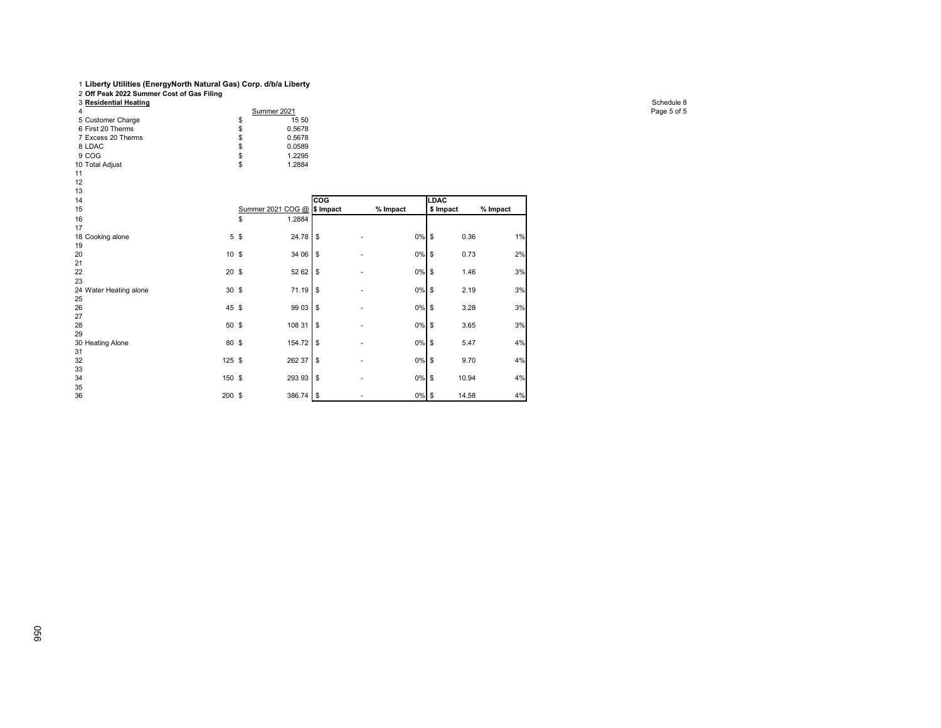## 1 **Liberty Utilities (EnergyNorth Natural Gas) Corp. d/b/a Liberty** 2 **Off Peak 2022 Summer Cost of Gas Filing** 3 **Residential Heating** Schedule 8

| <b>O INGOINGHTIGHTIGALITY</b> |             |
|-------------------------------|-------------|
|                               | Summer 2021 |
| 5 Customer Charge             | 15 50       |
| 6 First 20 Therms             | 0.5678      |
| 7 Excess 20 Therms            | 0.5678      |
| 8 LDAC                        | 0.0589      |
| 9 COG                         | 1.2295      |
| 0 Total Adjust                | 1.2884      |
|                               |             |

| 13                     |                 |                |                             |            |          |           |       |          |
|------------------------|-----------------|----------------|-----------------------------|------------|----------|-----------|-------|----------|
| 14                     |                 |                |                             | <b>COG</b> |          | LDAC      |       |          |
| 15                     |                 |                | Summer 2021 COG @ \$ Impact |            | % Impact | \$ Impact |       | % Impact |
| 16                     |                 | S              | 1.2884                      |            |          |           |       |          |
| 17                     |                 |                |                             |            |          |           |       |          |
| 18 Cooking alone       |                 | 5 <sup>5</sup> | 24.78                       | $\sqrt{3}$ | $0\%$ \$ |           | 0.36  | 1%       |
| 19                     |                 |                |                             |            |          |           |       |          |
| 20                     | 10 <sup>5</sup> |                | 34 06                       | \$         | $0\%$ \$ |           | 0.73  | 2%       |
| 21                     |                 |                |                             |            |          |           |       |          |
| 22                     | 20 <sup>°</sup> |                | 52 62                       | \$         | 0%       | \$        | 1.46  | 3%       |
| 23                     |                 |                |                             |            |          |           |       |          |
| 24 Water Heating alone | 30 <sup>5</sup> |                | 71.19                       | \$         | $0\%$ \$ |           | 2.19  | 3%       |
| 25                     |                 |                |                             |            |          |           |       |          |
| 26                     | 45 \$           |                | 99 03                       | $\sqrt{3}$ | $0\%$ \$ |           | 3.28  | 3%       |
| 27                     |                 |                |                             |            |          |           |       |          |
| 28                     | 50 \$           |                | 108 31                      | $\sqrt{3}$ | $0\%$ \$ |           | 3.65  | 3%       |
| 29                     |                 |                |                             |            |          |           |       |          |
| 30 Heating Alone       | 80 \$           |                | 154.72                      | \$         | $0\%$ \$ |           | 5.47  | 4%       |
| 31                     |                 |                |                             |            |          |           |       |          |
| 32                     | $125$ \$        |                | 262 37                      | <b>S</b>   | $0\%$ \$ |           | 9.70  | 4%       |
| 33                     |                 |                |                             |            |          |           |       |          |
| 34                     | 150 \$          |                | 293 93                      | \$         | $0\%$ \$ |           | 10.94 | 4%       |
| 35                     |                 |                |                             |            |          |           |       |          |
| 36                     | 200 \$          |                | 386.74                      | <b>S</b>   | $0\%$ \$ |           | 14.58 | 4%       |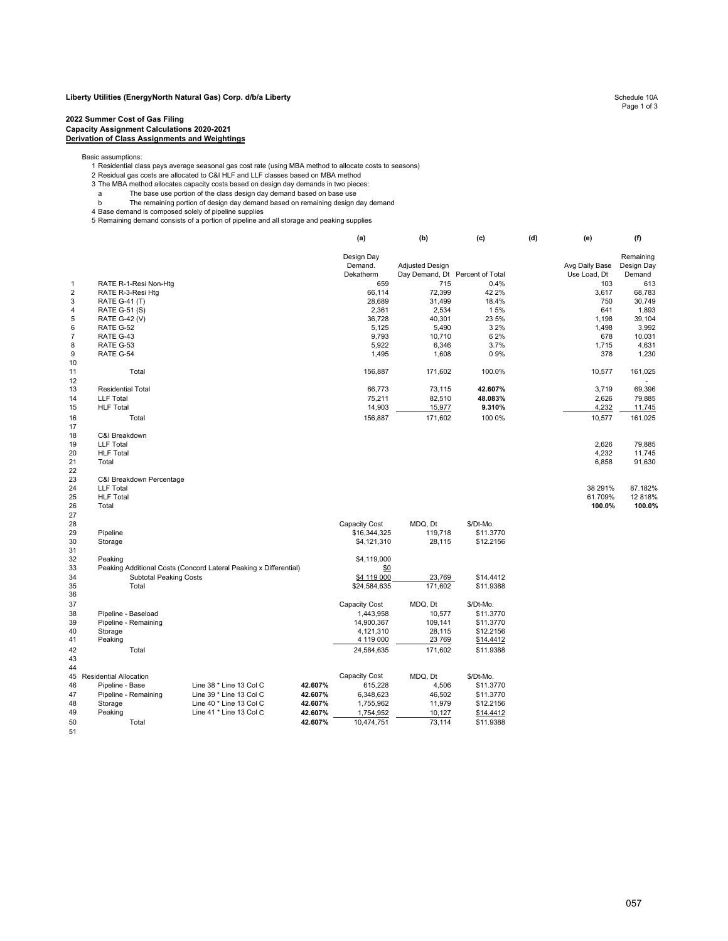## **2022 Summer Cost of Gas Filing Capacity Assignment Calculations 2020-2021 Derivation of Class Assignments and Weightings**

Basic assumptions:

1 Residential class pays average seasonal gas cost rate (using MBA method to allocate costs to seasons) 2 Residual gas costs are allocated to C&I HLF and LLF classes based on MBA method

- 
- 3 The MBA method allocates capacity costs based on design day demands in two pieces:
- a The base use portion of the class design day demand based on base use<br>b The remaining portion of design day demand based on remaining design day demand<br>4 Base demand is composed solely of pipeline supplies<br>5 Remaining de
- 
- 

|                |                               |                                                                   |         | (a)           | (b)                             | (c)       | (d) | (e)            | (f)        |
|----------------|-------------------------------|-------------------------------------------------------------------|---------|---------------|---------------------------------|-----------|-----|----------------|------------|
|                |                               |                                                                   |         | Design Day    |                                 |           |     |                | Remaining  |
|                |                               |                                                                   |         | Demand.       | <b>Adjusted Design</b>          |           |     | Avg Daily Base | Design Day |
|                |                               |                                                                   |         | Dekatherm     | Day Demand, Dt Percent of Total |           |     | Use Load, Dt   | Demand     |
| $\mathbf{1}$   | RATE R-1-Resi Non-Htg         |                                                                   |         | 659           | 715                             | 0.4%      |     | 103            | 613        |
| $\overline{2}$ | RATE R-3-Resi Htg             |                                                                   |         | 66,114        | 72,399                          | 42 2%     |     | 3,617          | 68,783     |
| 3              | <b>RATE G-41 (T)</b>          |                                                                   |         | 28,689        | 31,499                          | 18.4%     |     | 750            | 30,749     |
| $\overline{4}$ | <b>RATE G-51 (S)</b>          |                                                                   |         | 2,361         | 2,534                           | 15%       |     | 641            | 1,893      |
| 5              | <b>RATE G-42 (V)</b>          |                                                                   |         | 36,728        | 40,301                          | 23 5%     |     | 1,198          | 39,104     |
| 6              | RATE G-52                     |                                                                   |         | 5,125         | 5,490                           | 3 2%      |     | 1,498          | 3,992      |
| $\overline{7}$ | RATE G-43                     |                                                                   |         | 9,793         | 10,710                          | 62%       |     | 678            | 10,031     |
| 8              | RATE G-53                     |                                                                   |         | 5,922         | 6,346                           | 3.7%      |     | 1,715          | 4,631      |
| 9              | RATE G-54                     |                                                                   |         | 1,495         | 1,608                           | 09%       |     | 378            | 1,230      |
| 10             |                               |                                                                   |         |               |                                 |           |     |                |            |
| 11             | Total                         |                                                                   |         | 156,887       | 171,602                         | 100.0%    |     | 10,577         | 161,025    |
| 12             |                               |                                                                   |         |               |                                 |           |     |                |            |
| 13             | <b>Residential Total</b>      |                                                                   |         | 66,773        | 73.115                          | 42.607%   |     | 3.719          | 69,396     |
| 14             | <b>LLF Total</b>              |                                                                   |         | 75,211        | 82,510                          | 48.083%   |     | 2,626          | 79,885     |
| 15             | <b>HLF Total</b>              |                                                                   |         | 14,903        | 15,977                          | 9.310%    |     | 4,232          | 11,745     |
| 16             | Total                         |                                                                   |         | 156,887       | 171,602                         | 100 0%    |     | 10,577         | 161,025    |
| 17             |                               |                                                                   |         |               |                                 |           |     |                |            |
| 18             | C&I Breakdown                 |                                                                   |         |               |                                 |           |     |                |            |
| 19             | <b>LLF Total</b>              |                                                                   |         |               |                                 |           |     | 2,626          | 79,885     |
| 20             | <b>HLF Total</b>              |                                                                   |         |               |                                 |           |     |                |            |
|                |                               |                                                                   |         |               |                                 |           |     | 4,232          | 11,745     |
| 21             | Total                         |                                                                   |         |               |                                 |           |     | 6,858          | 91,630     |
| 22<br>23       |                               |                                                                   |         |               |                                 |           |     |                |            |
|                | C&I Breakdown Percentage      |                                                                   |         |               |                                 |           |     |                |            |
| 24             | <b>LLF Total</b>              |                                                                   |         |               |                                 |           |     | 38 291%        | 87.182%    |
| 25             | <b>HLF Total</b>              |                                                                   |         |               |                                 |           |     | 61.709%        | 12 818%    |
| 26             | Total                         |                                                                   |         |               |                                 |           |     | 100.0%         | 100.0%     |
| 27             |                               |                                                                   |         |               |                                 |           |     |                |            |
| 28             |                               |                                                                   |         | Capacity Cost | MDQ, Dt                         | \$/Dt-Mo. |     |                |            |
| 29             | Pipeline                      |                                                                   |         | \$16,344,325  | 119.718                         | \$11.3770 |     |                |            |
| 30             | Storage                       |                                                                   |         | \$4,121,310   | 28,115                          | \$12.2156 |     |                |            |
| 31             |                               |                                                                   |         |               |                                 |           |     |                |            |
| 32             | Peaking                       |                                                                   |         | \$4,119,000   |                                 |           |     |                |            |
| 33             |                               | Peaking Additional Costs (Concord Lateral Peaking x Differential) |         | \$0           |                                 |           |     |                |            |
| 34             | <b>Subtotal Peaking Costs</b> |                                                                   |         | \$4 119 000   | 23,769                          | \$14.4412 |     |                |            |
| 35             | Total                         |                                                                   |         | \$24,584,635  | 171.602                         | \$11.9388 |     |                |            |
| 36             |                               |                                                                   |         |               |                                 |           |     |                |            |
| 37             |                               |                                                                   |         | Capacity Cost | MDQ, Dt                         | \$/Dt-Mo. |     |                |            |
| 38             | Pipeline - Baseload           |                                                                   |         | 1,443,958     | 10,577                          | \$11.3770 |     |                |            |
| 39             | Pipeline - Remaining          |                                                                   |         | 14,900,367    | 109.141                         | \$11.3770 |     |                |            |
| 40             | Storage                       |                                                                   |         | 4,121,310     | 28,115                          | \$12.2156 |     |                |            |
| 41             | Peaking                       |                                                                   |         | 4 119 000     | 23769                           | \$14.4412 |     |                |            |
| 42             | Total                         |                                                                   |         | 24,584,635    | 171,602                         | \$11.9388 |     |                |            |
| 43             |                               |                                                                   |         |               |                                 |           |     |                |            |
| 44             |                               |                                                                   |         |               |                                 |           |     |                |            |
| 45             | <b>Residential Allocation</b> |                                                                   |         | Capacity Cost | MDQ, Dt                         | \$/Dt-Mo. |     |                |            |
| 46             | Pipeline - Base               | Line 38 * Line 13 Col C                                           | 42.607% | 615,228       | 4,506                           | \$11.3770 |     |                |            |
| 47             | Pipeline - Remaining          | Line 39 * Line 13 Col C                                           | 42.607% | 6,348,623     | 46,502                          | \$11.3770 |     |                |            |
| 48             | Storage                       | Line 40 * Line 13 Col C                                           | 42.607% | 1,755,962     | 11,979                          | \$12.2156 |     |                |            |
| 49             | Peaking                       | Line 41 * Line 13 Col C                                           | 42.607% | 1,754,952     | 10,127                          | \$14.4412 |     |                |            |
| 50             | Total                         |                                                                   | 42.607% | 10,474,751    | 73,114                          | \$11.9388 |     |                |            |
| 51             |                               |                                                                   |         |               |                                 |           |     |                |            |

Page 1 of 3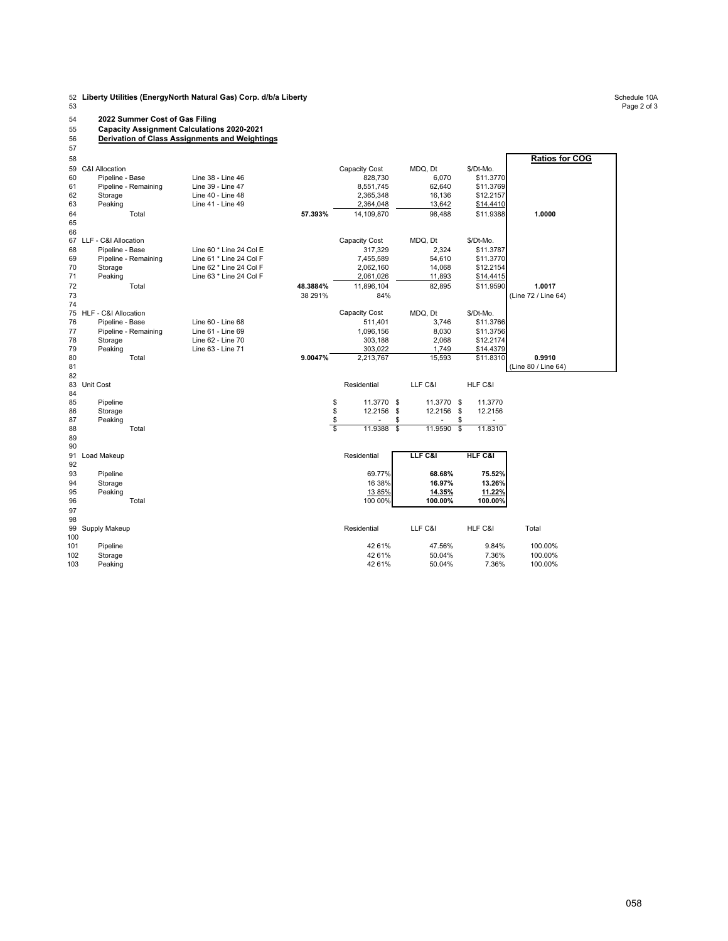52 **Liberty Utilities (EnergyNorth Natural Gas) Corp. d/b/a Liberty** Schedule 10A 53 Page 2 of 3

## 54 **2022 Summer Cost of Gas Filing**

55 **Capacity Assignment Calculations 2020-2021**

56 **Derivation of Class Assignments and Weightings** 55<br>56<br>57

| 58       |                           |                         |               |                                    |                         |           | <b>Ratios for COG</b> |
|----------|---------------------------|-------------------------|---------------|------------------------------------|-------------------------|-----------|-----------------------|
| 59       | <b>C&amp;I Allocation</b> |                         |               | Capacity Cost                      | MDQ, Dt                 | \$/Dt-Mo. |                       |
| 60       | Pipeline - Base           | Line 38 - Line 46       |               | 828,730                            | 6.070                   | \$11.3770 |                       |
| 61       | Pipeline - Remaining      | Line 39 - Line 47       |               | 8,551,745                          | 62,640                  | \$11.3769 |                       |
| 62       | Storage                   | Line 40 - Line 48       |               | 2,365,348                          | 16,136                  | \$12.2157 |                       |
| 63       | Peaking                   | Line 41 - Line 49       |               | 2,364,048                          | 13,642                  | \$14.4410 |                       |
| 64       | Total                     |                         | 57.393%       | 14,109,870                         | 98,488                  | \$11.9388 | 1.0000                |
| 65       |                           |                         |               |                                    |                         |           |                       |
| 66       |                           |                         |               |                                    |                         |           |                       |
| 67       | LLF - C&I Allocation      |                         |               | Capacity Cost                      | MDQ, Dt                 | \$/Dt-Mo. |                       |
| 68       | Pipeline - Base           | Line 60 * Line 24 Col E |               | 317,329                            | 2,324                   | \$11.3787 |                       |
| 69       | Pipeline - Remaining      | Line 61 * Line 24 Col F |               | 7,455,589                          | 54,610                  | \$11.3770 |                       |
| 70       | Storage                   | Line 62 * Line 24 Col F |               | 2,062,160                          | 14,068                  | \$12.2154 |                       |
| 71       | Peaking                   | Line 63 * Line 24 Col F |               | 2,061,026                          | 11,893                  | \$14.4415 |                       |
| 72       | Total                     |                         | 48.3884%      | 11,896,104                         | 82,895                  | \$11.9590 | 1.0017                |
| 73       |                           |                         | 38 291%       | 84%                                |                         |           | (Line 72 / Line 64)   |
| 74       |                           |                         |               |                                    |                         |           |                       |
| 75       | HLF - C&I Allocation      |                         |               | <b>Capacity Cost</b>               | MDQ, Dt                 | \$/Dt-Mo. |                       |
| 76       | Pipeline - Base           | Line 60 - Line 68       |               | 511,401                            | 3,746                   | \$11.3766 |                       |
| 77       | Pipeline - Remaining      | Line 61 - Line 69       |               | 1,096,156                          | 8,030                   | \$11.3756 |                       |
| 78       | Storage                   | Line 62 - Line 70       |               | 303,188                            | 2,068                   | \$12.2174 |                       |
| 79       | Peaking                   | Line 63 - Line 71       |               | 303,022                            | 1,749                   | \$14.4379 |                       |
| 80       | Total                     |                         | 9.0047%       | 2,213,767                          | 15,593                  | \$11.8310 | 0.9910                |
| 81       |                           |                         |               |                                    |                         |           | (Line 80 / Line 64)   |
| 82       |                           |                         |               |                                    |                         |           |                       |
| 83       | Unit Cost                 |                         |               | Residential                        | LLF C&I                 | HLF C&I   |                       |
| 84       |                           |                         |               | \$                                 |                         |           |                       |
| 85<br>86 | Pipeline                  |                         |               | \$<br>11.3770                      | 11.3770<br>Ŝ.           | 11.3770   |                       |
| 87       | Storage<br>Peaking        |                         |               | \$<br>12.2156<br>\$<br>\$          | 12.2156<br>\$<br>\$     | 12.2156   |                       |
| 88       | Total                     |                         | $\frac{6}{3}$ | 11.9388<br>$\overline{\mathbf{s}}$ | 11.9590<br>$\mathbb{S}$ | 11.8310   |                       |
| 89       |                           |                         |               |                                    |                         |           |                       |
| 90       |                           |                         |               |                                    |                         |           |                       |
| 91       | Load Makeup               |                         |               | Residential                        | LLF C&I                 | HLF C&I   |                       |
| 92       |                           |                         |               |                                    |                         |           |                       |
| 93       | Pipeline                  |                         |               | 69.77%                             | 68.68%                  | 75.52%    |                       |
| 94       | Storage                   |                         |               | 16 38%                             | 16.97%                  | 13.26%    |                       |
| 95       | Peaking                   |                         |               | 13 85%                             | 14.35%                  | 11.22%    |                       |
| 96       | Total                     |                         |               | 100 00%                            | 100.00%                 | 100.00%   |                       |
| 97       |                           |                         |               |                                    |                         |           |                       |
| 98       |                           |                         |               |                                    |                         |           |                       |
|          | 99 Supply Makeup          |                         |               | Residential                        | LLF C&I                 | HLF C&I   | Total                 |
| 100      |                           |                         |               |                                    |                         |           |                       |
| 101      | Pipeline                  |                         |               | 42 61%                             | 47.56%                  | 9.84%     | 100.00%               |
| 102      | Storage                   |                         |               | 42 61%                             | 50.04%                  | 7.36%     | 100.00%               |
| 103      | Peaking                   |                         |               | 42 61%                             | 50.04%                  | 7.36%     | 100.00%               |
|          |                           |                         |               |                                    |                         |           |                       |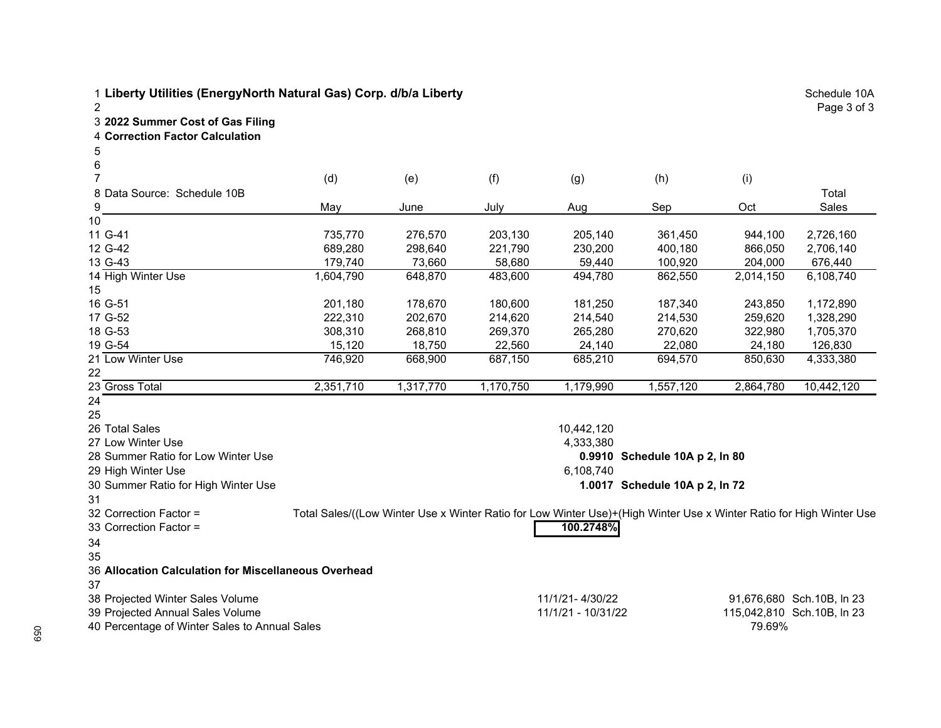3 **2022 Summer Cost of Gas Filing**

4 **Correction Factor Calculation**

| 5                                                    |           |           |           |                    |                                                                                                                     |           |                            |
|------------------------------------------------------|-----------|-----------|-----------|--------------------|---------------------------------------------------------------------------------------------------------------------|-----------|----------------------------|
| 6                                                    |           |           |           |                    |                                                                                                                     |           |                            |
| $\overline{7}$                                       | (d)       | (e)       | (f)       | (g)                | (h)                                                                                                                 | (i)       |                            |
| 8 Data Source: Schedule 10B                          |           |           |           |                    |                                                                                                                     |           | Total                      |
| 9                                                    | May       | June      | July      | Aug                | Sep                                                                                                                 | Oct       | Sales                      |
| 10                                                   |           |           |           |                    |                                                                                                                     |           |                            |
| 11 G-41                                              | 735,770   | 276,570   | 203,130   | 205,140            | 361,450                                                                                                             | 944,100   | 2,726,160                  |
| 12 G-42                                              | 689,280   | 298,640   | 221,790   | 230,200            | 400,180                                                                                                             | 866,050   | 2,706,140                  |
| 13 G-43                                              | 179,740   | 73,660    | 58,680    | 59,440             | 100,920                                                                                                             | 204,000   | 676,440                    |
| 14 High Winter Use                                   | 1,604,790 | 648,870   | 483,600   | 494,780            | 862,550                                                                                                             | 2,014,150 | 6,108,740                  |
| 15                                                   |           |           |           |                    |                                                                                                                     |           |                            |
| 16 G-51                                              | 201,180   | 178,670   | 180,600   | 181,250            | 187,340                                                                                                             | 243,850   | 1,172,890                  |
| 17 G-52                                              | 222,310   | 202,670   | 214,620   | 214,540            | 214,530                                                                                                             | 259,620   | 1,328,290                  |
| 18 G-53                                              | 308,310   | 268,810   | 269,370   | 265,280            | 270,620                                                                                                             | 322,980   | 1,705,370                  |
| 19 G-54                                              | 15,120    | 18,750    | 22,560    | 24,140             | 22,080                                                                                                              | 24,180    | 126,830                    |
| 21 Low Winter Use                                    | 746,920   | 668,900   | 687,150   | 685,210            | 694,570                                                                                                             | 850,630   | 4,333,380                  |
| 22                                                   |           |           |           |                    |                                                                                                                     |           |                            |
| 23 Gross Total                                       | 2,351,710 | 1,317,770 | 1,170,750 | 1,179,990          | 1,557,120                                                                                                           | 2,864,780 | 10,442,120                 |
| 24                                                   |           |           |           |                    |                                                                                                                     |           |                            |
| 25                                                   |           |           |           |                    |                                                                                                                     |           |                            |
| 26 Total Sales                                       |           |           |           | 10,442,120         |                                                                                                                     |           |                            |
| 27 Low Winter Use                                    |           |           |           | 4,333,380          |                                                                                                                     |           |                            |
| 28 Summer Ratio for Low Winter Use                   |           |           |           |                    | 0.9910 Schedule 10A p 2, In 80                                                                                      |           |                            |
| 29 High Winter Use                                   |           |           |           | 6,108,740          |                                                                                                                     |           |                            |
| 30 Summer Ratio for High Winter Use                  |           |           |           |                    | 1.0017 Schedule 10A p 2, In 72                                                                                      |           |                            |
| 31                                                   |           |           |           |                    |                                                                                                                     |           |                            |
| 32 Correction Factor =                               |           |           |           |                    | Total Sales/((Low Winter Use x Winter Ratio for Low Winter Use)+(High Winter Use x Winter Ratio for High Winter Use |           |                            |
| 33 Correction Factor =                               |           |           |           | 100.2748%          |                                                                                                                     |           |                            |
| 34                                                   |           |           |           |                    |                                                                                                                     |           |                            |
| 35                                                   |           |           |           |                    |                                                                                                                     |           |                            |
| 36 Allocation Calculation for Miscellaneous Overhead |           |           |           |                    |                                                                                                                     |           |                            |
| 37                                                   |           |           |           |                    |                                                                                                                     |           |                            |
| 38 Projected Winter Sales Volume                     |           |           |           | 11/1/21-4/30/22    |                                                                                                                     |           | 91,676,680 Sch.10B, In 23  |
| 39 Projected Annual Sales Volume                     |           |           |           | 11/1/21 - 10/31/22 |                                                                                                                     |           | 115,042,810 Sch.10B, In 23 |
| 40 Percentage of Winter Sales to Annual Sales        |           |           |           |                    |                                                                                                                     | 79.69%    |                            |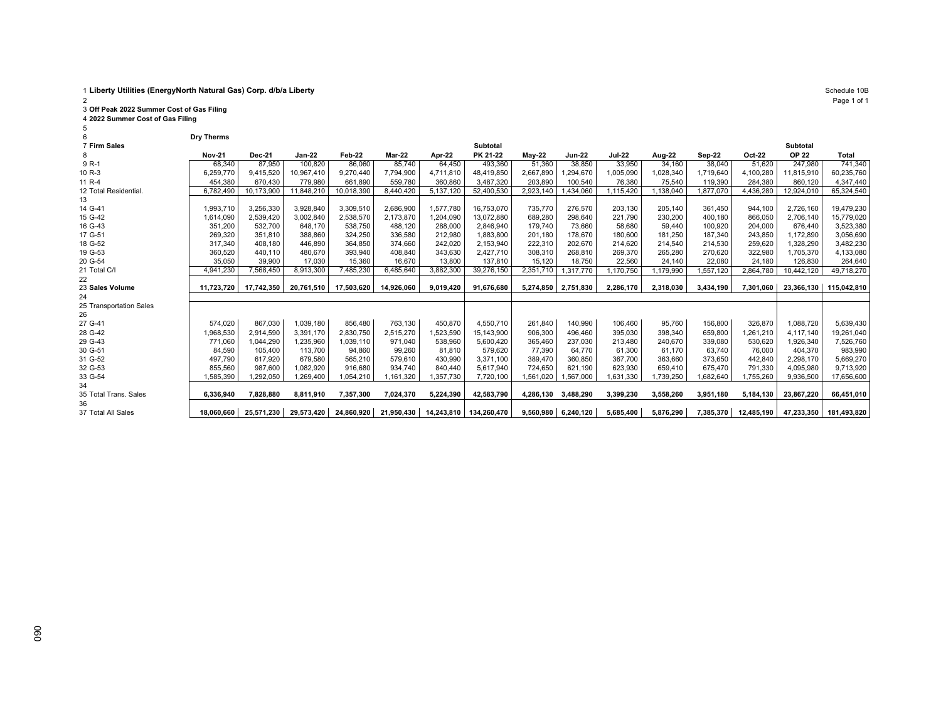2 Page 1 of 1 3 **Off Peak 2022 Summer Cost of Gas Filing** 4 **2022 Summer Cost of Gas Filing**

| 5                       |               |               |            |            |            |           |                                                                    |                    |                       |                    |                        |           |               |              |             |  |
|-------------------------|---------------|---------------|------------|------------|------------|-----------|--------------------------------------------------------------------|--------------------|-----------------------|--------------------|------------------------|-----------|---------------|--------------|-------------|--|
| 6                       | Dry Therms    |               |            |            |            |           |                                                                    |                    |                       |                    |                        |           |               |              |             |  |
| 7 Firm Sales            |               |               |            |            |            |           | Subtotal                                                           |                    |                       |                    |                        |           |               | Subtotal     |             |  |
| 8                       | <b>Nov-21</b> | <b>Dec-21</b> | Jan-22     | Feb-22     | Mar-22     | Apr-22    | PK 21-22                                                           | $May-22$           | Jun-22                | Jul-22             | Aug-22                 | Sep-22    | <b>Oct-22</b> | <b>OP 22</b> | Total       |  |
| 9 R-1                   | 68,340        | 87,950        | 100,820    | 86,060     | 85,740     | 64,450    | 493,360                                                            | 51,360             | 38,850                | 33,950             | 34,160                 | 38,040    | 51,620        | 247,980      | 741,340     |  |
| 10 R-3                  | 6,259,770     | 9,415,520     | 10.967.410 | 9,270,440  | 7,794,900  | 4,711,810 | 48,419,850                                                         | 2,667,890          | ,294,670<br>1,005,090 |                    | 1,028,340<br>1,719,640 |           | 4,100,280     | 11,815,910   | 60,235,760  |  |
| 11 R-4                  | 454,380       | 670.430       | 779,980    | 661,890    | 559,780    | 360,860   | 3,487,320                                                          | 203,890<br>100,540 |                       | 76,380             | 75,540                 | 119,390   | 284,380       | 860,120      | 4,347,440   |  |
| 12 Total Residential.   | 6,782,490     | 10,173,900    | 11,848,210 | 10,018,390 | 8,440,420  | 5,137,120 | 52,400,530                                                         | 2,923,140          | ,434,060              | 1,115,420          | 138,040                | 1.877.070 | 4,436,280     | 12,924,010   | 65,324,540  |  |
| 13                      |               |               |            |            |            |           |                                                                    |                    |                       |                    |                        |           |               |              |             |  |
| 14 G-41                 | 1,993,710     | 3,256,330     | 3,928,840  | 3,309,510  | 2,686,900  | 1,577,780 | 16,753,070                                                         | 735.770            | 276,570               | 203.130            | 205,140                | 361.450   | 944.100       | 2,726,160    | 19,479,230  |  |
| 15 G-42                 | 1,614,090     | 2,539,420     | 3,002,840  | 2,538,570  | 2,173,870  | 1,204,090 | 13,072,880                                                         | 689,280            | 298,640               | 221,790            | 230,200                | 400,180   | 866,050       | 2,706,140    | 15,779,020  |  |
| 16 G-43                 | 351,200       | 532,700       | 648,170    | 538,750    | 488,120    | 288,000   | 2,846,940                                                          | 179,740            | 73,660                | 58,680             | 59,440                 | 100,920   | 204,000       | 676,440      | 3,523,380   |  |
| 17 G-51                 | 269,320       | 351,810       | 388,860    | 324,250    | 336,580    | 212,980   | 1,883,800                                                          | 201,180            | 178,670               | 180,600            | 181,250                | 187,340   | 243,850       | 1,172,890    | 3,056,690   |  |
| 18 G-52                 | 317,340       | 408.180       | 446,890    | 364,850    | 374,660    | 242,020   | 2,153,940                                                          | 222,310            | 202,670               | 214,620            | 214,540                | 214,530   | 259,620       | 1,328,290    | 3,482,230   |  |
| 19 G-53                 | 360,520       | 440,110       | 480,670    | 393,940    | 408,840    | 343,630   | 2,427,710                                                          | 308,310            | 268,810               | 269,370            | 265,280                | 270,620   | 322,980       | 1,705,370    | 4,133,080   |  |
| 20 G-54                 | 35,050        | 39,900        | 17,030     | 15,360     | 16.670     | 13,800    | 137,810                                                            | 15,120             | 18.750                | 22.560             | 24,140                 | 22,080    | 24,180        | 126,830      | 264,640     |  |
| 21 Total C/I            | 4,941,230     | 7,568,450     | 8,913,300  | 7,485,230  | 6,485,640  | 3,882,300 | 39,276,150                                                         | 2,351,710          | 1,317,770             | 170,750<br>179,990 |                        | 1,557,120 | 2,864,780     | 10,442,120   | 49,718,270  |  |
| 22                      |               |               |            |            |            |           |                                                                    |                    |                       |                    |                        |           |               |              |             |  |
| 23 Sales Volume         | 11,723,720    | 17,742,350    | 20,761,510 | 17,503,620 | 14,926,060 | 9,019,420 | 91,676,680                                                         |                    | 5,274,850 2,751,830   | 2,286,170          | 2,318,030              | 3,434,190 | 7.301.060     | 23,366,130   | 115,042,810 |  |
| 24                      |               |               |            |            |            |           |                                                                    |                    |                       |                    |                        |           |               |              |             |  |
| 25 Transportation Sales |               |               |            |            |            |           |                                                                    |                    |                       |                    |                        |           |               |              |             |  |
| 26                      |               |               |            |            |            |           |                                                                    |                    |                       |                    |                        |           |               |              |             |  |
| 27 G-41                 | 574.020       | 867,030       | 1,039,180  | 856,480    | 763,130    | 450,870   | 4,550,710                                                          | 261,840            | 140,990               | 106,460            | 95,760                 | 156.800   | 326,870       | 1,088,720    | 5,639,430   |  |
| 28 G-42                 | 1,968,530     | 2.914.590     | 3,391,170  | 2,830,750  | 2,515,270  | 1,523,590 | 15,143,900                                                         | 906,300            | 496,460               | 395,030            | 398,340                | 659,800   | 261,210       | 4,117,140    | 19,261,040  |  |
| 29 G-43                 | 771,060       | 1,044,290     | 1,235,960  | 1,039,110  | 971,040    | 538,960   | 5,600,420                                                          | 365,460            | 237,030               | 213,480            | 240,670                | 339,080   | 530,620       | 1,926,340    | 7,526,760   |  |
| 30 G-51                 | 84,590        | 105,400       | 113,700    | 94,860     | 99,260     | 81,810    | 579,620                                                            | 77,390             | 64,770                | 61,300             | 61,170                 | 63,740    | 76,000        | 404,370      | 983,990     |  |
| 31 G-52                 | 497,790       | 617,920       | 679,580    | 565,210    | 579,610    | 430,990   | 3,371,100                                                          | 389,470            | 360,850               | 367.700            | 363,660                | 373,650   | 442,840       | 2,298,170    | 5,669,270   |  |
| 32 G-53                 | 855,560       | 987,600       | 1,082,920  | 916,680    | 934,740    | 840,440   | 5,617,940                                                          | 724.650            | 621.190               | 623,930            | 659,410                | 675,470   | 791,330       | 4,095,980    | 9,713,920   |  |
| 33 G-54                 | 1,585,390     | ,292,050      | 1,269,400  | 1,054,210  | 161,320    | 1,357,730 | 7,720,100                                                          | .561,020           | 1,567,000             | .631,330           | 1,739,250              | 1,682,640 | ,755,260      | 9,936,500    | 17,656,600  |  |
| 34                      |               |               |            |            |            |           |                                                                    |                    |                       |                    |                        |           |               |              |             |  |
| 35 Total Trans. Sales   | 6,336,940     | 7,828,880     | 8,811,910  | 7,357,300  | 7,024,370  | 5,224,390 | 42,583,790                                                         |                    | 4,286,130 3,488,290   | 3,399,230          | 3,558,260              | 3,951,180 | 5,184,130     | 23,867,220   | 66,451,010  |  |
| 36                      |               |               |            |            |            |           |                                                                    |                    |                       |                    |                        |           |               |              |             |  |
| 37 Total All Sales      | 18,060,660    |               |            |            |            |           | 25,571,230 29,573,420 24,860,920 21,950,430 14,243,810 134,260,470 |                    | $9,560,980$ 6,240,120 | 5,685,400          | 5,876,290              | 7,385,370 | 12,485,190    | 47,233,350   | 181,493,820 |  |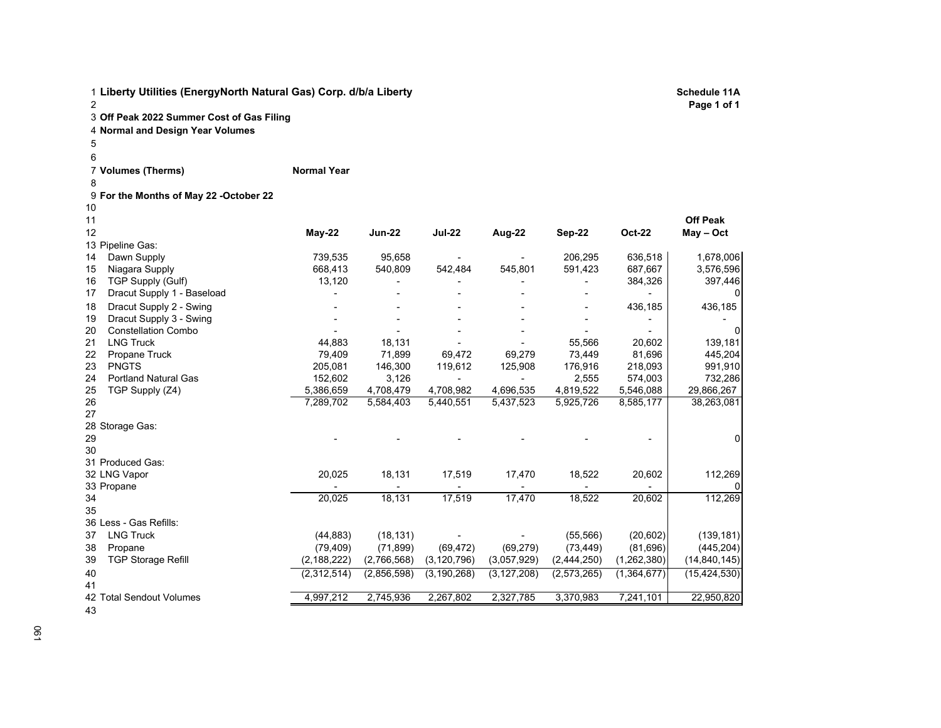**Page 1 of 1**

3 **Off Peak 2022 Summer Cost of Gas Filing**

4 **Normal and Design Year Volumes** 

5

7 **Volumes (Therms) Normal Year**

9 **For the Months of May 22 -October 22**

| 11                                |               |               |               |               |               |               | <b>Off Peak</b> |
|-----------------------------------|---------------|---------------|---------------|---------------|---------------|---------------|-----------------|
| 12                                | <b>May-22</b> | <b>Jun-22</b> | <b>Jul-22</b> | Aug-22        | <b>Sep-22</b> | <b>Oct-22</b> | May - Oct       |
| 13 Pipeline Gas:                  |               |               |               |               |               |               |                 |
| Dawn Supply<br>14                 | 739,535       | 95,658        |               |               | 206,295       | 636,518       | 1,678,006       |
| 15<br>Niagara Supply              | 668,413       | 540,809       | 542,484       | 545,801       | 591,423       | 687,667       | 3,576,596       |
| 16<br>TGP Supply (Gulf)           | 13,120        |               |               |               |               | 384,326       | 397,446         |
| 17<br>Dracut Supply 1 - Baseload  |               |               |               |               |               |               |                 |
| 18<br>Dracut Supply 2 - Swing     |               |               |               |               |               | 436,185       | 436,185         |
| 19<br>Dracut Supply 3 - Swing     |               |               |               |               |               |               |                 |
| 20<br><b>Constellation Combo</b>  |               |               |               |               |               |               | $\Omega$        |
| 21<br><b>LNG Truck</b>            | 44,883        | 18,131        |               |               | 55,566        | 20,602        | 139,181         |
| 22<br>Propane Truck               | 79,409        | 71,899        | 69,472        | 69.279        | 73,449        | 81,696        | 445,204         |
| 23<br><b>PNGTS</b>                | 205,081       | 146,300       | 119,612       | 125,908       | 176,916       | 218,093       | 991,910         |
| 24<br><b>Portland Natural Gas</b> | 152,602       | 3,126         |               |               | 2,555         | 574,003       | 732,286         |
| 25<br>TGP Supply (Z4)             | 5,386,659     | 4,708,479     | 4,708,982     | 4,696,535     | 4,819,522     | 5,546,088     | 29,866,267      |
| 26                                | 7,289,702     | 5,584,403     | 5,440,551     | 5,437,523     | 5,925,726     | 8,585,177     | 38,263,081      |
| 27                                |               |               |               |               |               |               |                 |
| 28 Storage Gas:                   |               |               |               |               |               |               |                 |
| 29                                |               |               |               |               |               |               | 0               |
| 30                                |               |               |               |               |               |               |                 |
| 31 Produced Gas:                  |               |               |               |               |               |               |                 |
| 32 LNG Vapor                      | 20,025        | 18,131        | 17,519        | 17,470        | 18,522        | 20,602        | 112,269         |
| 33 Propane                        |               |               |               |               |               |               |                 |
| 34                                | 20,025        | 18,131        | 17,519        | 17,470        | 18,522        | 20,602        | 112,269         |
| 35                                |               |               |               |               |               |               |                 |
| 36 Less - Gas Refills:            |               |               |               |               |               |               |                 |
| 37<br><b>LNG Truck</b>            | (44, 883)     | (18, 131)     |               |               | (55, 566)     | (20, 602)     | (139, 181)      |
| 38<br>Propane                     | (79, 409)     | (71, 899)     | (69, 472)     | (69, 279)     | (73, 449)     | (81,696)      | (445, 204)      |
| 39<br><b>TGP Storage Refill</b>   | (2, 188, 222) | (2,766,568)   | (3, 120, 796) | (3,057,929)   | (2,444,250)   | (1, 262, 380) | (14, 840, 145)  |
| 40                                | (2,312,514)   | (2,856,598)   | (3, 190, 268) | (3, 127, 208) | (2,573,265)   | (1,364,677)   | (15, 424, 530)  |
| 41                                |               |               |               |               |               |               |                 |
| 42 Total Sendout Volumes          | 4,997,212     | 2,745,936     | 2,267,802     | 2,327,785     | 3,370,983     | 7,241,101     | 22,950,820      |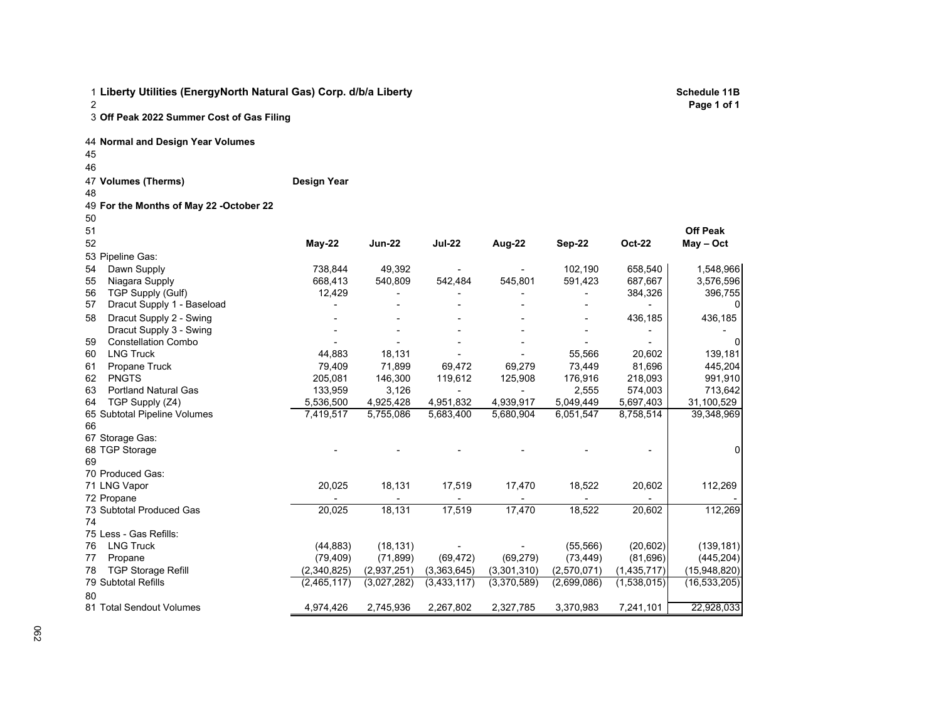2 **Page 1 of 1**

3 **Off Peak 2022 Summer Cost of Gas Filing**

**Normal and Design Year Volumes** 

| 49 For the Months of May 22 -October 22 |               |               |               |             |             |               |                 |
|-----------------------------------------|---------------|---------------|---------------|-------------|-------------|---------------|-----------------|
| 50                                      |               |               |               |             |             |               |                 |
| 51                                      |               |               |               |             |             |               | <b>Off Peak</b> |
| 52                                      | <b>May-22</b> | <b>Jun-22</b> | <b>Jul-22</b> | Aug-22      | Sep-22      | <b>Oct-22</b> | May - Oct       |
| 53 Pipeline Gas:                        |               |               |               |             |             |               |                 |
| Dawn Supply<br>54                       | 738,844       | 49,392        |               |             | 102,190     | 658,540       | 1,548,966       |
| 55<br>Niagara Supply                    | 668,413       | 540,809       | 542,484       | 545,801     | 591,423     | 687,667       | 3,576,596       |
| TGP Supply (Gulf)<br>56                 | 12,429        |               |               |             |             | 384,326       | 396,755         |
| 57<br>Dracut Supply 1 - Baseload        | ٠             |               |               |             |             |               |                 |
| Dracut Supply 2 - Swing<br>58           |               |               |               |             |             | 436,185       | 436,185         |
| Dracut Supply 3 - Swing                 |               |               |               |             |             |               |                 |
| <b>Constellation Combo</b><br>59        |               |               |               |             |             |               |                 |
| <b>LNG Truck</b><br>60                  | 44,883        | 18,131        |               |             | 55,566      | 20,602        | 139,181         |
| 61<br>Propane Truck                     | 79,409        | 71,899        | 69,472        | 69,279      | 73,449      | 81,696        | 445,204         |
| <b>PNGTS</b><br>62                      | 205,081       | 146,300       | 119,612       | 125,908     | 176,916     | 218,093       | 991,910         |
| 63<br><b>Portland Natural Gas</b>       | 133,959       | 3,126         |               |             | 2,555       | 574,003       | 713,642         |
| 64<br>TGP Supply (Z4)                   | 5,536,500     | 4,925,428     | 4,951,832     | 4,939,917   | 5,049,449   | 5,697,403     | 31,100,529      |
| 65 Subtotal Pipeline Volumes            | 7,419,517     | 5,755,086     | 5,683,400     | 5,680,904   | 6,051,547   | 8,758,514     | 39,348,969      |
| 66                                      |               |               |               |             |             |               |                 |
| 67 Storage Gas:                         |               |               |               |             |             |               |                 |
| 68 TGP Storage                          |               |               |               |             |             |               |                 |
| 69                                      |               |               |               |             |             |               |                 |
| 70 Produced Gas:                        |               |               |               |             |             |               |                 |
| 71 LNG Vapor                            | 20,025        | 18,131        | 17,519        | 17,470      | 18,522      | 20,602        | 112,269         |
| 72 Propane                              |               |               |               |             |             |               |                 |
| 73 Subtotal Produced Gas                | 20,025        | 18,131        | 17,519        | 17,470      | 18,522      | 20,602        | 112,269         |
| 74                                      |               |               |               |             |             |               |                 |
| 75 Less - Gas Refills:                  |               |               |               |             |             |               |                 |
| <b>LNG Truck</b><br>76                  | (44, 883)     | (18, 131)     |               |             | (55, 566)   | (20, 602)     | (139, 181)      |
| 77<br>Propane                           | (79, 409)     | (71, 899)     | (69, 472)     | (69, 279)   | (73, 449)   | (81,696)      | (445, 204)      |
| <b>TGP Storage Refill</b><br>78         | (2,340,825)   | (2,937,251)   | (3,363,645)   | (3,301,310) | (2,570,071) | (1,435,717)   | (15,948,820)    |
| 79 Subtotal Refills                     | (2,465,117)   | (3,027,282)   | (3, 433, 117) | (3,370,589) | (2,699,086) | (1,538,015)   | (16, 533, 205)  |
| 80                                      |               |               |               |             |             |               |                 |
| 81 Total Sendout Volumes                | 4,974,426     | 2,745,936     | 2,267,802     | 2,327,785   | 3,370,983   | 7,241,101     | 22,928,033      |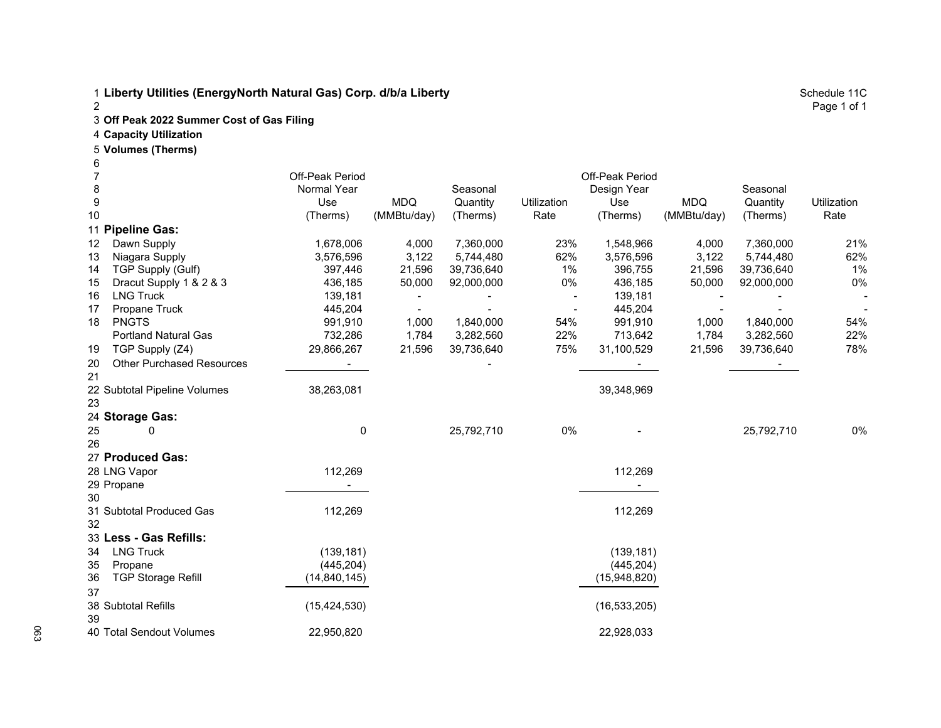3 **Off Peak 2022 Summer Cost of Gas Filing**

4 **Capacity Utilization**

5 **Volumes (Therms)**

| Off-Peak Period    |                                         |             |                    |              |                           |                                             |                    |
|--------------------|-----------------------------------------|-------------|--------------------|--------------|---------------------------|---------------------------------------------|--------------------|
| <b>Normal Year</b> |                                         | Seasonal    |                    | Design Year  |                           | Seasonal                                    |                    |
| Use                | <b>MDQ</b>                              | Quantity    | <b>Utilization</b> | Use          | <b>MDQ</b>                | Quantity                                    | <b>Utilization</b> |
| (Therms)           |                                         | (Therms)    | Rate               | (Therms)     | (MMBtu/day)               | (Therms)                                    | Rate               |
|                    |                                         |             |                    |              |                           |                                             |                    |
| 1,678,006          | 4,000                                   | 7,360,000   | 23%                | 1,548,966    | 4,000                     | 7,360,000                                   | 21%                |
| 3,576,596          | 3,122                                   | 5,744,480   | 62%                | 3,576,596    | 3,122                     | 5,744,480                                   | 62%                |
| 397,446            | 21,596                                  | 39,736,640  | 1%                 | 396,755      | 21,596                    | 39,736,640                                  | 1%                 |
| 436,185            | 50,000                                  | 92,000,000  | $0\%$              | 436,185      | 50,000                    | 92,000,000                                  | $0\%$              |
| 139,181            |                                         |             |                    | 139,181      |                           |                                             |                    |
| 445,204            |                                         |             |                    | 445,204      |                           |                                             |                    |
| 991,910            | 1,000                                   | 1,840,000   | 54%                | 991,910      | 1,000                     | 1,840,000                                   | 54%                |
| 732,286            | 1,784                                   | 3,282,560   | 22%                | 713,642      | 1,784                     | 3,282,560                                   | 22%                |
| 29,866,267         | 21,596                                  | 39,736,640  | 75%                | 31,100,529   | 21,596                    | 39,736,640                                  | 78%                |
|                    |                                         |             |                    |              |                           |                                             |                    |
|                    |                                         |             |                    |              |                           |                                             |                    |
| 38,263,081         |                                         |             |                    | 39,348,969   |                           |                                             |                    |
|                    |                                         |             |                    |              |                           |                                             |                    |
|                    |                                         |             |                    |              |                           |                                             |                    |
| 0                  |                                         |             | 0%                 |              |                           |                                             | 0%                 |
|                    |                                         |             |                    |              |                           |                                             |                    |
|                    |                                         |             |                    |              |                           |                                             |                    |
|                    |                                         |             |                    |              |                           |                                             |                    |
|                    |                                         |             |                    |              |                           |                                             |                    |
|                    |                                         |             |                    |              |                           |                                             |                    |
| 112,269            |                                         |             |                    | 112,269      |                           |                                             |                    |
|                    |                                         |             |                    |              |                           |                                             |                    |
|                    |                                         |             |                    |              |                           |                                             |                    |
|                    |                                         |             |                    |              |                           |                                             |                    |
| (445, 204)         |                                         |             |                    |              |                           |                                             |                    |
| (14,840,145)       |                                         |             |                    | (15,948,820) |                           |                                             |                    |
|                    |                                         |             |                    |              |                           |                                             |                    |
|                    |                                         |             |                    |              |                           |                                             |                    |
|                    |                                         |             |                    |              |                           |                                             |                    |
| 22,950,820         |                                         |             |                    | 22,928,033   |                           |                                             |                    |
|                    | 112,269<br>(139, 181)<br>(15, 424, 530) | (MMBtu/day) | 25,792,710         |              | 112,269<br>(16, 533, 205) | Off-Peak Period<br>(139, 181)<br>(445, 204) | 25,792,710         |

Page 1 of 1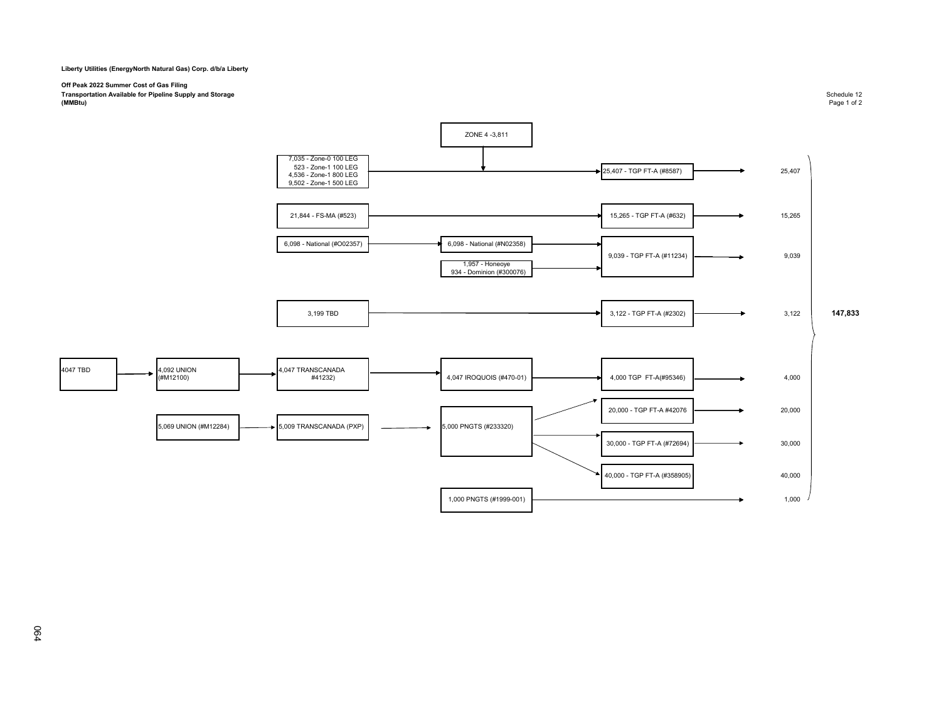### **Off Peak 2022 Summer Cost of Gas Filing Transportation Available for Pipeline Supply and Storage** Schedule 12<br>
(MMBtu)<br>
Page 1 of 2 **(MMBtu)** Page 1 of 2

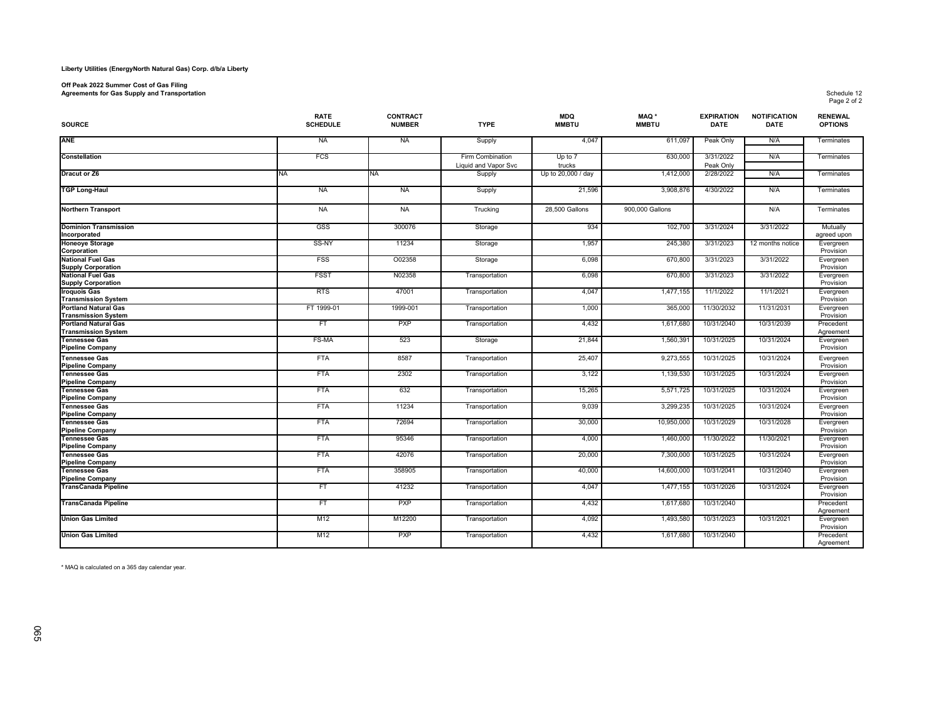**Off Peak 2022 Summer Cost of Gas Filing Agreements for Gas Supply and Transportation** Schedule 12

| <b>SOURCE</b>                                             | <b>RATE</b><br><b>SCHEDULE</b> | <b>CONTRACT</b><br><b>NUMBER</b> | <b>TYPE</b>                                     | <b>MDQ</b><br><b>MMBTU</b> | MAQ <sup>*</sup><br><b>MMBTU</b> | <b>EXPIRATION</b><br><b>DATE</b> | <b>NOTIFICATION</b><br><b>DATE</b> | <b>RENEWAL</b><br><b>OPTIONS</b> |
|-----------------------------------------------------------|--------------------------------|----------------------------------|-------------------------------------------------|----------------------------|----------------------------------|----------------------------------|------------------------------------|----------------------------------|
| ANE                                                       | <b>NA</b>                      | - NA                             | Supply                                          | 4,047                      | 611,097                          | Peak Only                        | N/A                                | Terminates                       |
| Constellation                                             | <b>FCS</b>                     |                                  | Firm Combination<br><b>Liquid and Vapor Svc</b> | Up to 7<br>trucks          | 630,000                          | 3/31/2022<br>Peak Only           | N/A                                | Terminates                       |
| <b>Dracut or Z6</b>                                       | NA                             | NA                               | Supply                                          | Up to 20,000 / day         | 1,412,000                        | 2/28/2022                        | N/A                                | Terminates                       |
| <b>TGP Long-Haul</b>                                      | <b>NA</b>                      | <b>NA</b>                        | Supply                                          | 21,596                     | 3,908,876                        | 4/30/2022                        | N/A                                | Terminates                       |
| <b>Northern Transport</b>                                 | <b>NA</b>                      | <b>NA</b>                        | Trucking                                        | 28,500 Gallons             | 900,000 Gallons                  |                                  | N/A                                | Terminates                       |
| <b>Dominion Transmission</b><br>Incorporated              | <b>GSS</b>                     | 300076                           | Storage                                         | 934                        | 102.700                          | 3/31/2024                        | 3/31/2022                          | Mutually<br>agreed upon          |
| <b>Honeove Storage</b><br>Corporation                     | SS-NY                          | 11234                            | Storage                                         | 1.957                      | 245,380                          | 3/31/2023                        | 12 months notice                   | Evergreen<br>Provision           |
| <b>National Fuel Gas</b><br><b>Supply Corporation</b>     | <b>FSS</b>                     | O02358                           | Storage                                         | 6,098                      | 670,800                          | 3/31/2023                        | 3/31/2022                          | Evergreen<br>Provision           |
| <b>National Fuel Gas</b><br><b>Supply Corporation</b>     | <b>FSST</b>                    | N02358                           | Transportation                                  | 6,098                      | 670,800                          | 3/31/2023                        | 3/31/2022                          | Evergreen<br>Provision           |
| <b>Iroquois Gas</b><br><b>Transmission System</b>         | <b>RTS</b>                     | 47001                            | Transportation                                  | 4,047                      | 1,477,155                        | 11/1/2022                        | 11/1/2021                          | Evergreen<br>Provision           |
| <b>Portland Natural Gas</b><br><b>Transmission System</b> | FT 1999-01                     | 1999-001                         | Transportation                                  | 1,000                      | 365,000                          | 11/30/2032                       | 11/31/2031                         | Evergreen<br>Provision           |
| <b>Portland Natural Gas</b><br><b>Transmission System</b> | FT                             | <b>PXP</b>                       | Transportation                                  | 4,432                      | 1,617,680                        | 10/31/2040                       | 10/31/2039                         | Precedent<br>Agreement           |
| <b>Tennessee Gas</b><br><b>Pipeline Company</b>           | FS-MA                          | 523                              | Storage                                         | 21,844                     | 1,560,39                         | 10/31/2025                       | 10/31/2024                         | Evergreen<br>Provision           |
| <b>Tennessee Gas</b><br><b>Pipeline Company</b>           | <b>FTA</b>                     | 8587                             | Transportation                                  | 25,407                     | 9,273,555                        | 10/31/2025                       | 10/31/2024                         | Evergreen<br>Provision           |
| <b>Tennessee Gas</b><br><b>Pipeline Company</b>           | <b>FTA</b>                     | 2302                             | Transportation                                  | 3,122                      | 1,139,530                        | 10/31/2025                       | 10/31/2024                         | Evergreen<br>Provision           |
| <b>Tennessee Gas</b><br><b>Pipeline Company</b>           | <b>FTA</b>                     | 632                              | Transportation                                  | 15,265                     | 5,571,725                        | 10/31/2025                       | 10/31/2024                         | Evergreen<br>Provision           |
| <b>Tennessee Gas</b><br><b>Pipeline Company</b>           | <b>FTA</b>                     | 11234                            | Transportation                                  | 9,039                      | 3,299,235                        | 10/31/2025                       | 10/31/2024                         | Evergreen<br>Provision           |
| <b>Tennessee Gas</b><br><b>Pipeline Company</b>           | <b>FTA</b>                     | 72694                            | Transportation                                  | 30,000                     | 10,950,000                       | 10/31/2029                       | 10/31/2028                         | Evergreen<br>Provision           |
| <b>Tennessee Gas</b><br><b>Pipeline Company</b>           | <b>FTA</b>                     | 95346                            | Transportation                                  | 4,000                      | 1,460,000                        | 11/30/2022                       | 11/30/2021                         | Evergreen<br>Provision           |
| <b>Tennessee Gas</b><br><b>Pipeline Company</b>           | <b>FTA</b>                     | 42076                            | Transportation                                  | 20,000                     | 7,300,000                        | 10/31/2025                       | 10/31/2024                         | Evergreen<br>Provision           |
| <b>Tennessee Gas</b><br><b>Pipeline Company</b>           | <b>FTA</b>                     | 358905                           | Transportation                                  | 40,000                     | 14,600,000                       | 10/31/2041                       | 10/31/2040                         | Evergreen<br>Provision           |
| <b>TransCanada Pipeline</b>                               | FT                             | 41232                            | Transportation                                  | 4,047                      | 1,477,155                        | 10/31/2026                       | 10/31/2024                         | Evergreen<br>Provision           |
| <b>TransCanada Pipeline</b>                               | FT                             | <b>PXP</b>                       | Transportation                                  | 4,432                      | 1,617,680                        | 10/31/2040                       |                                    | Precedent<br>Agreement           |
| <b>Union Gas Limited</b>                                  | M12                            | M12200                           | Transportation                                  | 4,092                      | 1,493,580                        | 10/31/2023                       | 10/31/2021                         | Evergreen<br>Provision           |
| <b>Union Gas Limited</b>                                  | M12                            | <b>PXP</b>                       | Transportation                                  | 4,432                      | 1,617,680                        | 10/31/2040                       |                                    | Precedent<br>Agreement           |

\* MAQ is calculated on a 365 day calendar year.

Page 2 of 2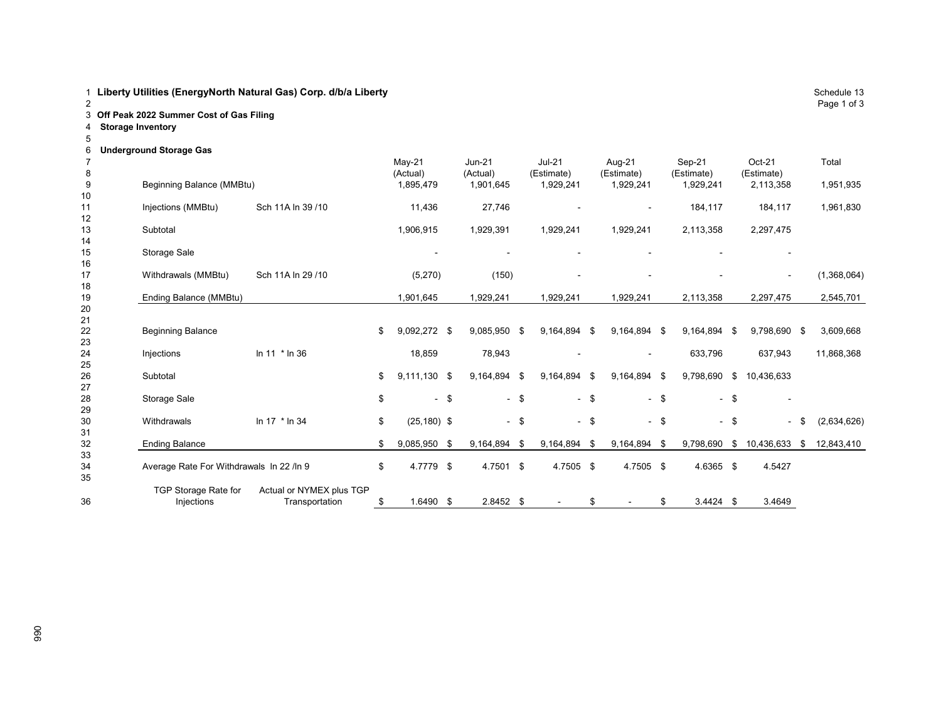3 **Off Peak 2022 Summer Cost of Gas Filing**

4 **Storage Inventory**

5

## 6 **Underground Storage Gas**

| 8<br>9   | Beginning Balance (MMBtu)                |                          | May-21<br>(Actual)<br>1,895,479 |        | Jun-21<br>(Actual)<br>1,901,645 |        | Jul-21<br>(Estimate)<br>1,929,241 |        | Aug-21<br>(Estimate)<br>1,929,241 |        | Sep-21<br>(Estimate)<br>1,929,241 |        | Oct-21<br>(Estimate)<br>2,113,358 |     | Total<br>1,951,935 |
|----------|------------------------------------------|--------------------------|---------------------------------|--------|---------------------------------|--------|-----------------------------------|--------|-----------------------------------|--------|-----------------------------------|--------|-----------------------------------|-----|--------------------|
| 10<br>11 |                                          | Sch 11A In 39 /10        |                                 |        |                                 |        |                                   |        |                                   |        |                                   |        |                                   |     |                    |
| 12       | Injections (MMBtu)                       |                          | 11,436                          |        | 27,746                          |        |                                   |        | $\overline{\phantom{a}}$          |        | 184,117                           |        | 184,117                           |     | 1,961,830          |
| 13       | Subtotal                                 |                          | 1,906,915                       |        | 1,929,391                       |        | 1,929,241                         |        | 1,929,241                         |        | 2,113,358                         |        | 2,297,475                         |     |                    |
| 14       |                                          |                          |                                 |        |                                 |        |                                   |        |                                   |        |                                   |        |                                   |     |                    |
| 15       | Storage Sale                             |                          |                                 |        |                                 |        |                                   |        |                                   |        |                                   |        |                                   |     |                    |
| 16       |                                          |                          |                                 |        |                                 |        |                                   |        |                                   |        |                                   |        |                                   |     |                    |
| 17       | Withdrawals (MMBtu)                      | Sch 11A In 29 /10        | (5,270)                         |        | (150)                           |        |                                   |        |                                   |        |                                   |        |                                   |     | (1,368,064)        |
| 18       |                                          |                          |                                 |        |                                 |        |                                   |        |                                   |        |                                   |        |                                   |     |                    |
| 19<br>20 | Ending Balance (MMBtu)                   |                          | 1,901,645                       |        | 1,929,241                       |        | 1,929,241                         |        | 1,929,241                         |        | 2,113,358                         |        | 2,297,475                         |     | 2,545,701          |
| 21       |                                          |                          |                                 |        |                                 |        |                                   |        |                                   |        |                                   |        |                                   |     |                    |
| 22       | <b>Beginning Balance</b>                 |                          | \$<br>9,092,272 \$              |        | 9,085,950 \$                    |        | 9,164,894                         | - \$   | 9,164,894                         | - \$   | 9,164,894 \$                      |        | 9,798,690 \$                      |     | 3,609,668          |
| 23       |                                          |                          |                                 |        |                                 |        |                                   |        |                                   |        |                                   |        |                                   |     |                    |
| 24       | Injections                               | In 11 * In 36            | 18,859                          |        | 78,943                          |        |                                   |        |                                   |        | 633,796                           |        | 637,943                           |     | 11,868,368         |
| 25       |                                          |                          |                                 |        |                                 |        |                                   |        |                                   |        |                                   |        |                                   |     |                    |
| 26       | Subtotal                                 |                          | \$<br>$9,111,130$ \$            |        | 9,164,894                       | \$     | 9,164,894                         | - \$   | 9,164,894                         | - \$   | 9,798,690                         | \$     | 10,436,633                        |     |                    |
| 27<br>28 | Storage Sale                             |                          | \$                              | $-$ \$ |                                 | $-$ \$ |                                   | $-$ \$ |                                   | $-$ \$ |                                   | $-$ \$ |                                   |     |                    |
| 29       |                                          |                          |                                 |        |                                 |        |                                   |        |                                   |        |                                   |        |                                   |     |                    |
| 30       | Withdrawals                              | In 17 * In 34            | \$<br>$(25, 180)$ \$            |        |                                 | $-$ \$ |                                   | $-$ \$ |                                   | $-$ \$ |                                   | $-$ \$ |                                   | \$  | (2,634,626)        |
| 31       |                                          |                          |                                 |        |                                 |        |                                   |        |                                   |        |                                   |        |                                   |     |                    |
| 32       | <b>Ending Balance</b>                    |                          | \$<br>9,085,950 \$              |        | 9,164,894                       | \$     | 9,164,894                         | \$     | 9,164,894                         | -\$    | 9,798,690                         | \$     | 10,436,633                        | -\$ | 12,843,410         |
| 33       |                                          |                          |                                 |        |                                 |        |                                   |        |                                   |        |                                   |        |                                   |     |                    |
| 34       | Average Rate For Withdrawals In 22 /In 9 |                          | \$<br>4.7779 \$                 |        | 4.7501 \$                       |        | 4.7505 \$                         |        | 4.7505 \$                         |        | 4.6365 \$                         |        | 4.5427                            |     |                    |
| 35       |                                          |                          |                                 |        |                                 |        |                                   |        |                                   |        |                                   |        |                                   |     |                    |
| 36       | TGP Storage Rate for                     | Actual or NYMEX plus TGP |                                 |        | 2.8452 \$                       |        |                                   | \$     |                                   | \$     |                                   |        |                                   |     |                    |
|          | Injections                               | Transportation           | \$<br>1.6490 \$                 |        |                                 |        |                                   |        |                                   |        | $3.4424$ \$                       |        | 3.4649                            |     |                    |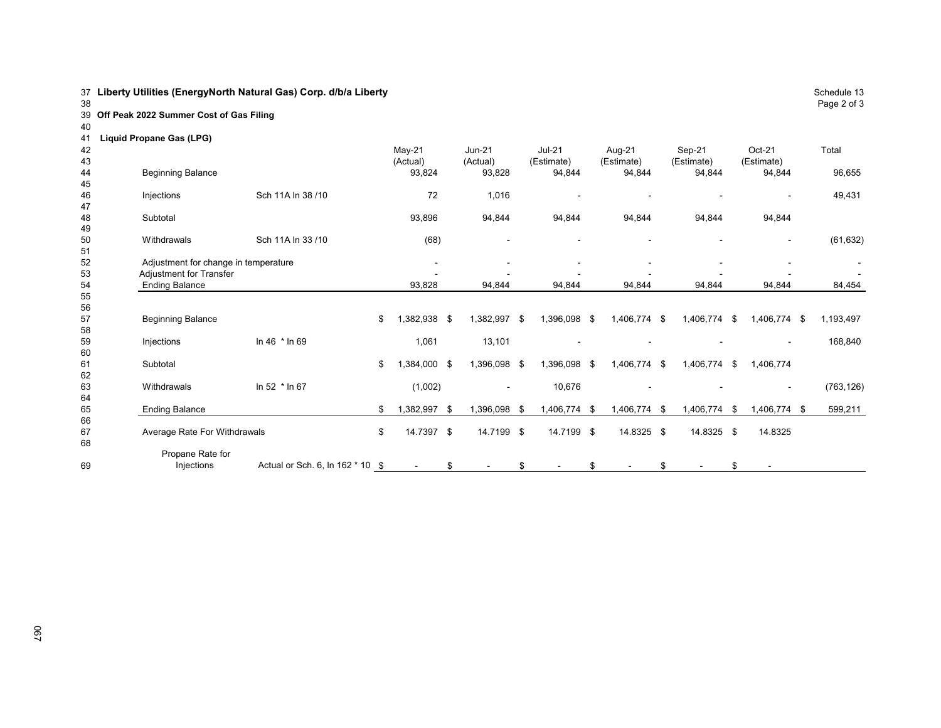41 **Liquid Propane Gas (LPG)**

| 42<br>43 |                                      |                                  | May-21<br>(Actual) | <b>Jun-21</b><br>(Actual) | <b>Jul-21</b><br>(Estimate) |               | Aug-21<br>(Estimate) | Sep-21<br>(Estimate) | Oct-21<br>(Estimate) | Total      |
|----------|--------------------------------------|----------------------------------|--------------------|---------------------------|-----------------------------|---------------|----------------------|----------------------|----------------------|------------|
| 44       | <b>Beginning Balance</b>             |                                  | 93,824             | 93,828                    | 94,844                      |               | 94,844               | 94,844               | 94,844               | 96,655     |
| 45       |                                      |                                  |                    |                           |                             |               |                      |                      |                      |            |
| 46<br>47 | Injections                           | Sch 11A In 38 /10                | 72                 | 1,016                     |                             |               |                      |                      |                      | 49,431     |
| 48       | Subtotal                             |                                  | 93,896             | 94,844                    | 94,844                      |               | 94,844               | 94,844               | 94,844               |            |
| 49       |                                      |                                  |                    |                           |                             |               |                      |                      |                      |            |
| 50       | Withdrawals                          | Sch 11A In 33/10                 | (68)               |                           |                             |               |                      |                      | $\blacksquare$       | (61, 632)  |
| 51       |                                      |                                  |                    |                           |                             |               |                      |                      |                      |            |
| 52       | Adjustment for change in temperature |                                  |                    |                           |                             |               |                      |                      |                      |            |
| 53       | Adjustment for Transfer              |                                  |                    |                           |                             |               |                      |                      |                      |            |
| 54       | <b>Ending Balance</b>                |                                  | 93,828             | 94,844                    | 94,844                      |               | 94,844               | 94,844               | 94,844               | 84,454     |
| 55       |                                      |                                  |                    |                           |                             |               |                      |                      |                      |            |
| 56       |                                      |                                  |                    |                           |                             |               |                      |                      |                      |            |
| 57       | Beginning Balance                    |                                  | \$<br>1,382,938 \$ | 1,382,997 \$              | 1,396,098                   | $\frac{1}{2}$ | 1,406,774 \$         | 1,406,774 \$         | 1,406,774 \$         | 1,193,497  |
| 58       |                                      |                                  |                    |                           |                             |               |                      |                      |                      |            |
| 59<br>60 | Injections                           | In 46 * In 69                    | 1,061              | 13,101                    |                             |               |                      |                      |                      | 168,840    |
| 61       | Subtotal                             |                                  | \$<br>1,384,000 \$ | 1,396,098 \$              | 1,396,098 \$                |               | 1,406,774 \$         | 1,406,774 \$         | 1,406,774            |            |
| 62       |                                      |                                  |                    |                           |                             |               |                      |                      |                      |            |
| 63       | Withdrawals                          | In 52 * In 67                    | (1,002)            |                           | 10,676                      |               |                      |                      |                      | (763, 126) |
| 64       |                                      |                                  |                    |                           |                             |               |                      |                      |                      |            |
| 65       | <b>Ending Balance</b>                |                                  | \$<br>1,382,997 \$ | 1,396,098 \$              | 1,406,774                   | -\$           | 1,406,774 \$         | 1,406,774 \$         | 1,406,774 \$         | 599,211    |
| 66       |                                      |                                  |                    |                           |                             |               |                      |                      |                      |            |
| 67       | Average Rate For Withdrawals         |                                  | \$<br>14.7397 \$   | 14.7199 \$                | 14.7199 \$                  |               | 14.8325 \$           | 14.8325 \$           | 14.8325              |            |
| 68       |                                      |                                  |                    |                           |                             |               |                      |                      |                      |            |
|          | Propane Rate for                     |                                  |                    |                           |                             |               |                      |                      |                      |            |
| 69       | Injections                           | Actual or Sch. 6, In 162 * 10 \$ | $\sim$             | \$                        | \$                          | \$            |                      |                      | \$                   |            |